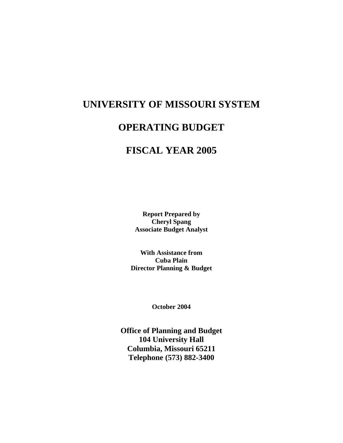# **UNIVERSITY OF MISSOURI SYSTEM**

## **OPERATING BUDGET**

# **FISCAL YEAR 2005**

**Report Prepared by Cheryl Spang Associate Budget Analyst** 

**With Assistance from Cuba Plain Director Planning & Budget** 

**October 2004** 

**Office of Planning and Budget 104 University Hall Columbia, Missouri 65211 Telephone (573) 882-3400**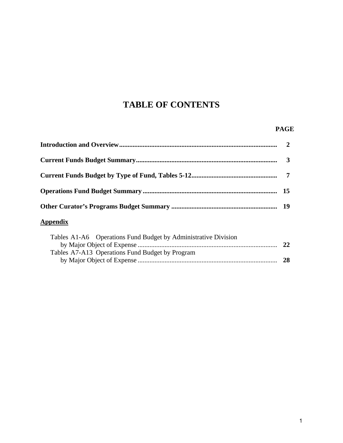# **TABLE OF CONTENTS**

### **PAGE**

| <b>Appendix</b>                                                |  |
|----------------------------------------------------------------|--|
| Tobles A1 A6 Operations Fund Dudget by Administrative Division |  |

| Tables A1-A6 Operations Fund Budget by Administrative Division |    |
|----------------------------------------------------------------|----|
|                                                                | 22 |
| Tables A7-A13 Operations Fund Budget by Program                |    |
|                                                                | 28 |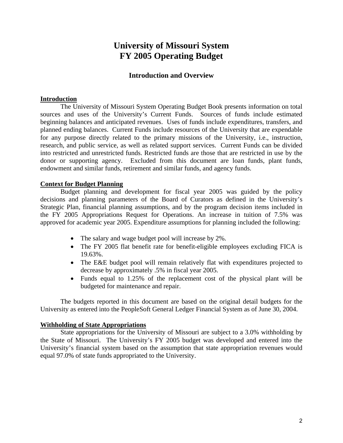## **University of Missouri System FY 2005 Operating Budget**

## **Introduction and Overview**

## **Introduction**

The University of Missouri System Operating Budget Book presents information on total sources and uses of the University's Current Funds. Sources of funds include estimated beginning balances and anticipated revenues. Uses of funds include expenditures, transfers, and planned ending balances. Current Funds include resources of the University that are expendable for any purpose directly related to the primary missions of the University, i.e., instruction, research, and public service, as well as related support services. Current Funds can be divided into restricted and unrestricted funds. Restricted funds are those that are restricted in use by the donor or supporting agency. Excluded from this document are loan funds, plant funds, endowment and similar funds, retirement and similar funds, and agency funds.

## **Context for Budget Planning**

Budget planning and development for fiscal year 2005 was guided by the policy decisions and planning parameters of the Board of Curators as defined in the University's Strategic Plan, financial planning assumptions, and by the program decision items included in the FY 2005 Appropriations Request for Operations. An increase in tuition of 7.5% was approved for academic year 2005. Expenditure assumptions for planning included the following:

- The salary and wage budget pool will increase by 2%.
- The FY 2005 flat benefit rate for benefit-eligible employees excluding FICA is 19.63%.
- The E&E budget pool will remain relatively flat with expenditures projected to decrease by approximately .5% in fiscal year 2005.
- Funds equal to 1.25% of the replacement cost of the physical plant will be budgeted for maintenance and repair.

The budgets reported in this document are based on the original detail budgets for the University as entered into the PeopleSoft General Ledger Financial System as of June 30, 2004.

## **Withholding of State Appropriations**

State appropriations for the University of Missouri are subject to a 3.0% withholding by the State of Missouri. The University's FY 2005 budget was developed and entered into the University's financial system based on the assumption that state appropriation revenues would equal 97.0% of state funds appropriated to the University.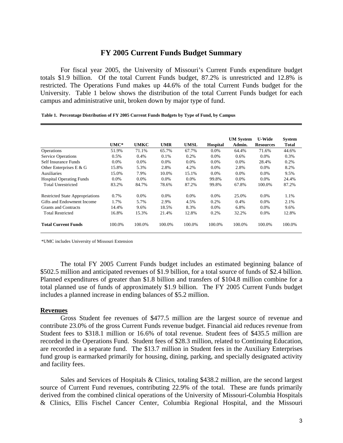## **FY 2005 Current Funds Budget Summary**

For fiscal year 2005, the University of Missouri's Current Funds expenditure budget totals \$1.9 billion. Of the total Current Funds budget, 87.2% is unrestricted and 12.8% is restricted. The Operations Fund makes up 44.6% of the total Current Funds budget for the University. Table 1 below shows the distribution of the total Current Funds budget for each campus and administrative unit, broken down by major type of fund.

|                                        | $UMC*$  | <b>UMKC</b> | <b>UMR</b> | UMSL    | <b>Hospital</b> | <b>UM System</b><br>Admin. | <b>U-Wide</b><br><b>Resources</b> | <b>System</b><br><b>Total</b> |
|----------------------------------------|---------|-------------|------------|---------|-----------------|----------------------------|-----------------------------------|-------------------------------|
| Operations                             | 51.9%   | 71.1%       | 65.7%      | 67.7%   | $0.0\%$         | 64.4%                      | 71.6%                             | 44.6%                         |
| <b>Service Operations</b>              | 0.5%    | 0.4%        | 0.1%       | $0.2\%$ | $0.0\%$         | 0.6%                       | $0.0\%$                           | 0.3%                          |
| Self Insurance Funds                   | $0.0\%$ | $0.0\%$     | $0.0\%$    | $0.0\%$ | $0.0\%$         | $0.0\%$                    | 28.4%                             | 0.2%                          |
| Other Enterprises E & G                | 15.8%   | 5.3%        | 2.8%       | 4.2%    | $0.0\%$         | 2.8%                       | $0.0\%$                           | 8.2%                          |
| <b>Auxiliaries</b>                     | 15.0%   | 7.9%        | 10.0%      | 15.1%   | $0.0\%$         | $0.0\%$                    | 0.0%                              | 9.5%                          |
| <b>Hospital Operating Funds</b>        | $0.0\%$ | $0.0\%$     | $0.0\%$    | $0.0\%$ | 99.8%           | $0.0\%$                    | $0.0\%$                           | 24.4%                         |
| <b>Total Unrestricted</b>              | 83.2%   | 84.7%       | 78.6%      | 87.2%   | 99.8%           | 67.8%                      | 100.0%                            | 87.2%                         |
| <b>Restricted State Appropriations</b> | 0.7%    | $0.0\%$     | $0.0\%$    | $0.0\%$ | $0.0\%$         | 25.0%                      | $0.0\%$                           | 1.1%                          |
| Gifts and Endowment Income             | 1.7%    | 5.7%        | 2.9%       | 4.5%    | 0.2%            | 0.4%                       | 0.0%                              | 2.1%                          |
| <b>Grants and Contracts</b>            | 14.4%   | 9.6%        | 18.5%      | 8.3%    | $0.0\%$         | 6.8%                       | $0.0\%$                           | 9.6%                          |
| <b>Total Restricted</b>                | 16.8%   | 15.3%       | 21.4%      | 12.8%   | 0.2%            | 32.2%                      | $0.0\%$                           | 12.8%                         |
| <b>Total Current Funds</b>             | 100.0%  | 100.0%      | 100.0%     | 100.0%  | 100.0%          | 100.0%                     | 100.0%                            | 100.0%                        |

**Table 1. Percentage Distribution of FY 2005 Current Funds Budgets by Type of Fund, by Campus**

\*UMC includes University of Missouri Extension

The total FY 2005 Current Funds budget includes an estimated beginning balance of \$502.5 million and anticipated revenues of \$1.9 billion, for a total source of funds of \$2.4 billion. Planned expenditures of greater than \$1.8 billion and transfers of \$104.8 million combine for a total planned use of funds of approximately \$1.9 billion. The FY 2005 Current Funds budget includes a planned increase in ending balances of \$5.2 million.

### **Revenues**

Gross Student fee revenues of \$477.5 million are the largest source of revenue and contribute 23.0% of the gross Current Funds revenue budget. Financial aid reduces revenue from Student fees to \$318.1 million or 16.6% of total revenue. Student fees of \$435.5 million are recorded in the Operations Fund. Student fees of \$28.3 million, related to Continuing Education, are recorded in a separate fund. The \$13.7 million in Student fees in the Auxiliary Enterprises fund group is earmarked primarily for housing, dining, parking, and specially designated activity and facility fees.

Sales and Services of Hospitals & Clinics, totaling \$438.2 million, are the second largest source of Current Fund revenues, contributing 22.9% of the total. These are funds primarily derived from the combined clinical operations of the University of Missouri-Columbia Hospitals & Clinics, Ellis Fischel Cancer Center, Columbia Regional Hospital, and the Missouri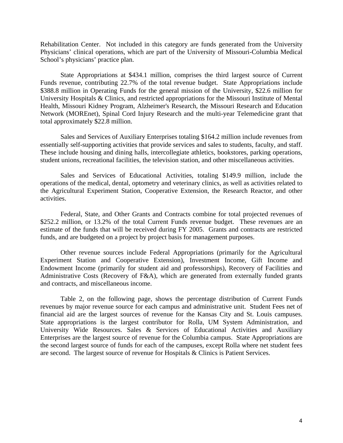Rehabilitation Center. Not included in this category are funds generated from the University Physicians' clinical operations, which are part of the University of Missouri-Columbia Medical School's physicians' practice plan.

State Appropriations at \$434.1 million, comprises the third largest source of Current Funds revenue, contributing 22.7% of the total revenue budget. State Appropriations include \$388.8 million in Operating Funds for the general mission of the University, \$22.6 million for University Hospitals & Clinics, and restricted appropriations for the Missouri Institute of Mental Health, Missouri Kidney Program, Alzheimer's Research, the Missouri Research and Education Network (MOREnet), Spinal Cord Injury Research and the multi-year Telemedicine grant that total approximately \$22.8 million.

Sales and Services of Auxiliary Enterprises totaling \$164.2 million include revenues from essentially self-supporting activities that provide services and sales to students, faculty, and staff. These include housing and dining halls, intercollegiate athletics, bookstores, parking operations, student unions, recreational facilities, the television station, and other miscellaneous activities.

Sales and Services of Educational Activities, totaling \$149.9 million, include the operations of the medical, dental, optometry and veterinary clinics, as well as activities related to the Agricultural Experiment Station, Cooperative Extension, the Research Reactor, and other activities.

Federal, State, and Other Grants and Contracts combine for total projected revenues of \$252.2 million, or 13.2% of the total Current Funds revenue budget. These revenues are an estimate of the funds that will be received during FY 2005. Grants and contracts are restricted funds, and are budgeted on a project by project basis for management purposes.

Other revenue sources include Federal Appropriations (primarily for the Agricultural Experiment Station and Cooperative Extension), Investment Income, Gift Income and Endowment Income (primarily for student aid and professorships), Recovery of Facilities and Administrative Costs (Recovery of F&A), which are generated from externally funded grants and contracts, and miscellaneous income.

Table 2, on the following page, shows the percentage distribution of Current Funds revenues by major revenue source for each campus and administrative unit. Student Fees net of financial aid are the largest sources of revenue for the Kansas City and St. Louis campuses. State appropriations is the largest contributor for Rolla, UM System Administration, and University Wide Resources. Sales & Services of Educational Activities and Auxiliary Enterprises are the largest source of revenue for the Columbia campus. State Appropriations are the second largest source of funds for each of the campuses, except Rolla where net student fees are second. The largest source of revenue for Hospitals & Clinics is Patient Services.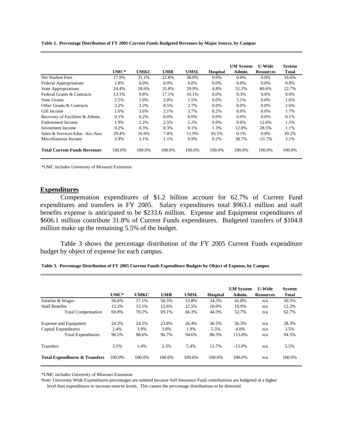**Table 2. Percentage Distribution of FY 2005 Current Funds Budgeted Revenues by Major Source, by Campus**

|                                     |        |             |            |         |                 | <b>UM</b> System | <b>U-Wide</b>    | <b>System</b> |
|-------------------------------------|--------|-------------|------------|---------|-----------------|------------------|------------------|---------------|
|                                     | UMC*   | <b>UMKC</b> | <b>UMR</b> | UMSL    | <b>Hospital</b> | Admin.           | <b>Resources</b> | <b>Total</b>  |
| <b>Net Student Fees</b>             | 17.9%  | 31.1%       | 22.8%      | 38.0%   | $0.0\%$         | $0.0\%$          | $0.0\%$          | 16.6%         |
| <b>Federal Appropriations</b>       | 1.8%   | $0.0\%$     | $0.0\%$    | $0.0\%$ | $0.0\%$         | $0.0\%$          | $0.0\%$          | 0.8%          |
| <b>State Appropriations</b>         | 24.4%  | 28.6%       | 35.8%      | 29.9%   | 4.8%            | 51.2%            | 80.6%            | 22.7%         |
| Federal Grants & Contracts          | 13.1%  | 9.8%        | 17.1%      | 10.1%   | $0.0\%$         | 0.3%             | $0.0\%$          | 9.0%          |
| <b>State Grants</b>                 | 2.5%   | 1.0%        | 2.0%       | 1.5%    | $0.0\%$         | 5.1%             | $0.0\%$          | 1.6%          |
| Other Grants & Contracts            | 3.2%   | 3.2%        | 8.5%       | 2.7%    | $0.0\%$         | $0.0\%$          | $0.0\%$          | 2.6%          |
| Gift Income                         | 1.6%   | 3.6%        | 2.1%       | 3.7%    | 0.2%            | $0.0\%$          | $0.0\%$          | 1.7%          |
| Recovery of Facilities & Admin.     | 0.1%   | 0.2%        | $0.0\%$    | $0.0\%$ | $0.0\%$         | $0.0\%$          | $0.0\%$          | 0.1%          |
| Endowment Income                    | 1.9%   | 2.2%        | 2.5%       | 1.2%    | $0.0\%$         | $0.6\%$          | 12.6%            | 1.5%          |
| Investment Income                   | 0.2%   | 0.3%        | 0.3%       | 0.1%    | 1.3%            | 12.0%            | 28.5%            | 1.1%          |
| Sales & Services-Educ. Act./Aux.    | 29.4%  | 16.9%       | 7.8%       | 11.9%   | 93.5%           | $0.1\%$          | $0.0\%$          | 39.2%         |
| Miscellaneous Income                | 3.9%   | 3.1%        | 1.1%       | 0.9%    | 0.2%            | 30.7%            | $-21.7%$         | 3.1%          |
| <b>Total Current Funds Revenues</b> | 100.0% | 100.0%      | 100.0%     | 100.0%  | 100.0%          | 100.0%           | 100.0%           | 100.0%        |

\*UMC includes University of Missouri Extension

### **Expenditures**

 Compensation expenditures of \$1.2 billion account for 62.7% of Current Fund expenditures and transfers in FY 2005. Salary expenditures total \$963.1 million and staff benefits expense is anticipated to be \$233.6 million. Expense and Equipment expenditures of \$606.1 million contribute 31.8% of Current Funds expenditures. Budgeted transfers of \$104.8 million make up the remaining 5.5% of the budget.

Table 3 shows the percentage distribution of the FY 2005 Current Funds expenditure budget by object of expense for each campus.

|                                           |        |             |            |             |                 | <b>UM</b> System | <b>U-Wide</b>    | <b>System</b> |
|-------------------------------------------|--------|-------------|------------|-------------|-----------------|------------------|------------------|---------------|
|                                           | $UMC*$ | <b>UMKC</b> | <b>UMR</b> | <b>UMSL</b> | <b>Hospital</b> | Admin.           | <b>Resources</b> | <b>Total</b>  |
| Salaries & Wages                          | 56.6%  | 57.1%       | 56.5%      | 53.8%       | 34.3%           | 41.8%            | n/a              | 50.5%         |
| <b>Staff Benefits</b>                     | 13.2%  | 13.1%       | 12.6%      | 12.5%       | 10.0%           | 10.9%            | n/a              | 12.2%         |
| <b>Total Compensation</b>                 | 69.8%  | 70.2%       | 69.1%      | 66.3%       | 44.3%           | 52.7%            | n/a              | 62.7%         |
| Expense and Equipment                     | 24.3%  | 24.5%       | 23.8%      | 26.4%       | 36.5%           | 56.3%            | n/a              | 28.3%         |
| Capital Expenditures                      | 2.4%   | 3.9%        | 3.8%       | 1.9%        | 5.5%            | 4.0%             | n/a              | 3.5%          |
| <b>Total Expenditures</b>                 | 96.5%  | 98.6%       | 96.7%      | 94.6%       | 86.3%           | 113.0%           | n/a              | 94.5%         |
| <b>Transfers</b>                          | 3.5%   | 1.4%        | 3.3%       | 5.4%        | 13.7%           | $-13.0\%$        | n/a              | 5.5%          |
| <b>Total Expenditures &amp; Transfers</b> | 100.0% | 100.0%      | 100.0%     | 100.0%      | 100.0%          | 100.0%           | n/a              | 100.0%        |

**Table 3. Percentage Distribution of FY 2005 Current Funds Expenditure Budgets by Object of Expense, by Campus**

\*UMC includes University of Missouri Extension

Note: University Wide Expenditures percentages are omitted because Self Insurance Fund contributions are budgeted at a higher

level than expenditures to increase reserve levels. This causes the percentage distributions to be distorted.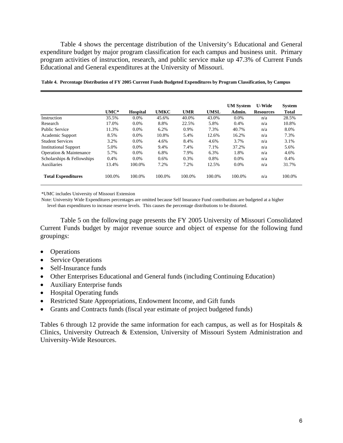Table 4 shows the percentage distribution of the University's Educational and General expenditure budget by major program classification for each campus and business unit. Primary program activities of instruction, research, and public service make up 47.3% of Current Funds Educational and General expenditures at the University of Missouri.

|                              |        |                 |             |            |             | <b>UM</b> System | <b>U-Wide</b>    | <b>System</b> |
|------------------------------|--------|-----------------|-------------|------------|-------------|------------------|------------------|---------------|
|                              | $UMC*$ | <b>Hospital</b> | <b>UMKC</b> | <b>UMR</b> | <b>UMSL</b> | Admin.           | <b>Resources</b> | <b>Total</b>  |
| Instruction                  | 35.5%  | 0.0%            | 45.6%       | 40.0%      | 43.0%       | $0.0\%$          | n/a              | 28.5%         |
| Research                     | 17.0%  | $0.0\%$         | 8.8%        | 22.5%      | 5.8%        | 0.4%             | n/a              | 10.8%         |
| <b>Public Service</b>        | 11.3%  | 0.0%            | 6.2%        | 0.9%       | 7.3%        | 40.7%            | n/a              | 8.0%          |
| Academic Support             | 8.5%   | $0.0\%$         | 10.8%       | 5.4%       | 12.6%       | 16.2%            | n/a              | 7.3%          |
| <b>Student Services</b>      | 3.2%   | 0.0%            | 4.6%        | 8.4%       | 4.6%        | 3.7%             | n/a              | 3.1%          |
| <b>Institutional Support</b> | 5.0%   | $0.0\%$         | 9.4%        | 7.4%       | 7.1%        | 37.2%            | n/a              | 5.6%          |
| Operation & Maintenance      | 5.7%   | 0.0%            | 6.8%        | 7.9%       | 6.3%        | 1.8%             | n/a              | 4.6%          |
| Scholarships & Fellowships   | 0.4%   | $0.0\%$         | 0.6%        | 0.3%       | 0.8%        | $0.0\%$          | n/a              | 0.4%          |
| <b>Auxiliaries</b>           | 13.4%  | 100.0%          | 7.2%        | 7.2%       | 12.5%       | $0.0\%$          | n/a              | 31.7%         |
| <b>Total Expenditures</b>    | 100.0% | 100.0%          | 100.0%      | 100.0%     | 100.0%      | 100.0%           | n/a              | 100.0%        |

**Table 4. Percentage Distribution of FY 2005 Current Funds Budgeted Expenditures by Program Classification, by Campus**

\*UMC includes University of Missouri Extension

Note: University Wide Expenditures percentages are omitted because Self Insurance Fund contributions are budgeted at a higher level than expenditures to increase reserve levels. This causes the percentage distributions to be distorted.

Table 5 on the following page presents the FY 2005 University of Missouri Consolidated Current Funds budget by major revenue source and object of expense for the following fund groupings:

- Operations
- Service Operations
- Self-Insurance funds
- Other Enterprises Educational and General funds (including Continuing Education)
- Auxiliary Enterprise funds
- Hospital Operating funds
- Restricted State Appropriations, Endowment Income, and Gift funds
- Grants and Contracts funds (fiscal year estimate of project budgeted funds)

Tables 6 through 12 provide the same information for each campus, as well as for Hospitals  $\&$ Clinics, University Outreach & Extension, University of Missouri System Administration and University-Wide Resources.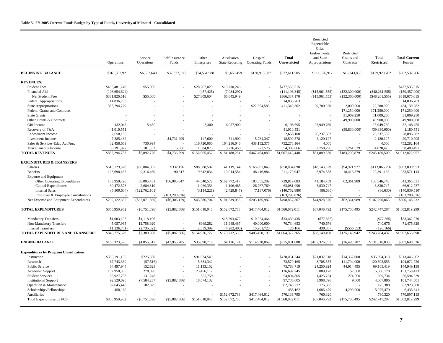|                                               | Operations      | Service<br>Operations | Self Insurance<br>Funds  | Other<br>Enterprises | Auxiliaries-<br><b>State Reporting</b> | Hospital<br><b>Operating Funds</b> | <b>Total</b><br>Unrestricted | Restricted<br>Expendable<br>Gifts,<br>Endowments,<br>and State<br>Appropriations | Restricted<br>Grants and<br>Contracts | <b>Total</b><br><b>Restricted</b> | <b>Total Current</b><br>Funds |
|-----------------------------------------------|-----------------|-----------------------|--------------------------|----------------------|----------------------------------------|------------------------------------|------------------------------|----------------------------------------------------------------------------------|---------------------------------------|-----------------------------------|-------------------------------|
| <b>BEGINNING BALANCE</b>                      | \$161,803,921   | \$6,352,649           | \$37,337,100             | \$34,551,988         | \$1,650,459                            | \$130,915,387                      | \$372,611,505                | \$111,576,912                                                                    | \$18,343,850                          | \$129,920,762                     | \$502,532,266                 |
| <b>REVENUES:</b>                              |                 |                       |                          |                      |                                        |                                    |                              |                                                                                  |                                       |                                   |                               |
| <b>Student Fees</b>                           | \$435,481,240   | \$55,000              |                          | \$28,267,029         | \$13,730,246                           |                                    | \$477,533,515                |                                                                                  |                                       |                                   | \$477,533,515                 |
| <b>Financial Aid</b>                          | (103, 654, 624) |                       |                          | (457, 425)           | (7,084,297)                            |                                    | (111, 196, 345)              | (\$15,961,555)                                                                   | $(\$32,300,000)$                      | $(\$48, 261, 555)$                | (159, 457, 900)               |
| Net Student Fees                              | \$331,826,616   | \$55,000              | $\sim$                   | \$27,809,604         | \$6,645,949                            | ÷,                                 | \$366,337,170                | (\$15,961,555)                                                                   | $(\$32,300,000)$                      | (\$48,261,555)                    | \$318,075,615                 |
| Federal Appropriations                        | 14,836,763      |                       |                          |                      |                                        |                                    | 14,836,763                   |                                                                                  |                                       |                                   | 14,836,763                    |
| <b>State Appropriations</b>                   | 388,794,779     |                       |                          |                      |                                        | \$22,554,583                       | 411,349,362                  | 20,780,920                                                                       | 2,000,000                             | 22,780,920                        | 434,130,282                   |
| Federal Grants and Contracts                  |                 |                       |                          |                      |                                        |                                    |                              |                                                                                  | 171,250,000                           | 171,250,000                       | 171,250,000                   |
| <b>State Grants</b>                           |                 |                       |                          |                      |                                        |                                    |                              |                                                                                  | 31,009,250                            | 31,009,250                        | 31,009,250                    |
| Other Grants & Contracts                      |                 |                       |                          |                      |                                        |                                    |                              |                                                                                  | 49,900,000                            | 49,900,000                        | 49,900,000                    |
| Gift Income                                   | 132,045         | 5,450                 |                          | 3,300                | 6,057,900                              |                                    | 6,198,695                    | 25,949,760                                                                       |                                       | 25,949,760                        | 32,148,455                    |
| Recovery of F&A                               | 41,010,551      |                       |                          |                      |                                        |                                    | 41,010,551                   |                                                                                  | (39,830,000)                          | (39,830,000)                      | 1,180,551                     |
| <b>Endowment Income</b>                       | 2,658,100       |                       |                          |                      |                                        |                                    | 2,658,100                    | 26,237,582                                                                       |                                       | 26,237,582                        | 28,895,682                    |
| <b>Investment</b> Income                      | 7,385,432       |                       | \$4,731,299              | 147,600              | 541,900                                | 5,784,347                          | 18,590,578                   | 2,120,127                                                                        |                                       | 2,120,127                         | 20,710,705                    |
| Sales & Services-Educ Act/Aux                 | 32,458,669      | 730,994               |                          | 116,720,080          | 164,216,046                            | 438,152,375                        | 752,278,164                  | 4,000                                                                            |                                       | 4,000                             | 752,282,164                   |
| Miscellaneous Income                          | 33,191,827      | 5,101,333             | 5,000                    | 11,384,873           | 3,726,458                              | 973,575                            | 54,383,066                   | 2,758,796                                                                        | 1,261,629                             | 4,020,425                         | 58,403,491                    |
| <b>TOTAL REVENUES</b>                         | \$852,294,783   | \$5,892,776           | \$4,736,299              | \$156,065,457        | \$181,188,254                          | \$467,464,880                      | \$1,667,642,448              | \$61,889,630                                                                     | \$183,290,879                         | \$245,180,509                     | \$1,912,822,957               |
| <b>EXPENDITURES &amp; TRANSFERS</b>           |                 |                       |                          |                      |                                        |                                    |                              |                                                                                  |                                       |                                   |                               |
| <b>Salaries</b>                               | \$518,129,820   | \$36,004,005          | \$332,176                | \$88,588,507         | 41.119.144                             | \$165,861,045                      | \$850,034,698                | \$18,143,329                                                                     | \$94,921,927                          | \$113,065,256                     | \$963,099,953                 |
| Benefits                                      | 123,698,467     | 9,316,460             | 90,617                   | 19,642,834           | 10,014,584                             | 48,416,984                         | 211,179,947                  | 3,974,588                                                                        | 18,416,579                            | 22,391,167                        | 233,571,113                   |
| <b>Expense and Equipment</b>                  |                 |                       |                          |                      |                                        |                                    |                              |                                                                                  |                                       |                                   |                               |
| Other Operating Expenditures                  | 183,959,726     | 68,005,431            | 156,985,647              | 44,540,572           | \$102,772,417                          | 183,555,289                        | 739,819,083                  | 41,184,759                                                                       | 62,361,989                            | 103,546,748                       | 843,365,831                   |
| Capital Expenditures                          | 30,472,573      | 2,684,810             |                          | 1,960,353            | 1,196,485                              | 26,767,769                         | 63,081,990                   | 3,830,747                                                                        |                                       | 3,830,747                         | 66,912,737                    |
| <b>Internal Sales</b>                         | (5,309,634)     | (122, 762, 101)       |                          | (3,114,221)          | (2,429,847)                            | (7,137,076)                        | (140, 752, 880)              | (86, 630)                                                                        |                                       | (86, 630)                         | (140, 839, 510)               |
| Employer & Employee Contributions             |                 |                       | (163, 290, 826)          |                      |                                        |                                    | (163, 290, 826)              |                                                                                  |                                       |                                   | (163, 290, 826)               |
| Net Expense and Equipment Expenditures        | \$209,122,665   | $(\$52,071,860)$      | $(\$6,305,179)$          | \$43,386,704         | \$101,539,055                          | \$203,185,982                      | \$498,857,367                | \$44,928,876                                                                     | \$62,361,989                          | \$107,290,865                     | \$606,148,232                 |
| <b>TOTAL EXPENDITURES</b>                     | \$850,950,952   | $(\$6,751,396)$       | $(\$5,882,386)$          | \$151,618,046        | \$152,672,783                          | \$417,464,012                      | \$1,560,072,011              | \$67,046,792                                                                     | \$175,700,495                         | \$242,747,287                     | \$1,802,819,299               |
| <b>Mandatory Transfers</b>                    | \$1,003,193     | \$4,118,106           |                          |                      | \$18,293,672                           | \$10,024,464                       | \$33,439,435                 | $(\$77,365)$                                                                     |                                       | $(\$77,365)$                      | \$33,362,070                  |
| Non-Mandatory Transfers                       | 5,057,965       | 12,758,920            |                          | \$969,282            | 11,948,487                             | 40,000,000                         | 70,734,653                   | 740,676                                                                          |                                       | 740,676                           | 71,475,329                    |
| <b>Internal Transfers</b>                     | (11, 236, 731)  | (2,735,822)           |                          | 2.339.399            | (4,202,403)                            | 15,961,723                         | 126,166                      | 430,387                                                                          | $(\$556,553)$                         | (126, 166)                        |                               |
| TOTAL EXPENDITURES AND TRANSFERS              | \$845,775,379   | \$7,389,808           | $(\$5,882,386)$          | \$154,926,727        | \$178,712,539                          | \$483,450,199                      | \$1,664,372,265              | \$68,140,490                                                                     | \$175,143,942                         | \$243,284,432                     | \$1,907,656,698               |
| <b>ENDING BALANCE</b>                         | \$168,323,325   | \$4,855,617           | \$47,955,785             | \$35,690,718         | \$4,126,174                            | \$114,930,069                      | \$375,881,688                | \$105,326,051                                                                    | \$26,490,787                          | \$131,816,838                     | \$507,698,526                 |
| <b>Expenditures by Program Classification</b> |                 |                       |                          |                      |                                        |                                    |                              |                                                                                  |                                       |                                   |                               |
| Instruction                                   | \$386,191,135   | \$225,560             |                          | \$91,634,549         |                                        |                                    | \$478,051,244                | \$21,032,318                                                                     | \$14,362,000                          | \$35,394,318                      | \$513,445,562                 |
| Research                                      | 67,743,339      | (57, 516)             |                          | 5,884,342            |                                        |                                    | 73,570,165                   | 8,708,555                                                                        | 111,794,000                           | 120,502,555                       | 194,072,720                   |
| Public Service                                | 64,497,944      | 152,623               | $\overline{\phantom{a}}$ | 11,133,152           |                                        |                                    | 75,783,719                   | 24,250,924                                                                       | 44,914,495                            | 69,165,419                        | 144,949,138                   |
| Academic Support                              | 102,958,035     | 278,098               | $\overline{\phantom{a}}$ | 23,456,112           |                                        |                                    | 126,692,245                  | 5,009,178                                                                        | 57,000                                | 5,066,178                         | 131,758,423                   |
| <b>Student Services</b>                       | 53,927,798      | 131,248               |                          | 835,759              |                                        |                                    | 54,894,805                   | 1,425,734                                                                        | 274,000                               | 1,699,734                         | 56,594,539                    |
| <b>Institutional Support</b>                  | 92,529,096      | (7, 584, 237)         | $(\$5,882,386)$          | 18,674,132           |                                        |                                    | 97,736,605                   | 3,998,896                                                                        | 9,000                                 | 4,007,896                         | 101,744,501                   |
| Operation & Maintenance                       | 82,645,443      | 102,829               |                          |                      |                                        |                                    | 82,748,272                   | 175,388                                                                          |                                       | 175,388                           | 82,923,660                    |
| Scholarships/Fellowships                      | 458,162         |                       |                          |                      |                                        |                                    | 458,162                      | 1,685,479                                                                        | 4,290,000                             | 5,975,479                         | 6,433,641                     |
| Auxiliaries                                   |                 |                       |                          |                      | \$152,672,783                          | \$417,464,012                      | 570.136.795                  | 760,320                                                                          |                                       | 760,320                           | 570,897,115                   |
| Total Expenditures by PCS                     | \$850,950,952   | (S6, 751, 396)        | $(\$5,882,386)$          | \$151,618,046        | \$152,672,783                          | \$417,464,012                      | \$1,560,072,011              | \$67,046,792                                                                     | \$175,700,495                         | \$242,747,287                     | \$1,802,819,299               |
|                                               |                 |                       |                          |                      |                                        |                                    |                              |                                                                                  |                                       |                                   |                               |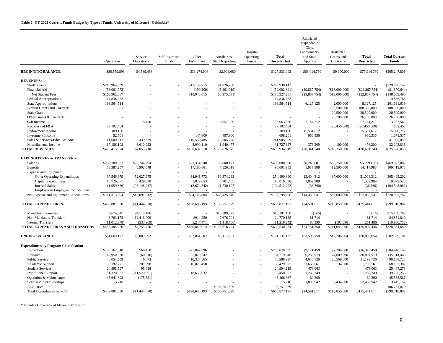|                                               | Operations     | Service<br>Operations | Self Insurance<br>Funds | Other<br>Enterprises | Auxiliaries-<br><b>State Reporting</b> | Hospital<br>Operating<br>Funds | <b>Total</b><br><b>Unrestricted</b> | Restricted<br>Expendable<br>Gifts,<br>Endowments,<br>and State<br>Approps | Restricted<br>Grants and<br>Contracts | <b>Total</b><br><b>Restricted</b> | <b>Total Current</b><br>Funds |
|-----------------------------------------------|----------------|-----------------------|-------------------------|----------------------|----------------------------------------|--------------------------------|-------------------------------------|---------------------------------------------------------------------------|---------------------------------------|-----------------------------------|-------------------------------|
| <b>BEGINNING BALANCE</b>                      | \$86,559,898   | \$4,589,458           |                         | \$33,274,006         | \$2,909,680                            |                                | \$127,333,042                       | \$68,014,760                                                              | \$9,900,000                           | \$77,914,760                      | \$205,247,801                 |
| <b>REVENUES:</b>                              |                |                       |                         |                      |                                        |                                |                                     |                                                                           |                                       |                                   |                               |
| <b>Student Fees</b>                           | \$216,964,639  |                       |                         | \$11,139,215         | \$1,826,288                            |                                | \$229,930,142                       |                                                                           |                                       |                                   | \$229,930,142                 |
| Financial Aid                                 | (53,001,772)   |                       |                         | (199, 200)           | (5,801,919)                            |                                | (59,002,891)                        | $(\$9,867,754)$                                                           | (\$13,000,000)                        | $(\$22, 867, 754)$                | (81,870,644)                  |
| Net Student Fees                              | \$163,962,867  |                       |                         | \$10,940,015         | $(\$3,975,631)$                        | i,                             | \$170,927,251                       | (\$9,867,754)                                                             | (\$13,000,000)                        | $(\$22, 867, 754)$                | \$148,059,498                 |
| <b>Federal Appropriations</b>                 | 14,836,763     |                       |                         |                      |                                        |                                | 14,836,763                          |                                                                           |                                       |                                   | 14,836,763                    |
| State Appropriations                          | 193,564,514    |                       |                         |                      |                                        |                                | 193,564,514                         | 6,127,125                                                                 | 2,000,000                             | 8,127,125                         | 201,691,639                   |
| Federal Grants and Contracts                  |                |                       |                         |                      |                                        |                                |                                     |                                                                           | 108,500,000                           | 108,500,000                       | 108,500,000                   |
| <b>State Grants</b>                           |                |                       |                         |                      |                                        |                                |                                     |                                                                           | 20,500,000                            | 20,500,000                        | 20,500,000                    |
| Other Grants & Contracts                      |                |                       |                         |                      |                                        |                                |                                     |                                                                           | 26,700,000                            | 26,700,000                        | 26,700,000                    |
| Gift Income                                   |                | 5,450                 |                         |                      | 6,057,900                              |                                | 6,063,350                           | 7,144,212                                                                 |                                       | 7,144,212                         | 13,207,562                    |
| Recovery of F&A                               | 27.102.454     |                       |                         |                      |                                        |                                | 27.102.454                          |                                                                           | (26,450,000)                          | (26,450,000)                      | 652,454                       |
| <b>Endowment Income</b>                       | 109,100        |                       |                         |                      |                                        |                                | 109,100                             | 15.581.612                                                                |                                       | 15,581,612                        | 15,690,712                    |
| <b>Investment Income</b>                      | 52,701         |                       |                         | 147,600              | 497.900                                |                                | 698,201                             | 980,336                                                                   |                                       | 980,336                           | 1,678,537                     |
| Sales & Services-Educ Act/Aux                 | 11,600,517     | 439,329               |                         | 110,559,485          | 119,305,728                            |                                | 241,905,059                         |                                                                           |                                       | $\overline{\phantom{a}}$          | 241,905,059                   |
| Miscellaneous Income                          | 17,186,108     | 3,610,932             |                         | 8,990,110            | 1,940,477                              |                                | 31,727,627                          | 376,209                                                                   | 100,000                               | 476,209                           | 32,203,836                    |
| <b>TOTAL REVENUES</b>                         | \$428,415,024  | \$4,055,710           | $\sim$                  | \$130,637,210        | \$123,826,375                          | ÷,                             | \$686,934,319                       | \$20,341,740                                                              | \$118,350,000                         | \$138,691,740                     | \$825,626,059                 |
| <b>EXPENDITURES &amp; TRANSFERS</b>           |                |                       |                         |                      |                                        |                                |                                     |                                                                           |                                       |                                   |                               |
| Salaries                                      | \$265,180,387  | \$26,744,794          |                         | \$77,354,648         | 30,800,171                             |                                | \$400,080,000                       | \$8,243,081                                                               | \$60,750,000                          | \$68,993,081                      | \$469,073,082                 |
| Benefits                                      | 63,387,257     | 6,902,048             |                         | 17,186,661           | 7,526,018                              | ÷,                             | 95,001,985                          | 1,917,988                                                                 | 12,500,000                            | 14,417,988                        | 109,419,973                   |
| <b>Expense and Equipment</b>                  |                |                       |                         |                      |                                        |                                |                                     |                                                                           |                                       |                                   |                               |
| Other Operating Expenditures                  | 97,546,879     | 52,627,975            |                         | 34,941,773           | 69,374,263                             |                                | 254,490,890                         | 13,404,312                                                                | 37,600,000                            | 51,004,312                        | 305,495,202                   |
| Capital Expenditures                          | 15,726,371     | 429,030               |                         | 1,879,653            | 781,485                                | ÷,                             | 18,816,538                          | 1,062,989                                                                 |                                       | 1,062,989                         | 19,879,528                    |
| <b>Internal Sales</b>                         | (1,959,356)    | (98, 148, 217)        |                         | (2,674,542)          | (1,730,107)                            |                                | (104, 512, 222)                     | (36,760)                                                                  |                                       | (36,760)                          | (104, 548, 982)               |
| Employer & Employee Contributions             |                |                       |                         |                      |                                        |                                |                                     |                                                                           |                                       |                                   |                               |
| Net Expense and Equipment Expenditures        | \$111,313,894  | $(\$45,091,212)$      |                         | \$34,146,884         | \$68,425,640                           |                                | \$168,795,206                       | \$14,430,541                                                              | \$37,600,000                          | \$52,030,541                      | \$220,825,747                 |
| <b>TOTAL EXPENDITURES</b>                     | \$439,881,538  | (\$11,444,370)        | ÷.                      | \$128,688,193        | \$106,751,829                          | $\overline{\phantom{a}}$       | \$663,877,191                       | \$24,591,611                                                              | \$110,850,000                         | \$135,441,611                     | \$799,318,802                 |
| <b>Mandatory Transfers</b>                    | \$674,017      | \$4,118,106           |                         |                      | \$10,309,027                           | ÷,                             | \$15,101,150                        | (\$365)                                                                   | ÷                                     | (\$365)                           | \$15,100,785                  |
| Non-Mandatory Transfers                       | 3.763.173      | 12,416,009            |                         | \$914,250            | 7,676,704                              |                                | 24,770,135                          | 81,714                                                                    |                                       | 81.714                            | 24,851,849                    |
| <b>Internal Transfers</b>                     | (11, 012, 978) | (333,969)             |                         | 1,247,471            | (1, 118, 766)                          |                                | (11, 218, 242)                      | 88,390                                                                    | \$193,096                             | 281,486                           | (10,936,756)                  |
| TOTAL EXPENDITURES AND TRANSFERS              | \$433,305,750  | \$4,755,776           |                         | \$130,849,914        | \$123,618,794                          |                                | \$692,530,234                       | \$24,761,350                                                              | \$111,043,096                         | \$135,804,446                     | \$828,334,680                 |
| <b>ENDING BALANCE</b>                         | \$81,669,172   | \$3,889,392           |                         | \$33,061,302         | \$3,117,261                            |                                | \$121,737,127                       | \$63,595,150                                                              | \$17,206,904                          | \$80,802,054                      | \$202,539,181                 |
| <b>Expenditures by Program Classification</b> |                |                       |                         |                      |                                        |                                |                                     |                                                                           |                                       |                                   |                               |
| Instruction                                   | \$190,167,648  | \$60,150              |                         | \$77,842,896         |                                        |                                | \$268,070,695                       | \$9,171,450                                                               | \$7,204,000                           | \$16,375,450                      | \$284,446,145                 |
| Research                                      | 48.950.220     | (60,016)              |                         | 5.829.342            |                                        |                                | 54,719,546                          | 6.285.919                                                                 | 74,609,000                            | 80.894.919                        | 135,614,465                   |
| <b>Public Service</b>                         | 48,654,559     | 6,873                 |                         | 10,327,565           |                                        |                                | 58,988,997                          | 4,630,726                                                                 | 26,569,000                            | 31,199,726                        | 90,188,723                    |
| Academic Support                              | 50,192,771     | 207,598               |                         | 16,029,458           |                                        |                                | 66,429,827                          | 1,669,561                                                                 | 34,000                                | 1,703,561                         | 68,133,387                    |
| <b>Student Services</b>                       | 24,898,597     | 95,618                |                         |                      |                                        |                                | 24,994,215                          | 473,063                                                                   |                                       | 473,063                           | 25,467,278                    |
| <b>Institutional Support</b>                  | 31,370,637     | (11, 579, 061)        |                         | 18,658,932           |                                        |                                | 38,450,507                          | 1,285,749                                                                 |                                       | 1,285,749                         | 39,736,256                    |
| Operation & Maintenance                       | 45,641,898     | (175, 531)            |                         |                      |                                        |                                | 45,466,367                          | 69,200                                                                    |                                       | 69,200                            | 45,535,567                    |
| Scholarships/Fellowships                      | 5,210          |                       |                         |                      |                                        |                                | 5,210                               | 1,005,942                                                                 | 2,434,000                             | 3,439,942                         | 3,445,152                     |
| Auxiliaries                                   |                |                       |                         |                      | \$106,751,829                          |                                | 106,751,829                         |                                                                           |                                       |                                   | 106,751,829                   |
| Total Expenditures by PCS                     | \$439,881,538  | (\$11,444,370)        |                         | \$128,688,193        | \$106,751,829                          |                                | \$663,877,191                       | \$24,591,611                                                              | \$110,850,000                         | \$135,441,611                     | \$799,318,802                 |
|                                               |                |                       |                         |                      |                                        |                                |                                     |                                                                           |                                       |                                   |                               |

\* Includes University of Missouri Extension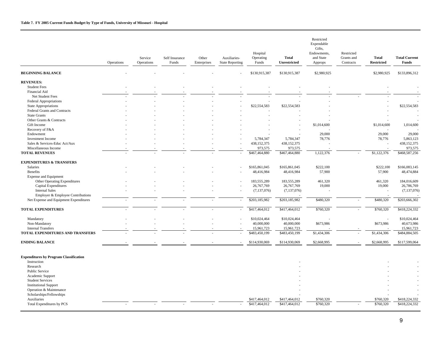|                                               | Operations | Service<br>Operations | Self Insurance<br>Funds | Other<br>Enterprises | Auxiliaries-<br><b>State Reporting</b> | Hospital<br>Operating<br>Funds | <b>Total</b><br>Unrestricted | Restricted<br>Expendable<br>Gifts,<br>Endowments,<br>and State<br>Approps | Restricted<br>Grants and<br>Contracts | <b>Total</b><br><b>Restricted</b> | <b>Total Current</b><br><b>Funds</b> |
|-----------------------------------------------|------------|-----------------------|-------------------------|----------------------|----------------------------------------|--------------------------------|------------------------------|---------------------------------------------------------------------------|---------------------------------------|-----------------------------------|--------------------------------------|
| <b>BEGINNING BALANCE</b>                      |            |                       |                         |                      |                                        | \$130,915,387                  | \$130,915,387                | \$2,980,925                                                               |                                       | \$2,980,925                       | \$133,896,312                        |
| <b>REVENUES:</b>                              |            |                       |                         |                      |                                        |                                |                              |                                                                           |                                       |                                   |                                      |
| <b>Student Fees</b>                           |            |                       |                         |                      |                                        |                                |                              |                                                                           |                                       |                                   |                                      |
| Financial Aid                                 |            |                       |                         |                      |                                        |                                |                              |                                                                           |                                       |                                   |                                      |
| Net Student Fees                              |            |                       |                         |                      |                                        |                                |                              |                                                                           |                                       |                                   |                                      |
| <b>Federal Appropriations</b>                 |            |                       |                         |                      |                                        |                                |                              |                                                                           |                                       |                                   |                                      |
| <b>State Appropriations</b>                   |            |                       |                         |                      |                                        | \$22,554,583                   | \$22,554,583                 |                                                                           |                                       |                                   | \$22,554,583                         |
| Federal Grants and Contracts                  |            |                       |                         |                      |                                        |                                |                              |                                                                           |                                       |                                   |                                      |
| <b>State Grants</b>                           |            |                       |                         |                      |                                        |                                |                              |                                                                           |                                       |                                   |                                      |
| Other Grants & Contracts                      |            |                       |                         |                      |                                        |                                |                              |                                                                           |                                       |                                   |                                      |
| Gift Income                                   |            |                       |                         |                      |                                        |                                |                              | \$1,014,600                                                               |                                       | \$1,014,600                       | 1,014,600                            |
| Recovery of F&A                               |            |                       |                         |                      |                                        |                                |                              |                                                                           |                                       |                                   |                                      |
| Endowment                                     |            |                       |                         |                      |                                        |                                |                              | 29,000                                                                    |                                       | 29,000                            | 29,000                               |
| <b>Investment Income</b>                      |            |                       |                         |                      |                                        | 5,784,347                      | 5,784,347                    | 78,776                                                                    |                                       | 78,776                            | 5,863,123                            |
| Sales & Services-Educ Act/Aux                 |            |                       |                         |                      |                                        | 438,152,375                    | 438,152,375                  |                                                                           |                                       | ÷,                                | 438,152,375                          |
| Miscellaneous Income                          |            |                       |                         |                      |                                        | 973,575                        | 973,575                      |                                                                           |                                       |                                   | 973,575                              |
| <b>TOTAL REVENUES</b>                         |            |                       |                         |                      |                                        | \$467,464,880                  | \$467,464,880                | 1,122,376                                                                 |                                       | \$1,122,376                       | \$468,587,256                        |
|                                               |            |                       |                         |                      |                                        |                                |                              |                                                                           |                                       |                                   |                                      |
| <b>EXPENDITURES &amp; TRANSFERS</b>           |            |                       |                         |                      |                                        |                                |                              |                                                                           |                                       |                                   |                                      |
| <b>Salaries</b>                               |            |                       |                         |                      |                                        | \$165,861,045                  | \$165,861,045                | \$222,100                                                                 |                                       | \$222,100                         | \$166,083,145                        |
| <b>Benefits</b>                               |            |                       |                         |                      |                                        | 48,416,984                     | 48,416,984                   | 57,900                                                                    |                                       | 57,900                            | 48,474,884                           |
| <b>Expense and Equipment</b>                  |            |                       |                         |                      |                                        |                                |                              |                                                                           |                                       |                                   |                                      |
| Other Operating Expenditures                  |            |                       |                         |                      |                                        | 183,555,289                    | 183,555,289                  | 461,320                                                                   |                                       | 461,320                           | 184,016,609                          |
| Capital Expenditures                          |            |                       |                         |                      |                                        | 26,767,769                     | 26,767,769                   | 19,000                                                                    |                                       | 19,000                            | 26,786,769                           |
| <b>Internal Sales</b>                         |            |                       |                         |                      |                                        | (7, 137, 076)                  | (7,137,076)                  |                                                                           |                                       | ä,                                | (7,137,076)                          |
| Employer & Employee Contributions             |            |                       |                         |                      |                                        |                                |                              |                                                                           |                                       |                                   |                                      |
| Net Expense and Equipment Expenditures        |            |                       |                         |                      |                                        | \$203,185,982                  | \$203,185,982                | \$480,320                                                                 |                                       | \$480,320                         | \$203,666,302                        |
|                                               |            |                       |                         |                      |                                        |                                |                              |                                                                           |                                       |                                   |                                      |
| <b>TOTAL EXPENDITURES</b>                     |            |                       |                         |                      |                                        | \$417,464,012                  | \$417,464,012                | \$760,320                                                                 |                                       | \$760,320                         | \$418,224,332                        |
| Mandatory                                     |            |                       |                         |                      |                                        | \$10,024,464                   | \$10,024,464                 |                                                                           |                                       |                                   | \$10,024,464                         |
| Non-Mandatory                                 |            |                       |                         |                      |                                        | 40,000,000                     | 40,000,000                   | \$673,986                                                                 |                                       | \$673,986                         | 40,673,986                           |
| <b>Internal Transfers</b>                     |            |                       |                         |                      |                                        | 15,961,723                     | 15,961,723                   |                                                                           |                                       |                                   | 15,961,723                           |
| TOTAL EXPENDITURES AND TRANSFERS              |            |                       |                         |                      |                                        | \$483,450,199                  | \$483,450,199                | \$1,434,306                                                               |                                       | \$1,434,306                       | \$484,884,505                        |
|                                               |            |                       |                         |                      |                                        |                                |                              |                                                                           |                                       |                                   |                                      |
| <b>ENDING BALANCE</b>                         |            |                       |                         |                      |                                        | \$114,930,069                  | \$114,930,069                | \$2,668,995                                                               |                                       | \$2,668,995                       | \$117,599,064                        |
| <b>Expenditures by Program Classification</b> |            |                       |                         |                      |                                        |                                |                              |                                                                           |                                       |                                   |                                      |
| Instruction                                   |            |                       |                         |                      |                                        |                                |                              |                                                                           |                                       |                                   |                                      |
| Research                                      |            |                       |                         |                      |                                        |                                |                              |                                                                           |                                       |                                   |                                      |
| <b>Public Service</b>                         |            |                       |                         |                      |                                        |                                |                              |                                                                           |                                       |                                   |                                      |
| Academic Support                              |            |                       |                         |                      |                                        |                                |                              |                                                                           |                                       |                                   |                                      |
| <b>Student Services</b>                       |            |                       |                         |                      |                                        |                                |                              |                                                                           |                                       |                                   |                                      |
| <b>Institutional Support</b>                  |            |                       |                         |                      |                                        |                                |                              |                                                                           |                                       |                                   |                                      |
| Operation & Maintenance                       |            |                       |                         |                      |                                        |                                |                              |                                                                           |                                       |                                   |                                      |
| Scholarships/Fellowships                      |            |                       |                         |                      |                                        |                                |                              |                                                                           |                                       |                                   |                                      |
| Auxiliaries                                   |            |                       |                         |                      |                                        | \$417,464,012                  | \$417,464,012                | \$760,320                                                                 |                                       | \$760,320                         | \$418,224,332                        |
| Total Expenditures by PCS                     | $\sim$     |                       |                         |                      | $\sim$                                 | \$417,464,012                  | \$417,464,012                | \$760,320                                                                 |                                       | \$760,320                         | \$418,224,332                        |
|                                               |            |                       |                         |                      |                                        |                                |                              |                                                                           |                                       |                                   |                                      |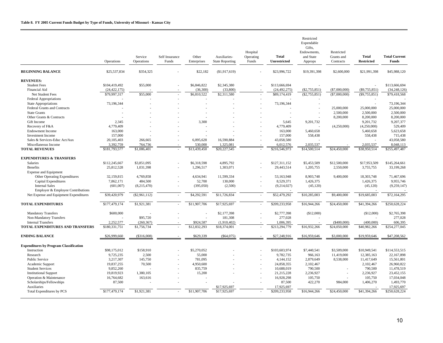|                                               | Operations         | Service<br>Operations | Self Insurance<br>Funds  | Other<br>Enterprises | Auxiliaries-<br><b>State Reporting</b> | Hospital<br>Operating<br>Funds | <b>Total</b><br><b>Unrestricted</b> | Restricted<br>Expendable<br>Gifts,<br>Endowments,<br>and State<br>Approps | Restricted<br>Grants and<br>Contracts | <b>Total</b><br><b>Restricted</b> | <b>Total Current</b><br><b>Funds</b> |
|-----------------------------------------------|--------------------|-----------------------|--------------------------|----------------------|----------------------------------------|--------------------------------|-------------------------------------|---------------------------------------------------------------------------|---------------------------------------|-----------------------------------|--------------------------------------|
| <b>BEGINNING BALANCE</b>                      | \$25,537,834       | \$354,325             |                          | \$22,182             | (\$1,917,619)                          |                                | \$23,996,722                        | \$19,391,398                                                              | \$2,600,000                           | \$21,991,398                      | \$45,988,120                         |
| <b>REVENUES:</b>                              |                    |                       |                          |                      |                                        |                                |                                     |                                                                           |                                       |                                   |                                      |
| <b>Student Fees</b>                           | \$104,419,492      | \$55,000              |                          | \$6,846,822          | \$2,345,380                            |                                | \$113,666,694                       |                                                                           |                                       |                                   | \$113,666,694                        |
| Financial Aid                                 | (24, 422, 175)     |                       |                          | (36, 300)            | (33,800)                               |                                | (24, 492, 275)                      | $(\$2,755,851)$                                                           | $(\$7,000,000)$                       | $(\$9,755,851)$                   | (34, 248, 126)                       |
| Net Student Fees                              | \$79,997,317       | \$55,000              |                          | \$6,810,522          | $\overline{$2,311,580}$                |                                | \$89,174,419                        | (S2.755.851)                                                              | ( \$7,000,000)                        | (S9,755,851)                      | \$79,418,568                         |
| <b>Federal Appropriations</b>                 |                    |                       |                          |                      |                                        |                                |                                     |                                                                           |                                       |                                   |                                      |
| <b>State Appropriations</b>                   | 73,196,344         |                       |                          |                      |                                        |                                | 73,196,344                          |                                                                           |                                       |                                   | 73,196,344                           |
| Federal Grants and Contracts                  |                    |                       |                          |                      |                                        |                                |                                     |                                                                           | 25,000,000                            | 25,000,000                        | 25,000,000                           |
| <b>State Grants</b>                           |                    |                       |                          |                      |                                        |                                |                                     |                                                                           | 2,500,000                             | 2,500,000                         | 2,500,000                            |
| Other Grants & Contracts                      |                    |                       |                          |                      |                                        |                                |                                     |                                                                           | 8,200,000                             | 8,200,000                         | 8,200,000                            |
| Gift Income                                   | 2,345<br>4,779,409 |                       |                          | 3,300                |                                        |                                | 5,645<br>4,779,409                  | 9,201,732                                                                 |                                       | 9,201,732<br>(4,250,000)          | 9,207,377<br>529,409                 |
| Recovery of F&A<br><b>Endowment Income</b>    | 163,000            |                       |                          |                      |                                        |                                | 163,000                             | 5,460,658                                                                 | (4,250,000)                           | 5,460,658                         | 5,623,658                            |
| <b>Investment Income</b>                      | 157,000            |                       |                          |                      |                                        |                                | 157,000                             | 558,438                                                                   |                                       | 558,438                           | 715,438                              |
| Sales & Services-Educ Act/Aux                 | 20,105,403         | 266,665               |                          | 6,095,628            | 16,590,884                             |                                | 43,058,580                          |                                                                           |                                       |                                   | 43,058,580                           |
| Miscellaneous Income                          | 3,392,759          | 764,736               |                          | 530,000              | 1.325.081                              |                                | 6,012,576                           | 2.035.537                                                                 |                                       | 2.035.537                         | 8,048,113                            |
| <b>TOTAL REVENUES</b>                         | \$181,793,577      | \$1,086,401           |                          | \$13,439,450         | \$20,227,545                           |                                | \$216,546,973                       | \$14,500,514                                                              | \$24,450,000                          | \$38,950,514                      | \$255,497,487                        |
|                                               |                    |                       |                          |                      |                                        |                                |                                     |                                                                           |                                       |                                   |                                      |
| <b>EXPENDITURES &amp; TRANSFERS</b>           |                    |                       |                          |                      |                                        |                                |                                     |                                                                           |                                       |                                   |                                      |
| <b>Salaries</b>                               | \$112,245,667      | \$3,851,095           |                          | \$6,318,598          | 4.895.792                              |                                | \$127,311,152                       | \$5,453,509                                                               | \$12,500,000                          | \$17,953,509                      | \$145,264,661                        |
| <b>Benefits</b>                               | 25,812,528         | 1.031.398             |                          | 1,296,517            | 1,303,071                              |                                | 29,443,514                          | 1,205,755                                                                 | 2,550,000                             | 3,755,755                         | 33,199,268                           |
| <b>Expense and Equipment</b>                  |                    |                       |                          |                      |                                        |                                |                                     |                                                                           |                                       |                                   |                                      |
| Other Operating Expenditures                  | 32.159.815         | 4,769,858             |                          | 4,634,941            | 11,599,334                             |                                | 53,163,948                          | 8,903,748                                                                 | 9,400,000                             | 18,303,748                        | 71,467,696                           |
| Capital Expenditures                          | 7,862,171          | 484,500               |                          | 52,700               | 130,000                                |                                | 8,529,371                           | 1,426,375                                                                 |                                       | 1,426,375                         | 9,955,746                            |
| <b>Internal Sales</b>                         | (601,007)          | (8,215,470)           | $\overline{\phantom{a}}$ | (395,050)            | (2,500)                                | i,                             | (9,214,027)                         | (45, 120)                                                                 |                                       | (45, 120)                         | (9, 259, 147)                        |
| Employer & Employee Contributions             |                    |                       |                          |                      |                                        |                                |                                     |                                                                           |                                       |                                   |                                      |
| Net Expense and Equipment Expenditures        | \$39,420,979       | (\$2,961,112)         | ÷.                       | \$4,292,591          | \$11,726,834                           | L.                             | \$52,479,292                        | \$10,285,003                                                              | \$9,400,000                           | \$19,685,003                      | \$72,164,295                         |
| <b>TOTAL EXPENDITURES</b>                     | \$177,479,174      | \$1,921,381           | $\sim$                   | \$11,907,706         | \$17,925,697                           | $\overline{\phantom{a}}$       | \$209,233,958                       | \$16,944,266                                                              | \$24,450,000                          | \$41,394,266                      | \$250,628,224                        |
| <b>Mandatory Transfers</b>                    | \$600,000          |                       |                          |                      | \$2,177,398                            |                                | \$2,777,398                         | (\$12,000)                                                                |                                       | (\$12,000)                        | \$2,765,398                          |
| Non-Mandatory Transfers                       |                    | \$95,720              |                          |                      | 181,308                                |                                | 277,028                             |                                                                           |                                       |                                   | 277,028                              |
| <b>Internal Transfers</b>                     | 2,252,577          | (260, 367)            |                          | \$924,587            | (1,910,402)                            |                                | 1,006,395                           |                                                                           | (\$400,000)                           | (400,000)                         | 606,395                              |
| TOTAL EXPENDITURES AND TRANSFERS              | \$180,331,751      | \$1,756,734           |                          | \$12,832,293         | \$18,374,001                           |                                | \$213,294,779                       | \$16,932,266                                                              | \$24,050,000                          | \$40,982,266                      | \$254,277,045                        |
| <b>ENDING BALANCE</b>                         | \$26,999,660       | (\$316,008)           |                          | \$629,339            | (\$64,075)                             |                                | \$27,248,916                        | \$16,959,646                                                              | \$3,000,000                           | \$19,959,646                      | \$47,208,562                         |
| <b>Expenditures by Program Classification</b> |                    |                       |                          |                      |                                        |                                |                                     |                                                                           |                                       |                                   |                                      |
| Instruction                                   | \$98,175,012       | \$158,910             |                          | \$5,270,052          |                                        |                                | \$103,603,974                       | \$7,440,541                                                               | \$3,509,000                           | \$10,949,541                      | \$114,553,515                        |
| Research                                      | 9,725,235          | 2,500                 |                          | 55,000               |                                        |                                | 9,782,735                           | 966,163                                                                   | 11,419,000                            | 12,385,163                        | 22.167.898                           |
| <b>Public Service</b>                         | 3.217.307          | 145,750               |                          | 781,095              |                                        |                                | 4,144,152                           | 2,879,649                                                                 | 8,538,000                             | 11,417,649                        | 15,561,801                           |
| Academic Support                              | 19,837,255         | 70,500                |                          | 4,950,600            |                                        |                                | 24,858,355                          | 2,102,467                                                                 |                                       | 2,102,467                         | 26,960,822                           |
| <b>Student Services</b>                       | 9,852,260          |                       |                          | 835,759              |                                        |                                | 10,688,019                          | 790,500                                                                   |                                       | 790,500                           | 11,478,519                           |
| <b>Institutional Support</b>                  | 19.819.923         | 1.380.105             |                          | 15.200               |                                        |                                | 21.215.228                          | 2.236.927                                                                 |                                       | 2,236,927                         | 23.452.155                           |
| Operation & Maintenance                       | 16,764,682         | 163,616               |                          |                      |                                        |                                | 16,928,298                          | 105,750                                                                   |                                       | 105,750                           | 17,034,048                           |
| Scholarships/Fellowships                      | 87,500             |                       |                          |                      |                                        |                                | 87,500                              | 422,270                                                                   | 984,000                               | 1,406,270                         | 1,493,770                            |
| Auxiliaries                                   |                    |                       |                          |                      | \$17,925,697                           |                                | 17,925,697                          |                                                                           |                                       |                                   | 17,925,697                           |
| Total Expenditures by PCS                     | \$177,479,174      | \$1,921,381           |                          | \$11,907,706         | \$17,925,697                           |                                | \$209,233,958                       | \$16,944,266                                                              | \$24,450,000                          | \$41,394,266                      | \$250,628,224                        |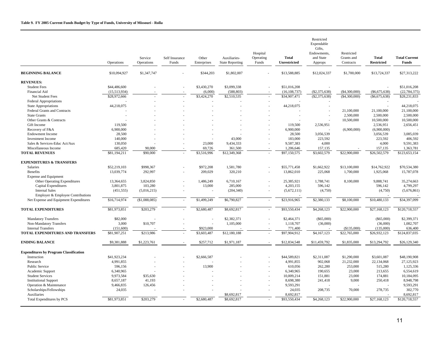|                                               | Operations   | Service<br>Operations | Self Insurance<br>Funds | Other<br>Enterprises | Auxiliaries-<br><b>State Reporting</b> | Hospital<br>Operating<br>Funds | <b>Total</b><br>Unrestricted | Restricted<br>Expendable<br>Gifts,<br>Endowments.<br>and State<br>Approps | Restricted<br>Grants and<br>Contracts | <b>Total</b><br><b>Restricted</b> | <b>Total Current</b><br><b>Funds</b> |
|-----------------------------------------------|--------------|-----------------------|-------------------------|----------------------|----------------------------------------|--------------------------------|------------------------------|---------------------------------------------------------------------------|---------------------------------------|-----------------------------------|--------------------------------------|
| <b>BEGINNING BALANCE</b>                      | \$10,094,927 | \$1,347,747           |                         | \$344,203            | \$1,802,007                            |                                | \$13,588,885                 | \$12,024,337                                                              | \$1,700,000                           | \$13,724,337                      | \$27,313,222                         |
| <b>REVENUES:</b>                              |              |                       |                         |                      |                                        |                                |                              |                                                                           |                                       |                                   |                                      |
| <b>Student Fees</b>                           | \$44,486,600 |                       |                         | \$3,430,270          | \$3,099,338                            |                                | \$51,016,208                 |                                                                           |                                       |                                   | \$51,016,208                         |
| Financial Aid                                 | (15,513,934) |                       |                         | (6,000)              | (588, 803)                             |                                | (16, 108, 737)               | (S2, 375, 638)                                                            | (\$4,300,000)                         | ( \$6,675,638)                    | (22, 784, 375)                       |
| Net Student Fees                              | \$28,972,666 |                       |                         | \$3,424,270          | \$2,510,535                            |                                | \$34,907,471                 | $(\$2,375,638)$                                                           | (\$4,300,000)                         | $(\$6,675,638)$                   | \$28,231,833                         |
| <b>Federal Appropriations</b>                 |              |                       |                         |                      |                                        |                                |                              |                                                                           |                                       |                                   |                                      |
| <b>State Appropriations</b>                   | 44,218,075   |                       |                         |                      |                                        |                                | 44,218,075                   |                                                                           |                                       |                                   | 44,218,075                           |
| Federal Grants and Contracts                  |              |                       |                         |                      |                                        |                                |                              |                                                                           | 21,100,000                            | 21,100,000                        | 21,100,000                           |
| <b>State Grants</b>                           |              |                       |                         |                      |                                        |                                |                              |                                                                           | 2,500,000                             | 2,500,000                         | 2,500,000                            |
| Other Grants & Contracts                      |              |                       |                         |                      |                                        |                                |                              |                                                                           | 10,500,000                            | 10,500,000                        | 10,500,000                           |
| Gift Income                                   | 119,500      |                       |                         |                      |                                        |                                | 119,500                      | 2,536,951                                                                 |                                       | 2,536,951                         | 2,656,451                            |
| Recovery of F&A                               | 6,900,000    |                       |                         |                      |                                        |                                | 6,900,000                    |                                                                           | (6,900,000)                           | (6,900,000)                       |                                      |
| <b>Endowment Income</b>                       | 28,500       |                       |                         |                      |                                        |                                | 28,500                       | 3,056,539                                                                 |                                       | 3,056,539                         | 3,085,039                            |
| <b>Investment Income</b>                      | 140,000      |                       |                         |                      | 43,000                                 |                                | 183,000                      | 223,592                                                                   |                                       | 223,592                           | 406,592                              |
| Sales & Services-Educ Act/Aux                 | 130,050      |                       |                         | 23,000               | 9,434,333                              |                                | 9,587,383                    | 4,000                                                                     |                                       | 4,000                             | 9,591,383                            |
| Miscellaneous Income                          | 685,420      | 90,000                |                         | 69,726               | 361,500                                |                                | 1,206,646                    | 157,135                                                                   |                                       | 157,135                           | 1,363,781                            |
| <b>TOTAL REVENUES</b>                         | \$81,194,211 | \$90,000              |                         | \$3,516,996          | \$12,349,368                           |                                | \$97,150,575                 | \$3,602,579                                                               | \$22,900,000                          | \$26,502,579                      | \$123,653,154                        |
| <b>EXPENDITURES &amp; TRANSFERS</b>           |              |                       |                         |                      |                                        |                                |                              |                                                                           |                                       |                                   |                                      |
| <b>Salaries</b>                               | \$52,219,103 | \$998,367             |                         | \$972,208            | 1,581,780                              |                                | \$55,771,458                 | \$1,662,922                                                               | \$13,100,000                          | \$14,762,922                      | \$70,534,380                         |
| <b>Benefits</b>                               | 13,039,774   | 292,997               |                         | 209,029              | 320,210                                |                                | 13,862,010                   | 225,068                                                                   | 1,700,000                             | 1,925,068                         | 15,787,078                           |
| <b>Expense and Equipment</b>                  |              |                       |                         |                      |                                        |                                |                              |                                                                           |                                       |                                   |                                      |
| Other Operating Expenditures                  | 13,364,655   | 3,824,850             |                         | 1,486,249            | 6,710,167                              |                                | 25,385,921                   | 1,788,741                                                                 | 8,100,000                             | 9,888,741                         | 35,274,663                           |
| Capital Expenditures                          | 3,801,875    | 103,280               |                         | 13,000               | 285,000                                |                                | 4,203,155                    | 596,142                                                                   |                                       | 596,142                           | 4,799,297                            |
| <b>Internal Sales</b>                         | (451, 555)   | (5,016,215)           |                         |                      | (204, 340)                             | $\overline{\phantom{a}}$       | (5,672,111)                  | (4,750)                                                                   |                                       | (4,750)                           | (5,676,861)                          |
| Employer & Employee Contributions             |              |                       |                         |                      |                                        |                                |                              |                                                                           |                                       |                                   |                                      |
| Net Expense and Equipment Expenditures        | \$16,714,974 | (\$1,088,085)         | ÷                       | \$1,499,249          | $\overline{86,790,827}$                | $\sim$                         | \$23,916,965                 | \$2,380,133                                                               | \$8,100,000                           | \$10,480,133                      | \$34,397,099                         |
| <b>TOTAL EXPENDITURES</b>                     | \$81,973,851 | \$203,279             | $\sim$                  | \$2,680,487          | \$8,692,817                            | $\epsilon$                     | \$93,550,434                 | \$4,268,123                                                               | \$22,900,000                          | \$27,168,123                      | \$120,718,557                        |
| <b>Mandatory Transfers</b>                    | \$82,000     |                       |                         |                      | \$2,382,371                            |                                | \$2,464,371                  | $(\$65,000)$                                                              |                                       | $(\$65,000)$                      | \$2,399,371                          |
| Non-Mandatory Transfers                       | 3,000        | \$10,707              |                         |                      | 1,105,000                              |                                | 1,118,707                    | (36,000)                                                                  |                                       | (36,000)                          | 1,082,707                            |
| <b>Internal Transfers</b>                     | (151,600)    |                       |                         | \$923,000            |                                        |                                | 771,400                      |                                                                           | (\$135,000)                           | (135,000)                         | 636,400                              |
| TOTAL EXPENDITURES AND TRANSFERS              | \$81,907,251 | \$213,986             |                         | \$3,603,487          | \$12,180,188                           |                                | \$97,904,912                 | \$4,167,123                                                               | \$22,765,000                          | \$26,932,123                      | \$124,837,035                        |
| <b>ENDING BALANCE</b>                         | \$9,381,888  | \$1,223,761           |                         | \$257,712            | \$1,971,187                            |                                | \$12,834,548                 | \$11,459,792                                                              | \$1,835,000                           | \$13,294,792                      | \$26,129,340                         |
| <b>Expenditures by Program Classification</b> |              |                       |                         |                      |                                        |                                |                              |                                                                           |                                       |                                   |                                      |
| Instruction                                   | \$41,923,234 |                       |                         | \$2,666,587          |                                        |                                | \$44,589,821                 | \$2,311,087                                                               | \$1,290,000                           | \$3,601,087                       | \$48,190,908                         |
| Research                                      | 4,991,855    |                       |                         |                      |                                        |                                | 4,991,855                    | 902,068                                                                   | 21,232,000                            | 22,134,068                        | 27,125,923                           |
| <b>Public Service</b>                         | 596.156      |                       |                         | 13,900               |                                        |                                | 610,056                      | 262,280                                                                   | 253,000                               | 515,280                           | 1,125,336                            |
| Academic Support                              | 6,340,965    |                       |                         |                      |                                        |                                | 6,340,965                    | 190,655                                                                   | 23,000                                | 213,655                           | 6,554,619                            |
| <b>Student Services</b>                       | 9,973,584    | \$35,630              |                         |                      |                                        |                                | 10,009,214                   | 151,881                                                                   | 23,000                                | 174,881                           | 10,184,095                           |
| <b>Institutional Support</b>                  | 8,657,187    | 41,193                |                         |                      |                                        |                                | 8,698,380                    | 241,418                                                                   | 9,000                                 | 250,418                           | 8,948,798                            |
| Operation & Maintenance                       | 9,466,835    | 126,456               |                         |                      |                                        |                                | 9,593,291                    |                                                                           |                                       |                                   | 9,593,291                            |
| Scholarships/Fellowships                      | 24,035       |                       |                         |                      |                                        |                                | 24,035                       | 208,735                                                                   | 70,000                                | 278,735                           | 302,770                              |
| Auxiliaries                                   |              |                       |                         |                      | \$8,692,817                            |                                | 8,692,817                    |                                                                           |                                       |                                   | 8,692,817                            |
| Total Expenditures by PCS                     | \$81,973,851 | \$203,279             |                         | \$2,680,487          | \$8,692,817                            |                                | \$93,550,434                 | \$4,268,123                                                               | \$22,900,000                          | \$27,168,123                      | \$120,718,557                        |
|                                               |              |                       |                         |                      |                                        |                                |                              |                                                                           |                                       |                                   |                                      |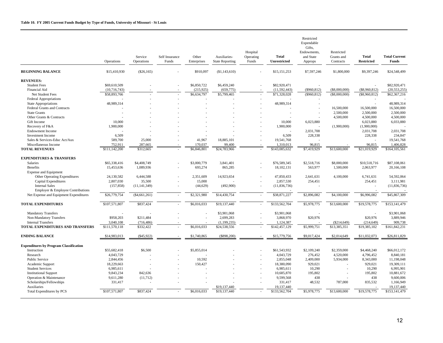|                                               | Operations     | Service<br>Operations | Self Insurance<br>Funds | Other<br>Enterprises | Auxiliaries-<br><b>State Reporting</b> | Hospital<br>Operating<br>Funds | <b>Total</b><br><b>Unrestricted</b> | Restricted<br>Expendable<br>Gifts,<br>Endowments,<br>and State<br>Approps | Restricted<br>Grants and<br>Contracts | <b>Total</b><br><b>Restricted</b> | <b>Total Current</b><br>Funds |
|-----------------------------------------------|----------------|-----------------------|-------------------------|----------------------|----------------------------------------|--------------------------------|-------------------------------------|---------------------------------------------------------------------------|---------------------------------------|-----------------------------------|-------------------------------|
| <b>BEGINNING BALANCE</b>                      | \$15,410,930   | $(\$26,165)$          |                         | \$910,097            | (\$1,143,610)                          |                                | \$15,151,253                        | \$7,597,246                                                               | \$1,800,000                           | \$9,397,246                       | \$24,548,499                  |
| <b>REVENUES:</b>                              |                |                       |                         |                      |                                        |                                |                                     |                                                                           |                                       |                                   |                               |
| <b>Student Fees</b>                           | \$69,610,509   |                       |                         | \$6,850,722          | \$6,459,240                            | ÷,                             | \$82,920,471                        |                                                                           |                                       | ÷.                                | \$82,920,471                  |
| Financial Aid                                 | (10, 716, 743) |                       |                         | (215, 925)           | (659, 775)                             |                                | (11, 592, 443)                      | $(\$960,812)$                                                             | $(\$8,000,000)$                       | $(\$8,960,812)$                   | (20, 553, 255)                |
| Net Student Fees                              | \$58,893,766   |                       |                         | \$6,634,797          | \$5,799,465                            |                                | \$71,328,028                        | (\$960, 812)                                                              | $($ \$8,000,000)                      | $(\$8,960,812)$                   | \$62,367,216                  |
| <b>Federal Appropriations</b>                 |                |                       |                         |                      |                                        |                                |                                     |                                                                           |                                       |                                   |                               |
| State Appropriations                          | 48,989,314     |                       |                         |                      |                                        |                                | 48,989,314                          |                                                                           |                                       |                                   | 48,989,314                    |
| Federal Grants and Contracts                  |                |                       |                         |                      |                                        |                                |                                     |                                                                           | 16,500,000                            | 16,500,000                        | 16,500,000                    |
| <b>State Grants</b>                           |                |                       |                         |                      |                                        |                                | ÷.                                  |                                                                           | 2,500,000                             | 2,500,000                         | 2,500,000                     |
| Other Grants & Contracts                      |                |                       |                         |                      |                                        |                                |                                     |                                                                           | 4,500,000                             | 4,500,000                         | 4,500,000                     |
| Gift Income                                   | 10,000         |                       |                         |                      |                                        |                                | 10,000                              | 6,023,880                                                                 |                                       | 6,023,880                         | 6,033,880                     |
| Recovery of F&A                               | 1,900,000      |                       |                         |                      |                                        |                                | 1,900,000                           |                                                                           | (1,900,000)                           | (1,900,000)                       |                               |
| <b>Endowment Income</b>                       |                |                       |                         |                      |                                        |                                |                                     | 2,031,708                                                                 |                                       | 2,031,708                         | 2,031,708                     |
| <b>Investment Income</b>                      | 6,509          |                       |                         |                      |                                        |                                | 6,509                               | 228,338                                                                   |                                       | 228,338                           | 234,847                       |
| Sales & Services-Educ Act/Aux                 | 589,700        | 25,000                |                         | 41,967               | 18,885,101                             |                                | 19,541,768                          |                                                                           |                                       |                                   | 19,541,768                    |
| Miscellaneous Income                          | 752,911        | 287,665               |                         | 170,037              | 99,400                                 |                                | 1,310,013                           | 96,815                                                                    |                                       | 96,815                            | 1,406,828                     |
| <b>TOTAL REVENUES</b>                         | \$111,142,200  | \$312,665             |                         | \$6,846,801          | \$24,783,966                           |                                | \$143,085,632                       | \$7,419,929                                                               | \$13,600,000                          | \$21,019,929                      | \$164,105,561                 |
| <b>EXPENDITURES &amp; TRANSFERS</b>           |                |                       |                         |                      |                                        |                                |                                     |                                                                           |                                       |                                   |                               |
| Salaries                                      | \$65,338,416   | \$4,408,749           |                         | \$3,000,779          | 3,841,401                              |                                | \$76,589,345                        | \$2,518,716                                                               | \$8,000,000                           | \$10,518,716                      | \$87,108,061                  |
| <b>Benefits</b>                               | 15,453,636     | 1,089,936             |                         | 693,274              | 865,285                                | ÷,                             | 18,102,131                          | 563,977                                                                   | 1,500,000                             | 2,063,977                         | 20,166,108                    |
| <b>Expense and Equipment</b>                  |                |                       |                         |                      |                                        |                                |                                     |                                                                           |                                       |                                   |                               |
| Other Operating Expenditures                  | 24,130,582     | 6,444,588             |                         | 2,351,609            | 14,923,654                             | ÷,                             | 47,850,433                          | 2,641,631                                                                 | 4,100,000                             | 6,741,631                         | 54,592,064                    |
| Capital Expenditures                          | 2,807,030      | 35,500                |                         | 15,000               |                                        |                                | 2,857,530                           | 254,451                                                                   |                                       | 254,451                           | 3,111,981                     |
| <b>Internal Sales</b>                         | (157, 858)     | (11, 141, 349)        |                         | (44, 629)            | (492,900)                              | L,                             | (11, 836, 736)                      |                                                                           |                                       |                                   | (11, 836, 736)                |
| Employer & Employee Contributions             |                |                       |                         |                      |                                        |                                |                                     |                                                                           |                                       |                                   |                               |
| Net Expense and Equipment Expenditures        | \$26,779,754   | (\$4,661,261)         |                         | \$2,321,980          | \$14,430,754                           | $\overline{a}$                 | \$38,871,227                        | \$2,896,082                                                               | \$4,100,000                           | \$6,996,082                       | \$45,867,309                  |
| <b>TOTAL EXPENDITURES</b>                     | \$107,571,807  | \$837,424             |                         | \$6,016,033          | \$19,137,440                           | $\overline{\phantom{a}}$       | \$133,562,704                       | \$5,978,775                                                               | \$13,600,000                          | \$19,578,775                      | \$153,141,479                 |
| <b>Mandatory Transfers</b>                    |                |                       |                         |                      | \$3,901,068                            |                                | \$3,901,068                         |                                                                           |                                       | ÷.                                | \$3,901,068                   |
| Non-Mandatory Transfers                       | \$958,203      | \$211,484             |                         |                      | 2,699,283                              |                                | 3,868,970                           | \$20,976                                                                  |                                       | \$20,976                          | 3,889,946                     |
| <b>Internal Transfers</b>                     | 3,040,108      | (716, 486)            |                         |                      | (1, 199, 235)                          |                                | 1,124,387                           |                                                                           | $(\$214,649)$                         | (214, 649)                        | 909,738                       |
| TOTAL EXPENDITURES AND TRANSFERS              | \$111,570,118  | \$332,422             |                         | \$6,016,033          | \$24,538,556                           |                                | \$142,457,129                       | \$5,999,751                                                               | \$13,385,351                          | \$19,385,102                      | \$161,842,231                 |
| <b>ENDING BALANCE</b>                         | \$14,983,013   | ( \$45, 922)          |                         | \$1,740,865          | (\$898,200)                            |                                | \$15,779,756                        | \$9,017,424                                                               | \$2,014,649                           | \$11,032,073                      | \$26,811,829                  |
| <b>Expenditures by Program Classification</b> |                |                       |                         |                      |                                        |                                |                                     |                                                                           |                                       |                                   |                               |
| Instruction                                   | \$55,682,418   | \$6,500               |                         | \$5,855,014          |                                        |                                | \$61,543,932                        | \$2,109,240                                                               | \$2,359,000                           | \$4,468,240                       | \$66,012,172                  |
| Research                                      | 4.043.729      |                       |                         |                      |                                        |                                | 4.043.729                           | 276.452                                                                   | 4,520,000                             | 4,796,452                         | 8.840.181                     |
| <b>Public Service</b>                         | 2.844.456      |                       |                         | 10.592               |                                        |                                | 2,855,048                           | 2,409,000                                                                 | 5,934,000                             | 8,343,000                         | 11,198,048                    |
| Academic Support                              | 18,229,663     |                       |                         | 150,427              |                                        |                                | 18,380,090                          | 929.021                                                                   |                                       | 929,021                           | 19,309,111                    |
| <b>Student Services</b>                       | 6,985,611      |                       |                         |                      |                                        |                                | 6,985,611                           | 10,290                                                                    |                                       | 10,290                            | 6,995,901                     |
| <b>Institutional Support</b>                  | 9.843.234      | 842,636               |                         |                      |                                        |                                | 10.685.870                          | 195,802                                                                   |                                       | 195.802                           | 10.881.672                    |
| Operation & Maintenance                       | 9,611,280      | (11, 712)             |                         |                      |                                        |                                | 9,599,568                           | 438                                                                       |                                       | 438                               | 9,600,006                     |
| Scholarships/Fellowships                      | 331,417        |                       |                         |                      |                                        |                                | 331,417                             | 48,532                                                                    | 787,000                               | 835,532                           | 1,166,949                     |
| Auxiliaries                                   |                |                       |                         |                      | \$19,137,440                           |                                | 19,137,440                          |                                                                           |                                       |                                   | 19,137,440                    |
| Total Expenditures by PCS                     | \$107,571,807  | \$837,424             |                         | \$6,016,033          | \$19,137,440                           |                                | \$133,562,704                       | \$5,978,775                                                               | \$13,600,000                          | \$19,578,775                      | \$153,141,479                 |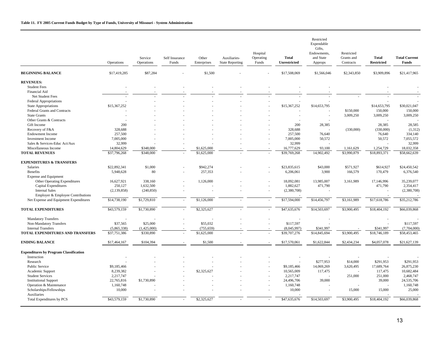|                                               | Operations    | Service<br>Operations | Self Insurance<br>Funds | Other<br>Enterprises | Auxiliaries-<br><b>State Reporting</b> | Hospital<br>Operating<br>Funds | <b>Total</b><br><b>Unrestricted</b> | Restricted<br>Expendable<br>Gifts,<br>Endowments.<br>and State<br>Approps | Restricted<br>Grants and<br>Contracts | <b>Total</b><br><b>Restricted</b> | <b>Total Current</b><br><b>Funds</b> |
|-----------------------------------------------|---------------|-----------------------|-------------------------|----------------------|----------------------------------------|--------------------------------|-------------------------------------|---------------------------------------------------------------------------|---------------------------------------|-----------------------------------|--------------------------------------|
| <b>BEGINNING BALANCE</b>                      | \$17,419,285  | \$87,284              |                         | \$1,500              |                                        |                                | \$17,508,069                        | \$1,566,046                                                               | \$2,343,850                           | \$3,909,896                       | \$21,417,965                         |
| <b>REVENUES:</b>                              |               |                       |                         |                      |                                        |                                |                                     |                                                                           |                                       |                                   |                                      |
| <b>Student Fees</b>                           |               |                       |                         |                      |                                        |                                |                                     |                                                                           |                                       |                                   |                                      |
| Financial Aid                                 |               |                       |                         |                      |                                        |                                |                                     |                                                                           |                                       |                                   |                                      |
| Net Student Fees                              |               |                       |                         |                      |                                        |                                |                                     |                                                                           |                                       |                                   |                                      |
| <b>Federal Appropriations</b>                 |               |                       |                         |                      |                                        |                                |                                     |                                                                           |                                       |                                   |                                      |
| <b>State Appropriations</b>                   | \$15,367,252  |                       |                         |                      |                                        |                                | \$15,367,252                        | \$14,653,795                                                              |                                       | \$14,653,795                      | \$30,021,047                         |
| Federal Grants and Contracts                  |               |                       |                         |                      |                                        |                                |                                     |                                                                           | \$150,000                             | 150,000                           | 150,000                              |
| <b>State Grants</b>                           |               |                       |                         |                      |                                        |                                |                                     | ٠                                                                         | 3,009,250                             | 3,009,250                         | 3,009,250                            |
| Other Grants & Contracts                      |               |                       |                         |                      |                                        |                                |                                     |                                                                           |                                       |                                   |                                      |
| Gift Income                                   | 200           |                       |                         |                      |                                        |                                | 200                                 | 28,385                                                                    |                                       | 28,385                            | 28,585                               |
| Recovery of F&A                               | 328,688       |                       |                         |                      |                                        |                                | 328,688                             |                                                                           | (330,000)                             | (330,000)                         | (1, 312)                             |
| <b>Endowment Income</b>                       | 257,500       |                       |                         |                      |                                        |                                | 257,500                             | 76,640                                                                    |                                       | 76,640                            | 334,140                              |
| <b>Investment Income</b>                      | 7,005,000     |                       |                         |                      |                                        |                                | 7,005,000                           | 50,572                                                                    |                                       | 50,572                            | 7,055,572                            |
| Sales & Services-Educ Act/Aux                 | 32,999        |                       |                         |                      |                                        |                                | 32,999                              |                                                                           |                                       |                                   | 32,999                               |
| Miscellaneous Income                          | 14,804,629    | \$348,000             |                         | \$1,625,000          |                                        |                                | 16,777,629                          | 93,100                                                                    | 1,161,629                             | 1,254,729                         | 18,032,358                           |
| <b>TOTAL REVENUES</b>                         | \$37,796,268  | \$348,000             |                         | \$1,625,000          |                                        |                                | \$39,769,268                        | 14,902,492                                                                | $\overline{33,990,879}$               | \$18,893,371                      | \$58,662,639                         |
| <b>EXPENDITURES &amp; TRANSFERS</b>           |               |                       |                         |                      |                                        |                                |                                     |                                                                           |                                       |                                   |                                      |
| <b>Salaries</b>                               | \$22,892,341  | \$1,000               |                         | \$942,274            |                                        |                                | \$23,835,615                        | \$43,000                                                                  | \$571,927                             | \$614,927                         | \$24,450,542                         |
| Benefits                                      | 5,948,628     | 80                    |                         | 257,353              |                                        |                                | 6,206,061                           | 3,900                                                                     | 166,579                               | 170,479                           | 6,376,540                            |
| <b>Expense and Equipment</b>                  |               |                       |                         |                      |                                        |                                |                                     |                                                                           |                                       |                                   |                                      |
| Other Operating Expenditures                  | 16,627,921    | 338,160               |                         | 1,126,000            |                                        |                                | 18,092,081                          | 13,985,007                                                                | 3,161,989                             | 17,146,996                        | 35,239,077                           |
| Capital Expenditures                          | 250,127       | 1,632,500             |                         |                      |                                        |                                | 1,882,627                           | 471,790                                                                   |                                       | 471,790                           | 2,354,417                            |
| <b>Internal Sales</b>                         | (2, 139, 858) | (240, 850)            |                         |                      |                                        |                                | (2,380,708)                         |                                                                           |                                       |                                   | (2,380,708)                          |
| Employer & Employee Contributions             |               |                       |                         |                      |                                        |                                |                                     |                                                                           |                                       |                                   |                                      |
| Net Expense and Equipment Expenditures        | \$14,738,190  | \$1,729,810           | $\sim$                  | \$1,126,000          |                                        |                                | \$17,594,000                        | \$14,456,797                                                              | \$3,161,989                           | \$17,618,786                      | \$35,212,786                         |
| <b>TOTAL EXPENDITURES</b>                     | \$43,579,159  | \$1,730,890           | ×.                      | \$2,325,627          |                                        |                                | \$47,635,676                        | \$14,503,697                                                              | \$3,900,495                           | \$18,404,192                      | \$66,039,868                         |
| <b>Mandatory Transfers</b>                    |               |                       |                         |                      |                                        |                                |                                     |                                                                           |                                       |                                   |                                      |
| Non-Mandatory Transfers                       | \$37,565      | \$25,000              |                         | \$55,032             |                                        |                                | \$117,597                           |                                                                           |                                       |                                   | \$117,597                            |
| <b>Internal Transfers</b>                     | (5,865,338)   | (1,425,000)           |                         | (755, 659)           |                                        |                                | (8,045,997)                         | \$341,997                                                                 |                                       | \$341,997                         | (7,704,000)                          |
| TOTAL EXPENDITURES AND TRANSFERS              | \$37,751,386  | \$330,890             |                         | \$1,625,000          |                                        |                                | \$39,707,276                        | \$14,845,694                                                              | \$3,900,495                           | \$18,746,189                      | \$58,453,465                         |
| <b>ENDING BALANCE</b>                         | \$17,464,167  | \$104,394             |                         | \$1,500              |                                        |                                | \$17,570,061                        | \$1,622,844                                                               | \$2,434,234                           | \$4,057,078                       | \$21,627,139                         |
| <b>Expenditures by Program Classification</b> |               |                       |                         |                      |                                        |                                |                                     |                                                                           |                                       |                                   |                                      |
| Instruction                                   |               |                       |                         |                      |                                        |                                |                                     |                                                                           |                                       |                                   |                                      |
| Research                                      |               |                       |                         |                      |                                        |                                |                                     | \$277,953                                                                 | \$14,000                              | \$291,953                         | \$291,953                            |
| <b>Public Service</b>                         | \$9,185,466   |                       |                         |                      |                                        |                                | \$9,185,466                         | 14,069,269                                                                | 3,620,495                             | 17,689,764                        | 26,875,230                           |
| Academic Support                              | 8,239,382     |                       |                         | \$2,325,627          |                                        |                                | 10,565,009                          | 117,475                                                                   |                                       | 117,475                           | 10,682,484                           |
| <b>Student Services</b>                       | 2,217,747     |                       |                         |                      |                                        |                                | 2,217,747                           |                                                                           | 251,000                               | 251,000                           | 2,468,747                            |
| <b>Institutional Support</b>                  | 22,765,816    | \$1,730,890           |                         |                      |                                        |                                | 24,496,706                          | 39,000                                                                    |                                       | 39,000                            | 24,535,706                           |
| Operation & Maintenance                       | 1,160,748     |                       |                         |                      |                                        |                                | 1,160,748                           |                                                                           |                                       |                                   | 1,160,748                            |
| Scholarships/Fellowships                      | 10,000        |                       |                         |                      |                                        |                                | 10,000                              | ä,                                                                        | 15,000                                | 15,000                            | 25,000                               |
| Auxiliaries                                   |               |                       |                         |                      |                                        |                                |                                     |                                                                           |                                       |                                   |                                      |
| Total Expenditures by PCS                     | \$43,579,159  | \$1,730,890           |                         | \$2,325,627          |                                        |                                | \$47,635,676                        | \$14,503,697                                                              | \$3,900,495                           | \$18,404,192                      | \$66,039,868                         |

=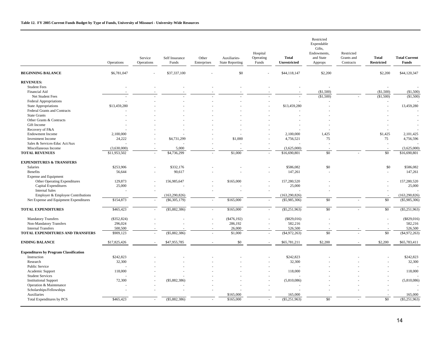|                                               | Operations   | Service<br>Operations | Self Insurance<br>Funds | Other<br>Enterprises | Auxiliaries-<br><b>State Reporting</b> | Hospital<br>Operating<br>Funds | <b>Total</b><br>Unrestricted | Restricted<br>Expendable<br>Gifts,<br>Endowments,<br>and State<br>Approps | Restricted<br>Grants and<br>Contracts | Total<br><b>Restricted</b> | <b>Total Current</b><br><b>Funds</b> |
|-----------------------------------------------|--------------|-----------------------|-------------------------|----------------------|----------------------------------------|--------------------------------|------------------------------|---------------------------------------------------------------------------|---------------------------------------|----------------------------|--------------------------------------|
| <b>BEGINNING BALANCE</b>                      | \$6,781,047  |                       | \$37,337,100            |                      | \$0                                    |                                | \$44,118,147                 | \$2,200                                                                   |                                       | \$2,200                    | \$44,120,347                         |
| <b>REVENUES:</b>                              |              |                       |                         |                      |                                        |                                |                              |                                                                           |                                       |                            |                                      |
| <b>Student Fees</b>                           |              |                       |                         |                      |                                        |                                |                              |                                                                           |                                       |                            |                                      |
| Financial Aid                                 |              |                       |                         |                      |                                        |                                |                              | (\$1,500)                                                                 |                                       | (\$1,500)                  | (\$1,500)                            |
| Net Student Fees                              |              |                       |                         |                      |                                        |                                |                              | (\$1,500)                                                                 |                                       | (\$1,500)                  | (\$1,500)                            |
| <b>Federal Appropriations</b>                 |              |                       |                         |                      |                                        |                                |                              |                                                                           |                                       |                            |                                      |
| <b>State Appropriations</b>                   | \$13,459,280 |                       |                         |                      |                                        |                                | \$13,459,280                 |                                                                           |                                       |                            | 13,459,280                           |
| Federal Grants and Contracts                  |              |                       |                         |                      |                                        |                                |                              |                                                                           |                                       |                            |                                      |
| <b>State Grants</b>                           |              |                       |                         |                      |                                        |                                |                              |                                                                           |                                       |                            |                                      |
| Other Grants & Contracts                      |              |                       |                         |                      |                                        |                                |                              |                                                                           |                                       |                            |                                      |
| Gift Income                                   |              |                       |                         |                      |                                        |                                |                              |                                                                           |                                       |                            |                                      |
| Recovery of F&A                               |              |                       |                         |                      |                                        |                                |                              |                                                                           |                                       |                            |                                      |
| <b>Endowment Income</b>                       | 2,100,000    |                       |                         |                      |                                        |                                | 2,100,000                    | 1,425                                                                     |                                       | \$1,425                    | 2,101,425                            |
| <b>Investment Income</b>                      | 24,222       |                       | \$4,731,299             |                      | \$1,000                                |                                | 4,756,521                    | 75                                                                        |                                       | 75                         | 4,756,596                            |
| Sales & Services-Educ Act/Aux                 |              |                       |                         |                      |                                        |                                |                              |                                                                           |                                       |                            |                                      |
| Miscellaneous Income                          | (3,630,000)  |                       | 5,000                   |                      |                                        |                                | (3,625,000)                  |                                                                           |                                       |                            | (3,625,000)                          |
| <b>TOTAL REVENUES</b>                         | \$11,953,502 |                       | \$4,736,299             |                      | \$1,000                                |                                | \$16,690,801                 | $\overline{50}$                                                           |                                       | $\sqrt{50}$                | \$16,690,801                         |
| <b>EXPENDITURES &amp; TRANSFERS</b>           |              |                       |                         |                      |                                        |                                |                              |                                                                           |                                       |                            |                                      |
| Salaries                                      | \$253,906    |                       | \$332,176               |                      |                                        |                                | \$586,082                    | \$0                                                                       |                                       | \$0                        | \$586,082                            |
| Benefits                                      | 56,644       |                       | 90,617                  |                      |                                        |                                | 147,261                      |                                                                           |                                       |                            | 147,261                              |
| <b>Expense and Equipment</b>                  |              |                       |                         |                      |                                        |                                |                              |                                                                           |                                       |                            |                                      |
| Other Operating Expenditures                  | 129,873      |                       | 156,985,647             |                      | \$165,000                              |                                | 157,280,520                  |                                                                           |                                       |                            | 157,280,520                          |
| Capital Expenditures                          | 25,000       |                       |                         |                      |                                        |                                | 25,000                       |                                                                           |                                       |                            | 25,000                               |
| <b>Internal Sales</b>                         |              |                       |                         |                      |                                        |                                |                              |                                                                           |                                       |                            |                                      |
| Employer & Employee Contributions             |              |                       | (163, 290, 826)         |                      |                                        |                                | (163, 290, 826)              |                                                                           |                                       |                            | (163, 290, 826)                      |
| Net Expense and Equipment Expenditures        | \$154,873    |                       | ( \$6,305,179)          | ×.                   | \$165,000                              |                                | $(\$5,985,306)$              | \$0                                                                       |                                       | \$0                        | $(\$5,985,306)$                      |
|                                               |              |                       |                         |                      |                                        |                                |                              |                                                                           |                                       |                            |                                      |
| <b>TOTAL EXPENDITURES</b>                     | \$465,423    | $\sim$                | $(\$5,882,386)$         | $\sim$               | \$165,000                              | $\sim$                         | $(\$5,251,963)$              | $\overline{50}$                                                           |                                       | \$0                        | $(\$5,251,963)$                      |
| <b>Mandatory Transfers</b>                    | (\$352,824)  |                       |                         |                      | $(*476,192)$                           |                                | (\$829,016)                  |                                                                           |                                       |                            | $(\$829,016)$                        |
| Non-Mandatory Transfers                       | 296,024      |                       |                         |                      | 286,192                                |                                | 582,216                      |                                                                           |                                       |                            | 582,216                              |
| <b>Internal Transfers</b>                     | 500,500      |                       |                         |                      | 26,000                                 |                                | 526,500                      |                                                                           |                                       |                            | 526,500                              |
| TOTAL EXPENDITURES AND TRANSFERS              | \$909,123    | ÷,                    | $(\$5,882,386)$         | ×.                   | \$1,000                                | $\sim$                         | ( \$4,972,263)               | \$0                                                                       |                                       | \$0                        | (\$4,972,263)                        |
| <b>ENDING BALANCE</b>                         | \$17,825,426 |                       | \$47,955,785            |                      | \$0                                    |                                | \$65,781,211                 | \$2,200                                                                   |                                       | \$2,200                    | \$65,783,411                         |
|                                               |              |                       |                         |                      |                                        |                                |                              |                                                                           |                                       |                            |                                      |
| <b>Expenditures by Program Classification</b> |              |                       |                         |                      |                                        |                                |                              |                                                                           |                                       |                            |                                      |
| Instruction                                   | \$242,823    |                       |                         |                      |                                        |                                | \$242,823                    |                                                                           |                                       |                            | \$242,823                            |
| Research                                      | 32,300       |                       |                         |                      |                                        |                                | 32,300                       |                                                                           |                                       |                            | 32,300                               |
| Public Service                                |              |                       |                         |                      |                                        |                                |                              |                                                                           |                                       |                            |                                      |
| Academic Support                              | 118,000      |                       |                         |                      |                                        |                                | 118,000                      |                                                                           |                                       |                            | 118,000                              |
| <b>Student Services</b>                       |              |                       |                         |                      |                                        |                                |                              |                                                                           |                                       |                            |                                      |
| <b>Institutional Support</b>                  | 72,300       |                       | $(\$5,882,386)$         |                      |                                        |                                | (5,810,086)                  |                                                                           |                                       |                            | (5,810,086)                          |
| Operation & Maintenance                       |              |                       |                         |                      |                                        |                                |                              |                                                                           |                                       |                            |                                      |
| Scholarships/Fellowships                      |              |                       |                         |                      |                                        |                                |                              |                                                                           |                                       |                            |                                      |
| Auxiliaries                                   | \$465,423    | $\sim$                |                         |                      | \$165,000                              |                                | 165,000<br>$(\$5,251,963)$   | $\overline{50}$                                                           |                                       | $\sqrt{50}$                | 165,000<br>$(\$5,251,963)$           |
| Total Expenditures by PCS                     |              |                       | $(\$5,882,386)$         |                      | \$165,000                              |                                |                              |                                                                           |                                       |                            |                                      |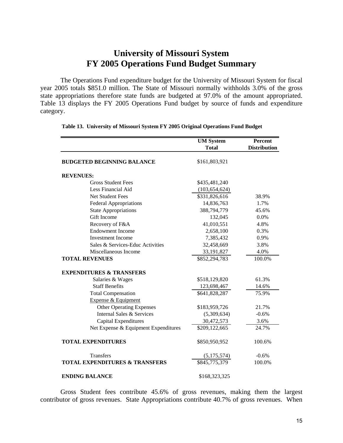## **University of Missouri System FY 2005 Operations Fund Budget Summary**

The Operations Fund expenditure budget for the University of Missouri System for fiscal year 2005 totals \$851.0 million. The State of Missouri normally withholds 3.0% of the gross state appropriations therefore state funds are budgeted at 97.0% of the amount appropriated. Table 13 displays the FY 2005 Operations Fund budget by source of funds and expenditure category.

|                                           | <b>UM</b> System | Percent             |
|-------------------------------------------|------------------|---------------------|
|                                           | <b>Total</b>     | <b>Distribution</b> |
| <b>BUDGETED BEGINNING BALANCE</b>         | \$161,803,921    |                     |
| <b>REVENUES:</b>                          |                  |                     |
| <b>Gross Student Fees</b>                 | \$435,481,240    |                     |
| Less Financial Aid                        | (103, 654, 624)  |                     |
| Net Student Fees                          | \$331,826,616    | 38.9%               |
| <b>Federal Appropriations</b>             | 14,836,763       | 1.7%                |
| <b>State Appropriations</b>               | 388,794,779      | 45.6%               |
| Gift Income                               | 132,045          | 0.0%                |
| Recovery of F&A                           | 41,010,551       | 4.8%                |
| <b>Endowment Income</b>                   | 2,658,100        | 0.3%                |
| <b>Investment Income</b>                  | 7,385,432        | 0.9%                |
| Sales & Services-Educ Activities          | 32,458,669       | 3.8%                |
| Miscellaneous Income                      | 33,191,827       | 4.0%                |
| <b>TOTAL REVENUES</b>                     | \$852,294,783    | 100.0%              |
| <b>EXPENDITURES &amp; TRANSFERS</b>       |                  |                     |
| Salaries & Wages                          | \$518,129,820    | 61.3%               |
| <b>Staff Benefits</b>                     | 123,698,467      | 14.6%               |
| <b>Total Compensation</b>                 | \$641,828,287    | 75.9%               |
| Expense & Equipment                       |                  |                     |
| <b>Other Operating Expenses</b>           | \$183,959,726    | 21.7%               |
| Internal Sales & Services                 | (5,309,634)      | $-0.6%$             |
| Capital Expenditures                      | 30,472,573       | 3.6%                |
| Net Expense & Equipment Expenditures      | \$209,122,665    | 24.7%               |
| <b>TOTAL EXPENDITURES</b>                 | \$850,950,952    | 100.6%              |
| <b>Transfers</b>                          | (5,175,574)      | $-0.6%$             |
| <b>TOTAL EXPENDITURES &amp; TRANSFERS</b> | \$845,775,379    | 100.0%              |
| <b>ENDING BALANCE</b>                     | \$168,323,325    |                     |

### **Table 13. University of Missouri System FY 2005 Original Operations Fund Budget**

Gross Student fees contribute 45.6% of gross revenues, making them the largest contributor of gross revenues. State Appropriations contribute 40.7% of gross revenues. When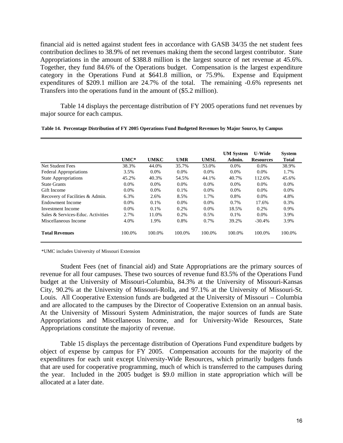financial aid is netted against student fees in accordance with GASB 34/35 the net student fees contribution declines to 38.9% of net revenues making them the second largest contributor. State Appropriations in the amount of \$388.8 million is the largest source of net revenue at 45.6%. Together, they fund 84.6% of the Operations budget. Compensation is the largest expenditure category in the Operations Fund at \$641.8 million, or 75.9%. Expense and Equipment expenditures of \$209.1 million are 24.7% of the total. The remaining -0.6% represents net Transfers into the operations fund in the amount of (\$5.2 million).

Table 14 displays the percentage distribution of FY 2005 operations fund net revenues by major source for each campus.

|                                   |         |         |            |             | <b>UM</b> System | <b>U-Wide</b>    | <b>System</b> |
|-----------------------------------|---------|---------|------------|-------------|------------------|------------------|---------------|
|                                   | $UMC*$  | UMKC    | <b>UMR</b> | <b>UMSL</b> | Admin.           | <b>Resources</b> | Total         |
| Net Student Fees                  | 38.3%   | 44.0%   | 35.7%      | 53.0%       | $0.0\%$          | $0.0\%$          | 38.9%         |
| <b>Federal Appropriations</b>     | 3.5%    | $0.0\%$ | $0.0\%$    | $0.0\%$     | $0.0\%$          | $0.0\%$          | 1.7%          |
| <b>State Appropriations</b>       | 45.2%   | 40.3%   | 54.5%      | 44.1%       | 40.7%            | 112.6%           | 45.6%         |
| <b>State Grants</b>               | $0.0\%$ | $0.0\%$ | $0.0\%$    | $0.0\%$     | $0.0\%$          | $0.0\%$          | $0.0\%$       |
| Gift Income                       | $0.0\%$ | $0.0\%$ | 0.1%       | $0.0\%$     | $0.0\%$          | $0.0\%$          | $0.0\%$       |
| Recovery of Facilities & Admin.   | 6.3%    | 2.6%    | 8.5%       | 1.7%        | 0.8%             | 0.0%             | 4.8%          |
| Endowment Income                  | $0.0\%$ | $0.1\%$ | $0.0\%$    | $0.0\%$     | $0.7\%$          | 17.6%            | 0.3%          |
| Investment Income                 | $0.0\%$ | $0.1\%$ | 0.2%       | $0.0\%$     | 18.5%            | $0.2\%$          | 0.9%          |
| Sales & Services-Educ. Activities | 2.7%    | 11.0%   | 0.2%       | 0.5%        | 0.1%             | $0.0\%$          | 3.9%          |
| Miscellaneous Income              | 4.0%    | 1.9%    | 0.8%       | $0.7\%$     | 39.2%            | $-30.4%$         | 3.9%          |
| <b>Total Revenues</b>             | 100.0%  | 100.0%  | 100.0%     | 100.0%      | 100.0%           | 100.0%           | 100.0%        |

**Table 14. Percentage Distribution of FY 2005 Operations Fund Budgeted Revenues by Major Source, by Campus**

\*UMC includes University of Missouri Extension

Student Fees (net of financial aid) and State Appropriations are the primary sources of revenue for all four campuses. These two sources of revenue fund 83.5% of the Operations Fund budget at the University of Missouri-Columbia, 84.3% at the University of Missouri-Kansas City, 90.2% at the University of Missouri-Rolla, and 97.1% at the University of Missouri-St. Louis. All Cooperative Extension funds are budgeted at the University of Missouri – Columbia and are allocated to the campuses by the Director of Cooperative Extension on an annual basis. At the University of Missouri System Administration, the major sources of funds are State Appropriations and Miscellaneous Income, and for University-Wide Resources, State Appropriations constitute the majority of revenue.

Table 15 displays the percentage distribution of Operations Fund expenditure budgets by object of expense by campus for FY 2005. Compensation accounts for the majority of the expenditures for each unit except University-Wide Resources, which primarily budgets funds that are used for cooperative programming, much of which is transferred to the campuses during the year. Included in the 2005 budget is \$9.0 million in state appropriation which will be allocated at a later date.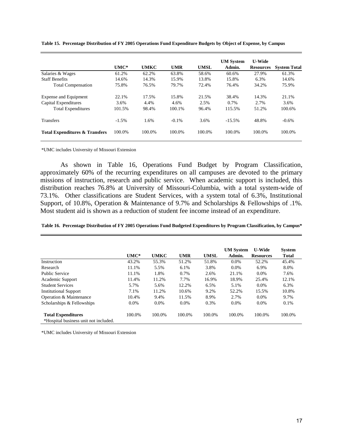|                                           | $UMC*$  | <b>UMKC</b> | <b>UMR</b> | <b>UMSL</b> | <b>UM System</b><br>Admin. | <b>U-Wide</b><br><b>Resources</b> | <b>System Total</b> |
|-------------------------------------------|---------|-------------|------------|-------------|----------------------------|-----------------------------------|---------------------|
| Salaries & Wages                          | 61.2%   | 62.2%       | 63.8%      | 58.6%       | 60.6%                      | 27.9%                             | 61.3%               |
| <b>Staff Benefits</b>                     | 14.6%   | 14.3%       | 15.9%      | 13.8%       | 15.8%                      | 6.3%                              | 14.6%               |
| <b>Total Compensation</b>                 | 75.8%   | 76.5%       | 79.7%      | 72.4%       | 76.4%                      | 34.2%                             | 75.9%               |
| Expense and Equipment                     | 22.1%   | 17.5%       | 15.8%      | 21.5%       | 38.4%                      | 14.3%                             | 21.1%               |
| Capital Expenditures                      | 3.6%    | 4.4%        | 4.6%       | 2.5%        | 0.7%                       | 2.7%                              | 3.6%                |
| <b>Total Expenditures</b>                 | 101.5%  | 98.4%       | 100.1%     | 96.4%       | 115.5%                     | 51.2%                             | 100.6%              |
| <b>Transfers</b>                          | $-1.5%$ | 1.6%        | $-0.1\%$   | 3.6%        | $-15.5%$                   | 48.8%                             | $-0.6%$             |
| <b>Total Expenditures &amp; Transfers</b> | 100.0%  | 100.0%      | 100.0%     | 100.0%      | 100.0%                     | 100.0%                            | 100.0%              |

**Table 15. Percentage Distribution of FY 2005 Operations Fund Expenditure Budgets by Object of Expense, by Campus**

\*UMC includes University of Missouri Extension

As shown in Table 16, Operations Fund Budget by Program Classification, approximately 60% of the recurring expenditures on all campuses are devoted to the primary missions of instruction, research and public service. When academic support is included, this distribution reaches 76.8% at University of Missouri-Columbia, with a total system-wide of 73.1%. Other classifications are Student Services, with a system total of 6.3%, Institutional Support, of 10.8%, Operation & Maintenance of 9.7% and Scholarships & Fellowships of .1%. Most student aid is shown as a reduction of student fee income instead of an expenditure.

| Table 16. Percentage Distribution of FY 2005 Operations Fund Budgeted Expenditures by Program Classification, by Campus* |  |
|--------------------------------------------------------------------------------------------------------------------------|--|
|--------------------------------------------------------------------------------------------------------------------------|--|

|                                       | $UMC*$ | <b>UMKC</b> | <b>UMR</b> | <b>UMSL</b> | <b>UM System</b><br>Admin. | <b>U-Wide</b><br><b>Resources</b> | <b>System</b><br><b>Total</b> |
|---------------------------------------|--------|-------------|------------|-------------|----------------------------|-----------------------------------|-------------------------------|
| Instruction                           | 43.2%  | 55.3%       | 51.2%      | 51.8%       | 0.0%                       | 52.2%                             | 45.4%                         |
| Research                              | 11.1%  | 5.5%        | 6.1%       | 3.8%        | $0.0\%$                    | 6.9%                              | 8.0%                          |
| <b>Public Service</b>                 | 11.1%  | 1.8%        | 0.7%       | 2.6%        | 21.1%                      | 0.0%                              | 7.6%                          |
| Academic Support                      | 11.4%  | 11.2%       | 7.7%       | 16.9%       | 18.9%                      | 25.4%                             | 12.1%                         |
| <b>Student Services</b>               | 5.7%   | 5.6%        | 12.2%      | 6.5%        | 5.1%                       | $0.0\%$                           | 6.3%                          |
| <b>Institutional Support</b>          | 7.1%   | 11.2%       | 10.6%      | 9.2%        | 52.2%                      | 15.5%                             | 10.8%                         |
| Operation & Maintenance               | 10.4%  | 9.4%        | 11.5%      | 8.9%        | 2.7%                       | $0.0\%$                           | 9.7%                          |
| Scholarships & Fellowships            | 0.0%   | $0.0\%$     | $0.0\%$    | 0.3%        | $0.0\%$                    | $0.0\%$                           | 0.1%                          |
| <b>Total Expenditures</b>             | 100.0% | 100.0%      | 100.0%     | 100.0%      | 100.0%                     | 100.0%                            | 100.0%                        |
| *Hospital business unit not included. |        |             |            |             |                            |                                   |                               |

\*UMC includes University of Missouri Extension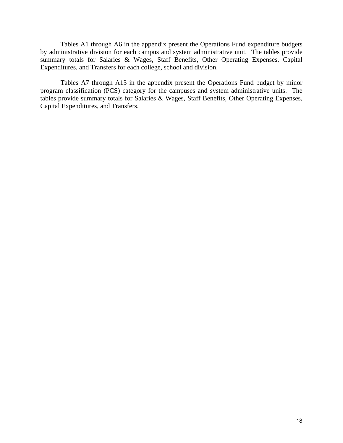Tables A1 through A6 in the appendix present the Operations Fund expenditure budgets by administrative division for each campus and system administrative unit. The tables provide summary totals for Salaries & Wages, Staff Benefits, Other Operating Expenses, Capital Expenditures, and Transfers for each college, school and division.

Tables A7 through A13 in the appendix present the Operations Fund budget by minor program classification (PCS) category for the campuses and system administrative units. The tables provide summary totals for Salaries & Wages, Staff Benefits, Other Operating Expenses, Capital Expenditures, and Transfers.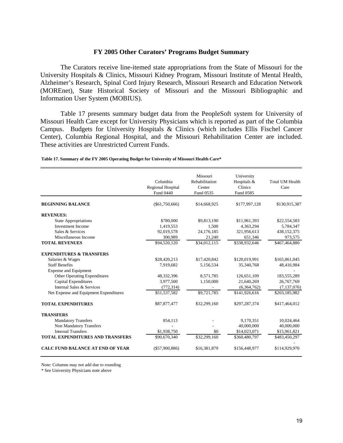### **FY 2005 Other Curators' Programs Budget Summary**

 The Curators receive line-itemed state appropriations from the State of Missouri for the University Hospitals & Clinics, Missouri Kidney Program, Missouri Institute of Mental Health, Alzheimer's Research, Spinal Cord Injury Research, Missouri Research and Education Network (MOREnet), State Historical Society of Missouri and the Missouri Bibliographic and Information User System (MOBIUS).

Table 17 presents summary budget data from the PeopleSoft system for University of Missouri Health Care except for University Physicians which is reported as part of the Columbia Campus. Budgets for University Hospitals & Clinics (which includes Ellis Fischel Cancer Center), Columbia Regional Hospital, and the Missouri Rehabilitation Center are included. These activities are Unrestricted Current Funds.

|                                         | Columbia<br>Regional Hospital<br>Fund 0440 | Missouri<br>Rehabilitation<br>Center<br>Fund 0535 | University<br>Hospitals &<br>Clinics<br>Fund 0585 | <b>Total UM Health</b><br>Care |
|-----------------------------------------|--------------------------------------------|---------------------------------------------------|---------------------------------------------------|--------------------------------|
| <b>BEGINNING BALANCE</b>                | $(\$61,750,666)$                           | \$14,668,925                                      | \$177,997,128                                     | \$130,915,387                  |
| <b>REVENUES:</b>                        |                                            |                                                   |                                                   |                                |
| <b>State Appropriations</b>             | \$780,000                                  | \$9,813,190                                       | \$11,961,393                                      | \$22,554,583                   |
| <b>Investment Income</b>                | 1,419,553                                  | 1.500                                             | 4,363,294                                         | 5,784,347                      |
| Sales & Services                        | 92,019,578                                 | 24,176,185                                        | 321,956,613                                       | 438,152,375                    |
| Miscellaneous Income                    | 300,989                                    | 21,240                                            | 651,346                                           | 973,575                        |
| <b>TOTAL REVENUES</b>                   | \$94,520,120                               | \$34,012,115                                      | \$338,932,646                                     | \$467,464,880                  |
| <b>EXPENDITURES &amp; TRANSFERS</b>     |                                            |                                                   |                                                   |                                |
| Salaries & Wages                        | \$28,420,213                               | \$17,420,842                                      | \$120,019,991                                     | \$165,861,045                  |
| <b>Staff Benefits</b>                   | 7,919,682                                  | 5,156,534                                         | 35,340,768                                        | 48,416,984                     |
| <b>Expense and Equipment</b>            |                                            |                                                   |                                                   |                                |
| <b>Other Operating Expenditures</b>     | 48,332,396                                 | 8,571,785                                         | 126,651,109                                       | 183,555,289                    |
| Capital Expenditures                    | 3,977,500                                  | 1,150,000                                         | 21,640,269                                        | 26,767,769                     |
| Internal Sales & Services               | (772, 314)                                 |                                                   | (6,364,762)                                       | (7,137,076)                    |
| Net Expense and Equipment Expenditures  | \$51,537,582                               | \$9,721,785                                       | \$141,926,616                                     | \$203,185,982                  |
| <b>TOTAL EXPENDITURES</b>               | \$87,877,477                               | \$32,299,160                                      | \$297,287,374                                     | \$417,464,012                  |
| <b>TRANSFERS</b>                        |                                            |                                                   |                                                   |                                |
| <b>Mandatory Transfers</b>              | 854,113                                    |                                                   | 9,170,351                                         | 10,024,464                     |
| Non Mandatory Transfers                 |                                            |                                                   | 40,000,000                                        | 40,000,000                     |
| <b>Internal Transfers</b>               | \$1,938,750                                | \$0                                               | \$14,023,071                                      | \$15,961,821                   |
| <b>TOTAL EXPENDITURES AND TRANSFERS</b> | \$90,670,340                               | \$32,299,160                                      | \$360,480,797                                     | \$483,450,297                  |
| <b>CALC FUND BALANCE AT END OF YEAR</b> | ( \$57,900,886)                            | \$16,381,879                                      | \$156,448,977                                     | \$114,929,970                  |

**Table 17. Summary of the FY 2005 Operating Budget for University of Missouri Health Care\***

Note: Columns may not add due to rounding

\* See University Physicians note above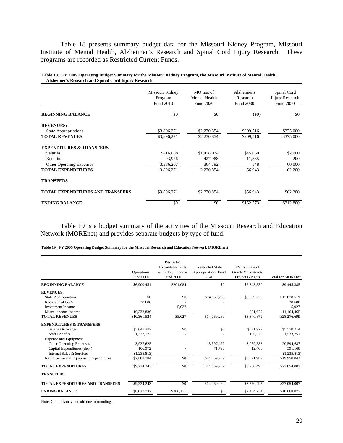Table 18 presents summary budget data for the Missouri Kidney Program, Missouri Institute of Mental Health, Alzheimer's Research and Spinal Cord Injury Research. These programs are recorded as Restricted Current Funds.

|                                         | Missouri Kidney<br>Program<br>Fund 2010 | MO Inst of<br>Mental Health<br>Fund 2020 | Alzheimer's<br>Research<br>Fund 2030 | Spinal Cord<br><b>Injury Research</b><br>Fund 2050 |
|-----------------------------------------|-----------------------------------------|------------------------------------------|--------------------------------------|----------------------------------------------------|
| <b>BEGINNING BALANCE</b>                | \$0                                     | \$0                                      | (50)                                 | \$0                                                |
| <b>REVENUES:</b>                        |                                         |                                          |                                      |                                                    |
| <b>State Appropriations</b>             | \$3,896,271                             | \$2,230,854                              | \$209,516                            | \$375,000                                          |
| <b>TOTAL REVENUES</b>                   | \$3,896,271                             | \$2,230,854                              | \$209,516                            | \$375,000                                          |
| <b>EXPENDITURES &amp; TRANSFERS</b>     |                                         |                                          |                                      |                                                    |
| <b>Salaries</b>                         | \$416,088                               | \$1,438,074                              | \$45,060                             | \$2,000                                            |
| <b>Benefits</b>                         | 93,976                                  | 427,988                                  | 11,335                               | 200                                                |
| <b>Other Operating Expenses</b>         | 3,386,207                               | 364,792                                  | 548                                  | 60,000                                             |
| <b>TOTAL EXPENDITURES</b>               | 3,896,271                               | 2,230,854                                | 56,943                               | 62,200                                             |
| <b>TRANSFERS</b>                        |                                         |                                          |                                      |                                                    |
| <b>TOTAL EXPENDITURES AND TRANSFERS</b> | \$3,896,271                             | \$2,230,854                              | \$56,943                             | \$62,200                                           |
| <b>ENDING BALANCE</b>                   | \$0                                     | \$0                                      | \$152,573                            | \$312,800                                          |

**Table 18. FY 2005 Operating Budget Summary for the Missouri Kidney Program, the Missouri Institute of Mental Health, Alzheimer's Research and Spinal Cord Injury Research**

Table 19 is a budget summary of the activities of the Missouri Research and Education Network (MOREnet) and provides separate budgets by type of fund.

**Table 19. FY 2005 Operating Budget Summary for the Missouri Research and Education Network (MOREnet)**

|                                         | Operations       | Restricted<br><b>Expendable Gifts</b><br>& Endow. Income | <b>Restricted State</b><br><b>Appropriations Fund</b> | FY Estimate of<br>Grants & Contracts |                          |
|-----------------------------------------|------------------|----------------------------------------------------------|-------------------------------------------------------|--------------------------------------|--------------------------|
|                                         | <b>Fund 0000</b> | <b>Fund 2000</b>                                         | 2040                                                  | <b>Project Budgets</b>               | <b>Total for MOREnet</b> |
| <b>BEGINNING BALANCE</b>                | \$6,900,451      | \$201,084                                                | \$0                                                   | \$2,343,850                          | \$9,445,385              |
| <b>REVENUES:</b>                        |                  |                                                          |                                                       |                                      |                          |
| <b>State Appropriations</b>             | \$0              | \$0                                                      | \$14,069,269                                          | \$3,009,250                          | \$17,078,519             |
| Recovery of F&A                         | 28.688           |                                                          |                                                       |                                      | 28.688                   |
| <b>Investment Income</b>                |                  | 5,027                                                    |                                                       |                                      | 5,027                    |
| Miscellaneous Income                    | 10.332.836       |                                                          |                                                       | 831.629                              | 11,164,465               |
| <b>TOTAL REVENUES</b>                   | \$10,361,524     | \$5,027                                                  | \$14,069,269                                          | \$3,840,879                          | \$28,276,699             |
| <b>EXPENDITURES &amp; TRANSFERS</b>     |                  |                                                          |                                                       |                                      |                          |
| Salaries & Wages                        | \$5,048,287      | \$0                                                      | \$0                                                   | \$521,927                            | \$5,570,214              |
| <b>Staff Benefits</b>                   | 1,377,172        |                                                          |                                                       | 156,579                              | 1,533,751                |
| <b>Expense and Equipment</b>            |                  |                                                          |                                                       |                                      |                          |
| Other Operating Expenses                | 3,937,625        |                                                          | 13.597.479                                            | 3,059,583                            | 20,594,687               |
| Capital Expenditures (depr)             | 106.972          |                                                          | 471,790                                               | 12,406                               | 591,168                  |
| Internal Sales & Services               | (1,235,813)      |                                                          |                                                       |                                      | (1,235,813)              |
| Net Expense and Equipment Expenditures  | \$2,808,784      | $\overline{50}$                                          | \$14,069,269                                          | \$3,071,989                          | \$19,950,042             |
| <b>TOTAL EXPENDITURES</b>               | \$9,234,243      | \$0                                                      | \$14,069,269                                          | \$3,750,495                          | \$27,054,007             |
| <b>TRANSFERS</b>                        |                  |                                                          |                                                       |                                      |                          |
| <b>TOTAL EXPENDITURES AND TRANSFERS</b> | \$9,234,243      | \$0                                                      | \$14,069,269                                          | \$3,750,495                          | \$27,054,007             |
| <b>ENDING BALANCE</b>                   | \$8,027,732      | \$206.111                                                | \$0                                                   | \$2,434,234                          | \$10,668,077             |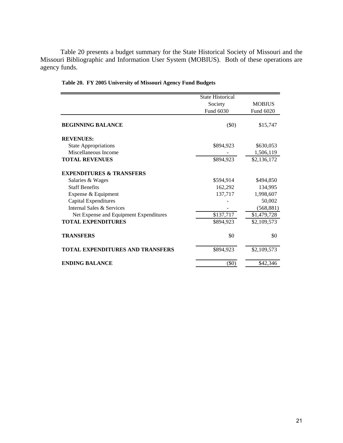Table 20 presents a budget summary for the State Historical Society of Missouri and the Missouri Bibliographic and Information User System (MOBIUS). Both of these operations are agency funds.

|                                         | <b>State Historical</b> |               |
|-----------------------------------------|-------------------------|---------------|
|                                         | Society                 | <b>MOBIUS</b> |
|                                         | Fund 6030               | Fund 6020     |
| <b>BEGINNING BALANCE</b>                | $(\$0)$                 | \$15,747      |
| <b>REVENUES:</b>                        |                         |               |
| <b>State Appropriations</b>             | \$894,923               | \$630,053     |
| Miscellaneous Income                    |                         | 1,506,119     |
| <b>TOTAL REVENUES</b>                   | \$894,923               | \$2,136,172   |
| <b>EXPENDITURES &amp; TRANSFERS</b>     |                         |               |
| Salaries & Wages                        | \$594,914               | \$494,850     |
| <b>Staff Benefits</b>                   | 162,292                 | 134,995       |
| Expense & Equipment                     | 137,717                 | 1,998,607     |
| Capital Expenditures                    |                         | 50,002        |
| Internal Sales & Services               |                         | (568, 881)    |
| Net Expense and Equipment Expenditures  | \$137,717               | \$1,479,728   |
| <b>TOTAL EXPENDITURES</b>               | \$894,923               | \$2,109,573   |
| <b>TRANSFERS</b>                        | \$0                     | \$0           |
| <b>TOTAL EXPENDITURES AND TRANSFERS</b> | \$894,923               | \$2,109,573   |
| <b>ENDING BALANCE</b>                   | $(\$0)$                 | \$42,346      |

**Table 20. FY 2005 University of Missouri Agency Fund Budgets**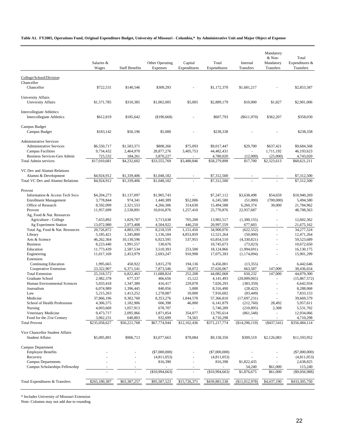#### **Table A1. FY2005, Operations Fund, Original Expenditure Budget, University of Missouri - Columbia,\* by Administrative Unit and Major Object of Expense**

|                                                           | Salaries &<br>Wages      | <b>Staff Benefits</b>  | Other Operating<br>Expenses | Capital<br>Expenditures | Total<br>Expenditures    | Internal<br>Transfers       | Mandatory<br>& Non-<br>Mandatory<br>Transfers | Total<br>Expenditures &<br>Transfers |
|-----------------------------------------------------------|--------------------------|------------------------|-----------------------------|-------------------------|--------------------------|-----------------------------|-----------------------------------------------|--------------------------------------|
| College/School/Division                                   |                          |                        |                             |                         |                          |                             |                                               |                                      |
| Chancellor                                                |                          |                        |                             |                         |                          |                             |                                               |                                      |
| Chancellor                                                | \$722,531                | \$140,546              | \$309,293                   |                         | \$1,172,370              | \$1,681,217                 |                                               | \$2,853,587                          |
| <b>University Affairs</b>                                 |                          |                        |                             |                         |                          |                             |                                               |                                      |
| <b>University Affairs</b>                                 | \$1,571,785              | \$310,385              | \$1,002,005                 | \$5,005                 | \$2,889,179              | \$10,000                    | \$1,827                                       | \$2,901,006                          |
| <b>Intercollegiate Athletics</b>                          |                          |                        |                             |                         |                          |                             |                                               |                                      |
| Intercollegiate Athletics                                 | \$612,819                | \$185,642              | (\$190,668)                 |                         | \$607,793                | (\$611,970)                 | \$362,207                                     | \$358,030                            |
| Campus Budget                                             |                          |                        |                             |                         |                          |                             |                                               |                                      |
| Campus Budget                                             | \$183,142                | \$50,196               | \$5,000                     |                         | \$238,338                |                             |                                               | \$238,338                            |
| <b>Administrative Services</b>                            |                          |                        |                             |                         |                          |                             |                                               |                                      |
| <b>Administrative Services</b>                            | \$6,550,717              | \$1,583,371            | \$808,266                   | \$75,093                | \$9,017,447              | \$29,700                    | \$637,421                                     | \$9,684,568                          |
| <b>Campus Facilities</b>                                  | 9,734,432                | 2,464,970              | 28,877,276                  | 3,405,753               | 44,482,431               | ÷                           | 1,711,192                                     | 46,193,623                           |
| <b>Business Services-Gen Admin</b>                        | 725,532                  | 184,261                | 3,870,227                   |                         | 4,780,020                | (12,000)                    | (25,000)                                      | 4,743,020                            |
| <b>Total Admin services</b>                               | \$17,010,681             | \$4,232,602            | \$33,555,769                | \$3,480,846             | \$58,279,898             | \$17,700                    | \$2,323,613                                   | \$60,621,211                         |
| VC Dev and Alumni Relations                               |                          |                        |                             |                         |                          |                             |                                               |                                      |
| Alumni & Development                                      | \$4,924,912              | \$1,339,406            | \$1,048,182                 |                         | \$7,312,500              |                             |                                               | \$7,312,500                          |
| Total VC Dev and Alumni Relations                         | \$4,924,912              | \$1,339,406            | \$1,048,182                 |                         | \$7,312,500              |                             |                                               | \$7,312,500                          |
| Provost                                                   |                          |                        |                             |                         |                          |                             |                                               |                                      |
| Information & Access Tech Svcs                            | \$4,204,273              | \$1,137,097            | \$1,905,743                 |                         | \$7,247,112              | \$3,638,498                 | \$54,659                                      | \$10,940,269                         |
| <b>Enrollment Management</b>                              | 3,778,844                | 974,341                | 1,440,389                   | \$52,006                | 6,245,580                | (51,000)                    | (700,000)                                     | 5,494,580                            |
| Office of Research                                        | 8,592,099                | 2,321,553              | 4,266,306                   | 314,630                 | 15,494,588               | 6,260,374                   | 30,000                                        | 21,784,962                           |
| Provost                                                   | 11,957,699               | 2,538,891              | 10,016,876                  | 1,257,410               | 25,770,876               | 22,937,687                  | $\sim$                                        | 48,708,563                           |
| Ag, Food & Nat. Resources                                 |                          |                        |                             |                         |                          |                             |                                               |                                      |
| Agriculture - College                                     | 7,653,892                | 1,829,787              | 3,713,638                   | 705,200                 | 13,902,517               | (1,300,155)                 | $\sim$                                        | 12,602,362                           |
| Ag Experiment Station<br>Total Ag, Food & Nat. Resources  | 13,072,980<br>20,726,872 | 2,973,408<br>4,803,195 | 4,504,922<br>8,218,559      | 446,250<br>1,151,450    | 20,997,559<br>34,900,076 | 677,603<br>(622, 552)       | $\sim$                                        | 21,675,162<br>34,277,524             |
| Library                                                   | 5,185,421                | 1,345,800              | 1,136,184                   | 4,853,859               | 12,521,264               | (50,000)                    |                                               | 12,471,264                           |
| Arts & Science                                            | 46,262,364               | 10,130,596             | 6,923,595                   | 537,955                 | 63,854,510               | (4,330,821)                 | ä,                                            | 59,523,689                           |
| <b>Business</b>                                           | 8,223,440                | 1,991,557              | 530,676                     |                         | 10,745,673               | (73, 023)                   | ä,                                            | 10,672,650                           |
| Education                                                 | 11,773,439               | 2,587,534              | 3,510,393                   | 253,500                 | 18,124,866               | (1,994,691)                 | $\overline{\phantom{a}}$                      | 16,130,175                           |
| Engineering                                               | 11,017,169               | 2,453,979              | 2,693,247                   | 910,998                 | 17,075,393               | (1,174,094)                 | $\sim$                                        | 15,901,299                           |
| Extension                                                 |                          |                        |                             |                         |                          |                             |                                               |                                      |
| Continuing Education                                      | 1,995,665                | 450,922                | 3,815,278                   | 194,136                 | 6,456,001                | (13, 355)                   | ÷.                                            | 6,442,646                            |
| Cooperative Extension                                     | 23,322,907               | 6,371,541              | 7,873,546                   | 58,072                  | 37,626,067               | 663,587                     | 147,000                                       | 38,436,654                           |
| <b>Total Extension</b>                                    | 25,318,572               | 6,822,463              | 11,688,824                  | 252,208                 | 44,082,068               | 650,232                     | 147,000                                       | 44,879,300                           |
| Graduate School                                           | 2,982,378                | 677,337                | 466,656                     | 15,122                  | 4, 141, 493              | (20,009,065)                |                                               | (15,867,572)                         |
| Human Environmental Sciences                              | 5,033,418                | 1,347,380              | 416,417                     | 229,078                 | 7,026,293                | (383, 359)                  | $\sim$                                        | 6,642,934                            |
| Journalism                                                | 6,074,989                | 1,396,445              | 840,056                     | 5,000                   | 8,316,490                | (28, 422)                   | $\sim$                                        | 8,288,068                            |
| Law<br>Medicine                                           | 5,215,263<br>37,866,196  | 1,413,252<br>9,302,760 | 1,278,087<br>8,353,276      | 10,000<br>1,844,578     | 7,916,602<br>57,366,810  | (83, 449)<br>(17, 697, 231) |                                               | 7,833,153<br>39,669,579              |
| School of Health Professions                              | 4,306,575                | 1,182,906              | 606,398                     | 46,000                  | 6, 141, 879              | (212,760)                   | 28,492                                        | 5,957,611                            |
| Nursing                                                   | 4,003,669                | 1,057,913              | 678,707                     |                         | 5,740,289                | (210, 895)                  | 2,308                                         | 5,531,702                            |
| Veterinary Medicine                                       | 9,473,717                | 2,095,966              | 1,871,854                   | 354,077                 | 13,795,614               | (861, 548)                  | ÷,                                            | 12,934,066                           |
| Food for the 21st Century                                 | 3,062,231                | 640,803                | 932,699                     | 74,565                  | 4,710,298                |                             |                                               | 4,710,298                            |
| <b>Total Provost</b>                                      | \$235,058,627            | \$56,221,768           | \$67,774,944                | \$12,162,436            | \$371,217,774            | (\$14,296,119)              | $(*437,541)$                                  | \$356,484,114                        |
|                                                           |                          |                        |                             |                         |                          |                             |                                               |                                      |
| Vice Chancellor Student Affairs<br><b>Student Affairs</b> | \$5,095,891              | \$906,713              | \$3,077,663                 | \$78,084                | \$9,158,350              | \$309,519                   | \$2,126,083                                   | \$11,593,952                         |
| Campus Department                                         |                          |                        |                             |                         |                          |                             |                                               |                                      |
| <b>Employee Benefits</b>                                  |                          |                        | $(\$7,000,000)$             |                         | $(\$7,000,000)$          |                             |                                               | $(\$7,000,000)$                      |
| Recovery                                                  |                          |                        | (4,811,053)                 |                         | (4,811,053)              |                             |                                               | (4,811,053)                          |
| <b>Campus Departments</b>                                 |                          |                        | 816,390                     |                         | 816,390                  | \$1,822,435                 |                                               | 2,638,825                            |
| Campus Scholarships Fellowship                            |                          |                        | (\$10,994,663)              |                         | (\$10,994,663)           | 54,240<br>\$1,876,675       | \$61,000<br>\$61,000                          | 115,240<br>$(\$9,056,988)$           |
|                                                           |                          |                        |                             |                         |                          |                             |                                               |                                      |
| Total Expenditures & Transfers                            | \$265,180,387            | \$63,387,257           | \$95,587,523                | \$15,726,371            | \$439,881,538            | (\$11,012,978)              | \$4,437,190                                   | \$433,305,750                        |

\* Includes University of Missouri Extension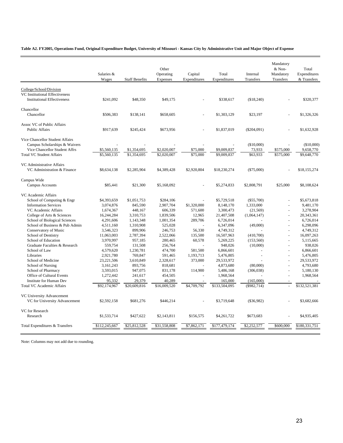**Table A2. FY2005, Operations Fund, Original Expenditure Budget, University of Missouri - Kansas City by Administrative Unit and Major Object of Expense**

|                                                             | Salaries &<br>Wages | <b>Staff Benefits</b> | Other<br>Operating<br>Expenses | Capital<br>Expenditures | Total<br>Expenditures | Internal<br>Transfers | Mandatory<br>& Non-<br>Mandatory<br>Transfers | Total<br>Expenditures<br>& Transfers |
|-------------------------------------------------------------|---------------------|-----------------------|--------------------------------|-------------------------|-----------------------|-----------------------|-----------------------------------------------|--------------------------------------|
|                                                             |                     |                       |                                |                         |                       |                       |                                               |                                      |
| College/School/Division                                     |                     |                       |                                |                         |                       |                       |                                               |                                      |
| VC Institutional Effectiveness                              |                     |                       |                                |                         |                       |                       |                                               |                                      |
| <b>Institutional Effectiveness</b>                          | \$241,092           | \$48,350              | \$49,175                       |                         | \$338,617             | (\$18,240)            |                                               | \$320,377                            |
| Chancellor                                                  |                     |                       |                                |                         |                       |                       |                                               |                                      |
| Chancellor                                                  | \$506,383           | \$138,141             | \$658,605                      |                         | \$1,303,129           | \$23,197              |                                               | \$1,326,326                          |
|                                                             |                     |                       |                                |                         |                       |                       |                                               |                                      |
| Assoc VC of Public Affairs                                  |                     |                       |                                |                         |                       |                       |                                               |                                      |
| <b>Public Affairs</b>                                       | \$917,639           | \$245,424             | \$673,956                      |                         | \$1,837,019           | $(\$204,091)$         |                                               | \$1,632,928                          |
|                                                             |                     |                       |                                |                         |                       |                       |                                               |                                      |
| Vice Chancellor Student Affairs                             |                     |                       |                                |                         |                       |                       |                                               |                                      |
| Campus Scholarships & Waivers                               |                     |                       |                                |                         |                       | (\$10,000)            |                                               | (\$10,000)                           |
| Vice Chancellor Student Affrs                               | \$5,560,135         | \$1,354,695           | \$2,020,007                    | \$75,000                | \$9,009,837           | 73,933                | \$575,000                                     | 9,658,770                            |
| <b>Total VC Student Affairs</b>                             | \$5,560,135         | \$1,354,695           | \$2,020,007                    | \$75,000                | \$9,009,837           | \$63,933              | \$575,000                                     | \$9,648,770                          |
|                                                             |                     |                       |                                |                         |                       |                       |                                               |                                      |
| VC Administrative Affairs                                   |                     |                       |                                |                         |                       |                       |                                               |                                      |
| VC Administration & Finance                                 | \$8,634,138         | \$2,285,904           | \$4,389,428                    | \$2,920,804             | \$18,230,274          | $(\$75,000)$          |                                               | \$18,155,274                         |
| Campus Wide                                                 |                     |                       |                                |                         |                       |                       |                                               |                                      |
| Campus Accounts                                             | \$85,441            | \$21,300              | \$5,168,092                    |                         | \$5,274,833           | \$2,808,791           | \$25,000                                      | \$8,108,624                          |
|                                                             |                     |                       |                                |                         |                       |                       |                                               |                                      |
| VC Academic Affairs                                         |                     |                       |                                |                         |                       |                       |                                               |                                      |
| School of Computing & Engr                                  | \$4,393,659         | \$1,051,753           | \$284,106                      |                         | \$5,729,518           | $(\$55,700)$          |                                               | \$5,673,818                          |
| <b>Information Services</b>                                 | 3,074,876           | 845,590               | 2,907,704                      | \$1,320,000             | 8,148,170             | 1,333,000             | $\overline{\phantom{a}}$                      | 9,481,170                            |
| VC Academic Affairs                                         | 1,674,367           | 448,167               | 606,339                        | 571,600                 | 3,300,473             | (21, 569)             | ÷,                                            | 3,278,904                            |
| College of Arts & Sciences                                  | 16,244,284          | 3,310,753             | 1,839,506                      | 12.965                  | 21,407,508            | (1,064,147)           | $\overline{a}$                                | 20,343,361                           |
| School of Biological Sciences                               | 4,291,606           | 1,143,348             | 1,001,354                      | 289,706                 | 6,726,014             |                       | $\overline{a}$                                | 6,726,014                            |
| School of Business & Pub Admin                              | 4,511,160           | 1,310,908             | 525,028                        |                         | 6,347,096             | (49,000)              |                                               | 6,298,096                            |
| Conservatory of Music                                       | 3,546,323           | 899,906               | 246,753                        | 56,330                  | 4,749,312             |                       | $\overline{a}$                                | 4,749,312                            |
| School of Dentistry                                         | 11,063,003          | 2,787,394             | 2,522,066                      | 135,500                 | 16,507,963            | (410,700)             | ÷,                                            | 16,097,263                           |
| School of Education                                         | 3,970,997           | 957,185               | 280,465                        | 60,578                  | 5,269,225             | (153, 560)            | $\overline{\phantom{a}}$                      | 5,115,665                            |
| Graduate Faculties & Research                               | 559,754             | 131,508               | 256,764                        |                         | 948,026               | (10,000)              | $\overline{\phantom{a}}$                      | 938,026                              |
| School of Law                                               | 4,579,620           | 1,230,781             | 474,700                        | 581,500                 | 6,866,601             | $\overline{a}$        |                                               | 6.866.601                            |
| Libraries                                                   | 2,921,780           | 769,847               | 591,465                        | 1,193,713               | 5,476,805             | $\overline{a}$        | $\overline{a}$                                | 5,476,805                            |
| School of Medicine                                          | 23,221,506          | 3,610,849             | 2,328,617                      | 373,000                 | 29,533,972            |                       |                                               | 29,533,972                           |
| School of Nursing                                           | 3,161,243           | 893,756               | 818,681                        |                         | 4,873,680             | (80,000)              |                                               | 4,793,680                            |
| School of Pharmacy                                          | 3,593,015           | 947,075               | 831,178                        | 114,900                 | 5,486,168             | (306, 038)            |                                               | 5,180,130                            |
| Office of Cultural Events<br><b>Institute for Human Dev</b> | 1,272,442<br>95,332 | 241,617<br>29,379     | 454,505<br>40,289              |                         | 1,968,564<br>165,000  | (165,000)             |                                               | 1,968,564                            |
| <b>Total VC Academic Affairs</b>                            | \$92,174,967        | \$20,609,816          | \$16,009,520                   | \$4,709,792             | \$133,504,095         | (\$982,714)           |                                               | \$132,521,381                        |
|                                                             |                     |                       |                                |                         |                       |                       |                                               |                                      |
| VC University Advancement                                   |                     |                       |                                |                         |                       |                       |                                               |                                      |
| VC for University Advancement                               | \$2,592,158         | \$681,276             | \$446,214                      |                         | \$3,719,648           | $(\$36,982)$          |                                               | \$3,682,666                          |
|                                                             |                     |                       |                                |                         |                       |                       |                                               |                                      |
| <b>VC</b> for Research                                      |                     |                       |                                |                         |                       |                       |                                               |                                      |
| Research                                                    | \$1,533,714         | \$427,622             | \$2,143,811                    | \$156,575               | \$4,261,722           | \$673,683             |                                               | \$4,935,405                          |
|                                                             |                     |                       |                                |                         |                       |                       |                                               |                                      |
| Total Expenditures & Transfers                              | \$112,245,667       | \$25,812,528          | \$31,558,808                   | \$7,862,171             | \$177,479,174         | \$2,252,577           | \$600,000                                     | \$180,331,751                        |
|                                                             |                     |                       |                                |                         |                       |                       |                                               |                                      |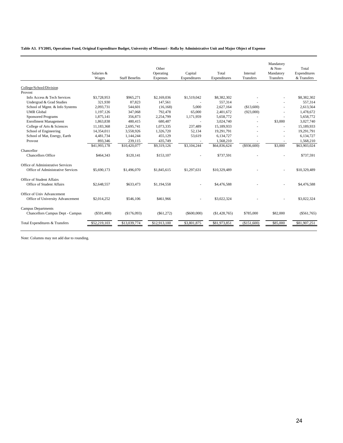**Table A3. FY2005, Operations Fund, Original Expenditure Budget, University of Missouri - Rolla by Administrative Unit and Major Object of Expense**

|                                   | Salaries &<br>Wages | <b>Staff Benefits</b> | Other<br>Operating<br>Expenses | Capital<br>Expenditures | Total<br>Expenditures | Internal<br><b>Transfers</b> | Mandatory<br>& Non-<br>Mandatory<br>Transfers | Total<br>Expenditures<br>& Transfers |
|-----------------------------------|---------------------|-----------------------|--------------------------------|-------------------------|-----------------------|------------------------------|-----------------------------------------------|--------------------------------------|
| College/School/Division           |                     |                       |                                |                         |                       |                              |                                               |                                      |
| Provost                           |                     |                       |                                |                         |                       |                              |                                               |                                      |
| Info Access & Tech Services       | \$3,728,953         | \$965,271             | \$2,169,036                    | \$1,519,042             | \$8,382,302           |                              |                                               | \$8,382,302                          |
| Undergrad & Grad Studies          | 321.930             | 87.823                | 147.561                        |                         | 557,314               |                              |                                               | 557.314                              |
| School of Mgmt. & Info Systems    | 2,093,731           | 544,601               | (16, 168)                      | 5,000                   | 2,627,164             | (\$13,600)                   |                                               | 2,613,564                            |
| <b>UMR</b> Global                 | 1,197,126           | 347,068               | 792,478                        | 65,000                  | 2,401,672             | (923,000)                    | ٠                                             | 1,478,672                            |
| <b>Sponsored Programs</b>         | 1,875,141           | 356,873               | 2,254,799                      | 1,171,959               | 5,658,772             |                              |                                               | 5,658,772                            |
| <b>Enrollment Management</b>      | 1,863,838           | 480,415               | 680,487                        |                         | 3,024,740             |                              | \$3,000                                       | 3,027,740                            |
| College of Arts & Sciences        | 11,183,368          | 2,695,741             | 1,073,335                      | 237,489                 | 15,189,933            |                              | ٠                                             | 15,189,933                           |
| School of Engineering             | 14,354,011          | 3,558,926             | 1,326,720                      | 52,134                  | 19,291,791            |                              | $\sim$                                        | 19,291,791                           |
| School of Mat, Energy, Earth      | 4,481,734           | 1,144,244             | 455,129                        | 53,619                  | 6,134,727             |                              | $\sim$                                        | 6,134,727                            |
| Provost                           | 893,346             | 239,115               | 435,749                        |                         | 1,568,210             |                              |                                               | 1,568,210                            |
|                                   | \$41,993,178        | \$10,420,077          | \$9,319,126                    | \$3,104,244             | \$64,836,624          | $($ \$936,600)               | \$3,000                                       | \$63,903,024                         |
| Chancellor                        |                     |                       |                                |                         |                       |                              |                                               |                                      |
| <b>Chancellors Office</b>         | \$464,343           | \$120,141             | \$153,107                      |                         | \$737,591             |                              |                                               | \$737,591                            |
| Office of Administrative Services |                     |                       |                                |                         |                       |                              |                                               |                                      |
| Office of Administrative Services | \$5,690,173         | \$1,496,070           | \$1,845,615                    | \$1,297,631             | \$10,329,489          |                              |                                               | \$10,329,489                         |
| Office of Student Affairs         |                     |                       |                                |                         |                       |                              |                                               |                                      |
| Office of Student Affairs         | \$2,648,557         | \$633,473             | \$1,194,558                    |                         | \$4,476,588           |                              |                                               | \$4,476,588                          |
| Office of Univ Advancement        |                     |                       |                                |                         |                       |                              |                                               |                                      |
| Office of University Advancement  | \$2,014,252         | \$546,106             | \$461,966                      |                         | \$3,022,324           |                              |                                               | \$3,022,324                          |
| <b>Campus Departments</b>         |                     |                       |                                |                         |                       |                              |                                               |                                      |
| Chancellors Campus Dept - Campus  | (S591, 400)         | (S176.093)            | (S61, 272)                     | (S600,000)              | (S1.428.765)          | \$785,000                    | \$82,000                                      | (S561.765)                           |
| Total Expenditures & Transfers    | \$52,219,103        | \$13,039,774          | \$12,913,100                   | \$3,801,875             | \$81,973,851          | (\$151,600)                  | \$85,000                                      | \$81,907,251                         |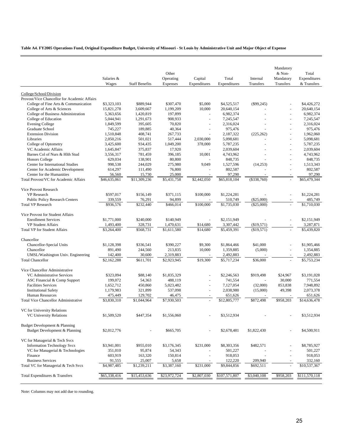**Table A4. FY2005 Operations Fund, Original Expenditure Budget, University of Missouri - St Louis by Administrative Unit and Major Object of Expense**

|                                              | Salaries &<br>Wages | <b>Staff Benefits</b> | Other<br>Operating<br>Expenses | Capital<br>Expenditures | Total<br>Expenditures | Internal<br>Transfers | Mandatory<br>& Non-<br>Mandatory<br>Transfers | Total<br>Expenditures<br>& Transfers |
|----------------------------------------------|---------------------|-----------------------|--------------------------------|-------------------------|-----------------------|-----------------------|-----------------------------------------------|--------------------------------------|
| College/School/Division                      |                     |                       |                                |                         |                       |                       |                                               |                                      |
| Provost/Vice Chancellor for Academic Affairs |                     |                       |                                |                         |                       |                       |                                               |                                      |
| College of Fine Arts & Communication         | \$3,323,103         | \$889,944             | \$307,470                      | \$5,000                 | \$4,525,517           | $(\$99,245)$          |                                               | \$4,426,272                          |
| College of Arts & Sciences                   | 15,821,278          | 3,609,667             | 1,199,209                      | 10,000                  | 20,640,154            |                       | L,                                            | 20,640,154                           |
| College of Business Administration           | 5,363,656           | 1,420,819             | 197,899                        |                         | 6,982,374             |                       | L,                                            | 6,982,374                            |
| College of Education                         | 5,044,941           | 1,291,673             | 908,933                        | L,                      | 7,245,547             |                       | L,                                            | 7,245,547                            |
| <b>Evening College</b>                       | 1,849,599           | 395,605               | 70,820                         |                         | 2,316,024             |                       |                                               | 2,316,024                            |
| Graduate School                              | 745,227             | 189,885               | 40,364                         | L,                      | 975,476               |                       |                                               | 975,476                              |
| <b>Extension Division</b>                    | 1,510,848           | 408,741               | 267,733                        |                         | 2,187,322             | (225, 262)            | L,                                            | 1.962.060                            |
| Libraries                                    | 2,050,216           | 501.021               | 517,444                        | 2,030,000               | 5,098,681             |                       | L,                                            | 5,098,681                            |
| College of Optometry                         | 3,425,600           | 934,435               | 1,049,200                      | 378,000                 | 5,787,235             |                       | L,                                            | 5,787,235                            |
| VC Academic Affairs                          | 1,645,847           | 375,837               | 17,920                         |                         | 2,039,604             |                       | L,                                            | 2,039,604                            |
| Barnes Col of Nurs & Hlth Stud               | 3,556,317           | 781,459               | 396,185                        | 10,001                  | 4,743,962             |                       |                                               | 4,743,962                            |
| <b>Honors College</b>                        | 629,034             | 138,901               | 80,800                         |                         | 848,735               |                       |                                               | 848,735                              |
| Center for International Studies             | 998,538             | 244,029               | 275,980                        | 9,049                   | 1,527,596             | (14, 253)             |                                               | 1,513,343                            |
| Center for Academic Development              | 614,297             | 111,490               | 76,800                         |                         | 802,587               |                       | L,                                            | 802,587                              |
| Center for the Humanities                    | 56,560              | 15,730                | 25,000                         |                         | 97,290                |                       |                                               | 97,290                               |
| Total Provost/VC for Academic Affairs        | \$46,635,061        | \$11,309,236          | \$5,431,758                    | \$2,442,050             | \$65,818,104          | $(\$338,760)$         |                                               | \$65,479,344                         |
| Vice Provost Research                        |                     |                       |                                |                         |                       |                       |                                               |                                      |
| <b>VP</b> Research                           | \$597,017           | \$156,149             | \$371,115                      | \$100,000               | \$1,224,281           |                       |                                               | \$1,224,281                          |
| <b>Public Policy Research Centers</b>        | 339,559             | 76,291                | 94,899                         |                         | 510,749               | $(\$25,000)$          |                                               | 485,749                              |
| <b>Total VP Research</b>                     | \$936,576           | \$232,440             | \$466,014                      | \$100,000               | \$1,735,030           | $(\$25,000)$          |                                               | \$1,710,030                          |
| Vice Provost for Student Affairs             |                     |                       |                                |                         |                       |                       |                                               |                                      |
| <b>Enrollment Services</b>                   | \$1,771,000         | \$240,000             | \$140,949                      |                         | \$2,151,949           |                       |                                               | \$2,151,949                          |
| <b>VP Student Affairs</b>                    | 1,493,400           | 328,731               | 1,470,631                      | \$14,680                | 3,307,442             | $(\$19,571)$          |                                               | 3,287,871                            |
| <b>Total VP for Student Affairs</b>          | \$3,264,400         | \$568,731             | \$1,611,580                    | \$14,680                | \$5,459,391           | (\$19,571)            |                                               | \$5,439,820                          |
| Chancellor                                   |                     |                       |                                |                         |                       |                       |                                               |                                      |
| Chancellor-Special Units                     | \$1,128,398         | \$336,541             | \$390,227                      | \$9,300                 | \$1,864,466           | \$41,000              |                                               | \$1,905,466                          |
| Chancellor                                   | 891,490             | 244,560               | 213,835                        | 10,000                  | 1,359,885             | (5,000)               | $\overline{\phantom{a}}$                      | 1,354,885                            |
| UMSL/Washington Univ. Engineering            | 142,400             | 30,600                | 2,319,883                      |                         | 2,492,883             |                       |                                               | 2,492,883                            |
| <b>Total Chancellor</b>                      | \$2,162,288         | \$611,701             | \$2,923,945                    | \$19,300                | \$5,717,234           | \$36,000              |                                               | \$5,753,234                          |
| Vice Chancellor Administrative               |                     |                       |                                |                         |                       |                       |                                               |                                      |
| VC Administrative Services                   | \$323,094           | \$88,140              | \$1,835,329                    |                         | \$2,246,563           | \$919,498             | \$24,967                                      | \$3,191,028                          |
| ASC Financial & Comp Support                 | 199,072             | 54,363                | 488,119                        |                         | 741,554               | $\overline{a}$        | 30,000                                        | 771,554                              |
| <b>Facilities Services</b>                   | 1,652,712           | 450,860               | 5,023,482                      |                         | 7,127,054             | (32,000)              | 853,838                                       | 7,948,892                            |
| <b>Institutional Safety</b>                  | 1,179,983           | 321,899               | 537,098                        | L,                      | 2,038,980             | (15,000)              | 49,398                                        | 2,073,378                            |
| <b>Human Resources</b>                       | 475,449             | 129,702               | 46,475                         |                         | 651,626               |                       |                                               | 651,626                              |
| Total Vice Chancellor Administrative         | \$3,830,310         | \$1,044,964           | \$7,930,503                    |                         | \$12,805,777          | \$872,498             | \$958,203                                     | \$14,636,478                         |
| VC for University Relations                  |                     |                       |                                |                         |                       |                       |                                               |                                      |
| <b>VC University Relations</b>               | \$1,509,520         | \$447,354             | \$1,556,060                    |                         | \$3,512,934           |                       |                                               | \$3,512,934                          |
| Budget Development & Planning                |                     |                       |                                |                         |                       |                       |                                               |                                      |
| Budget Development & Planning                | \$2,012,776         |                       | \$665,705                      |                         | \$2,678,481           | \$1,822,430           |                                               | \$4,500,911                          |
| VC for Managerial & Tech Svcs                |                     |                       |                                |                         |                       |                       |                                               |                                      |
| <b>Information Technology Svcs</b>           | \$3,941,001         | \$955,010             | \$3,176,345                    | \$231,000               | \$8,303,356           | \$482,571             |                                               | \$8,785,927                          |
| VC for Managerial & Technologies             | 351,010             | 95,874                | 54,343                         |                         | 501,227               |                       |                                               | 501,227                              |
| Finance                                      | 603,919             | 163,320               | 150,814                        |                         | 918,053               |                       |                                               | 918,053                              |
| <b>Business Services</b>                     | 91,555              | 25,007                | 5,658                          |                         | 122,220               | 209,940               |                                               | 332,160                              |
| Total VC for Managerial & Tech Svcs          | \$4,987,485         | \$1,239,211           | \$3,387,160                    | \$231,000               | \$9,844,856           | \$692,511             |                                               | \$10,537,367                         |
| Total Expenditures & Transfers               | \$65,338,416        | \$15,453,636          | \$23,972,724                   | \$2,807,030             | \$107,571,807         | \$3,040,108           | \$958,203                                     | \$111,570,118                        |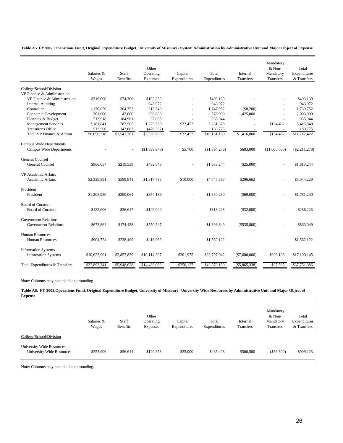**Table A5. FY2005, Operations Fund, Original Expenditure Budget, University of Missouri - System Administration by Administrative Unit and Major Object of Expense**

|                                | Salaries &<br>Wages | Staff<br><b>Benefits</b> | Other<br>Operating<br>Expenses | Capital<br>Expenditures  | Total<br>Expenditures | Internal<br>Transfers | Mandatory<br>& Non-<br>Mandatory<br>Transfers | Total<br>Expenditures<br>& Transfers |
|--------------------------------|---------------------|--------------------------|--------------------------------|--------------------------|-----------------------|-----------------------|-----------------------------------------------|--------------------------------------|
|                                |                     |                          |                                |                          |                       |                       |                                               |                                      |
| College/School/Division        |                     |                          |                                |                          |                       |                       |                                               |                                      |
| VP Finance & Administration    |                     |                          |                                |                          |                       |                       |                                               |                                      |
| VP Finance & Administration    | \$316,000           | \$74,300                 | \$102,839                      |                          | \$493,139             |                       |                                               | \$493,139                            |
| <b>Internal Auditing</b>       |                     |                          | 943,972                        |                          | 943.972               |                       |                                               | 943,972                              |
| Controller                     | 1,130,059           | 304,353                  | 313,540                        |                          | 1,747,952             | (\$8,200)             |                                               | 1,739,752                            |
| Economic Development           | 201,000             | 47,000                   | 330,000                        |                          | 578,000               | 1,425,000             |                                               | 2,003,000                            |
| Planning & Budget              | 713,918             | 184,961                  | 37,065                         |                          | 935,944               |                       |                                               | 935,944                              |
| <b>Management Services</b>     | 3,181,841           | 787,505                  | 1,279,580                      | \$32,452                 | 5,281,378             | $\sim$                | \$134,462                                     | 5,415,840                            |
| Treasurer's Office             | 513,500             | 143,662                  | (476, 387)                     |                          | 180,775               |                       |                                               | 180,775                              |
| Total VP Finance & Admin       | \$6,056,318         | \$1,541,781              | \$2,530,609                    | \$32,452                 | \$10,161,160          | \$1,416,800           | \$134,462                                     | \$11,712,422                         |
| <b>Campus Wide Departments</b> |                     |                          |                                |                          |                       |                       |                                               |                                      |
| <b>Campus Wide Departments</b> |                     |                          | (\$1,899,978)                  | \$5,700                  | (\$1,894,278)         | \$683,000             | (\$1,000,000)                                 | $(\$2,211,278)$                      |
| <b>General Counsel</b>         |                     |                          |                                |                          |                       |                       |                                               |                                      |
| <b>General Counsel</b>         | \$966,057           | \$219,539                | \$452,648                      |                          | \$1,638,244           | (\$25,000)            |                                               | \$1,613,244                          |
| VP Academic Affairs            |                     |                          |                                |                          |                       |                       |                                               |                                      |
| <b>Academic Affairs</b>        | \$2,329,891         | \$589,941                | \$1,817,735                    | \$10,000                 | \$4,747,567           | \$296,662             | $\overline{\phantom{a}}$                      | \$5,044,229                          |
| President                      |                     |                          |                                |                          |                       |                       |                                               |                                      |
| President                      | \$1,205,980         | \$290,064                | \$354.186                      |                          | \$1,850,230           | (S69,000)             |                                               | \$1,781,230                          |
| <b>Board of Curators</b>       |                     |                          |                                |                          |                       |                       |                                               |                                      |
| <b>Board of Curators</b>       | \$132,606           | \$36,617                 | \$149,000                      |                          | \$318,223             | (\$32,000)            |                                               | \$286,223                            |
| <b>Government Relations</b>    |                     |                          |                                |                          |                       |                       |                                               |                                      |
| <b>Government Relations</b>    | \$673,864           | \$174,438                | \$550,547                      | $\overline{\phantom{a}}$ | \$1,398,849           | $(\$535,800)$         |                                               | \$863,049                            |
| <b>Human Resources</b>         |                     |                          |                                |                          |                       |                       |                                               |                                      |
| <b>Human Resources</b>         | \$904,724           | \$238,409                | \$418,989                      |                          | \$1,562,122           |                       |                                               | \$1,562,122                          |
| <b>Information Systems</b>     |                     |                          |                                |                          |                       |                       |                                               |                                      |
| <b>Information Systems</b>     | \$10,622,901        | \$2,857,839              | \$10,114,327                   | \$201,975                | \$23,797,042          | $(\$7,600,000)$       | \$903,103                                     | \$17,100,145                         |
| Total Expenditures & Transfers | \$22,892,341        | \$5,948,628              | \$14,488,063                   | \$250,127                | \$43,579,159          | $(*5,865,338)$        | \$37,565                                      | \$37,751,386                         |
|                                |                     |                          |                                |                          |                       |                       |                                               |                                      |

Note: Columns may not add due to rounding.

**Table A6. FY 2005,Operations Fund, Original Expenditure Budget, University of Missouri - University Wide Resources by Administrative Unit and Major Object of Expense**

|                                                        | Salaries &<br>Wages | Staff<br>Benefits | Other<br>Operating<br>Expenses | Capital<br>Expenditures | Total<br>Expenditures | Internal<br>Transfers | Mandatory<br>& Non-<br>Mandatory<br>Transfers | Total<br>Expenditures<br>& Transfers |
|--------------------------------------------------------|---------------------|-------------------|--------------------------------|-------------------------|-----------------------|-----------------------|-----------------------------------------------|--------------------------------------|
| College/School/Division                                |                     |                   |                                |                         |                       |                       |                                               |                                      |
| University Wide Resources<br>University Wide Resources | \$253,906           | \$56,644          | \$129,873                      | \$25,000                | \$465,423             | \$500,500             | (\$56,800)                                    | \$909,123                            |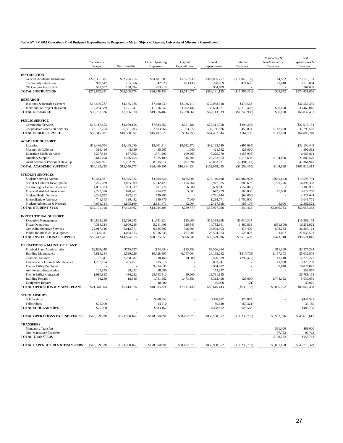### **Table A7. FY 2005 Operations Fund Budgeted Expenditures by Program by Major Object of Expense, University of Missouri - Consolidated**

 $\overline{a}$ 

|                                                          | Salaries &           |                       | Other Operating      | Capital          | Total                 | Internal                 | Mandatory &<br>NonMandatory                                                                                                                                                                                                                                                                                                           | Total<br>Expenditures & |
|----------------------------------------------------------|----------------------|-----------------------|----------------------|------------------|-----------------------|--------------------------|---------------------------------------------------------------------------------------------------------------------------------------------------------------------------------------------------------------------------------------------------------------------------------------------------------------------------------------|-------------------------|
|                                                          | Wages                | <b>Staff Benefits</b> | Expenses             | Expenditures     | Expenditures          | Transfers                | Transfers<br>\$4,562<br>21,410<br>\$25,972<br>\$30,000<br>\$30,000<br>\$147,000<br>\$147,000<br>\$104,828<br>\$104,828<br>(S661, 693)<br>2,729,776<br>15,000<br>3,000<br>\$2,086,083<br>(\$31,800)<br>503,283<br>1,827<br>\$473,310<br>\$11,000<br>1,157,303<br>43,710<br>41,998<br>33,040<br>1,748,152<br>\$3,035,202<br>\$5,902,396 | Transfers               |
| <b>INSTRUCTION</b>                                       |                      |                       |                      |                  |                       |                          |                                                                                                                                                                                                                                                                                                                                       |                         |
| General Academic Instruction                             | \$278,381,507        | \$63,784,716          | \$34,481,600         | \$5,357,935      | \$382,005,757         | (S11, 840, 136)          |                                                                                                                                                                                                                                                                                                                                       | \$370,170,183           |
| <b>Community Education</b>                               | 909,647              | 185,066               | 1,942,920            | 183,136          | 3,220,769             | 474,685                  |                                                                                                                                                                                                                                                                                                                                       | 3,716,864               |
| Off Campus Instruction                                   | 561,697              | 138,994               | 263,918              |                  | 964,609               |                          |                                                                                                                                                                                                                                                                                                                                       | 964,609                 |
| <b>TOTAL INSTRUCTION</b>                                 | \$279,852,851        | \$64,108,776          | \$36,688,438         | \$5,541,071      | \$386,191,135         | (\$11,365,451)           |                                                                                                                                                                                                                                                                                                                                       | \$374,851,656           |
| <b>RESEARCH</b>                                          |                      |                       |                      |                  |                       |                          |                                                                                                                                                                                                                                                                                                                                       |                         |
| Institutes & Research Centers                            | \$18,496,737         | \$4,165,728           | \$7,400,239          | \$2,026,113      | \$32,088,818          | \$478,568                |                                                                                                                                                                                                                                                                                                                                       | \$32,567,385            |
| <b>Individual or Project Research</b>                    | 17,264,589           | 3,771,241             | 11,616,242           | 3,002,448        | 35,654,521            | (2, 219, 476)            |                                                                                                                                                                                                                                                                                                                                       | 33,465,045              |
| <b>TOTAL RESEARCH</b>                                    | \$35,761,326         | \$7,936,970           | \$19,016,482         | \$5,028,561      | \$67,743,339          | (\$1,740,908)            |                                                                                                                                                                                                                                                                                                                                       | \$66,032,431            |
| <b>PUBLIC SERVICE</b>                                    |                      |                       |                      |                  |                       |                          |                                                                                                                                                                                                                                                                                                                                       |                         |
| <b>Community Services</b>                                | \$15,117,453         | \$4,059,158           | \$7,883,561          | \$251,186        | \$27,311,358          | $(\$294,205)$            |                                                                                                                                                                                                                                                                                                                                       | \$27,017,153            |
| Cooperative Extension Services                           | 23,197,754           | 6,321,793             | 7,603,966            | 63,072           | 37,186,586            | 459,001                  |                                                                                                                                                                                                                                                                                                                                       | 37,792,587              |
| <b>TOTAL PUBLIC SERVICE</b>                              | \$38,315,207         | \$10,380,951          | \$15,487,528         | \$314,258        | \$64,497,944          | \$164,796                |                                                                                                                                                                                                                                                                                                                                       | \$64,809,740            |
|                                                          |                      |                       |                      |                  |                       |                          |                                                                                                                                                                                                                                                                                                                                       |                         |
| <b>ACADEMIC SUPPORT</b>                                  |                      |                       |                      |                  |                       |                          |                                                                                                                                                                                                                                                                                                                                       |                         |
| Libraries                                                | \$13,436,704         | \$3,465,050           | \$5,601,314          | \$9,692,472      | \$32,195,540          | $(\$95,095)$             |                                                                                                                                                                                                                                                                                                                                       | \$32,100,445            |
| Museum & Galleries<br><b>Education Media Services</b>    | 316,496<br>3,277,444 | 48,519<br>867,662     | 55,567<br>1,971,296  | 1,000<br>109,368 | 421,582<br>6,225,770  | (29,000)<br>(155,906)    |                                                                                                                                                                                                                                                                                                                                       | 392,582<br>6,069,864    |
| <b>Ancillary Support</b>                                 | 9,615,798            | 2,366,455             | 7,965,100            | 314,700          | 20,262,053            | 1,518,698                |                                                                                                                                                                                                                                                                                                                                       | 21,885,579              |
| Acad Admin & Personnel Develop                           | 27,546,891           | 6,792,891             | 8,815,914            | 697,394          | 43.853.091            | (2,491,147)              |                                                                                                                                                                                                                                                                                                                                       | 41,361,943              |
| TOTAL ACADEMIC SUPPORT                                   | \$54,193,333         | \$13,540,577          | \$24,409,191         | \$10,814,934     | \$102,958,035         | (\$1,252,450)            |                                                                                                                                                                                                                                                                                                                                       | \$101,810,413           |
|                                                          |                      |                       |                      |                  |                       |                          |                                                                                                                                                                                                                                                                                                                                       |                         |
| <b>STUDENT SERVICES</b><br><b>Student Services Admin</b> | \$7,464,931          | \$1,945,622           | \$3,604,846          | \$125,001        | \$13,140,400          |                          |                                                                                                                                                                                                                                                                                                                                       | \$10,593,784            |
| Social & Cultural Development                            | 6,275,289            | 1,055,509             | 5,542,423            | 104,764          | 12,977,985            | (\$1,884,923)<br>688,607 |                                                                                                                                                                                                                                                                                                                                       | 16,396,368              |
| Counseling & Career Guidance                             | 4,057,933            | 993,837               | 601,271              | 6,000            | 5.659.041             | (552,046)                |                                                                                                                                                                                                                                                                                                                                       | 5,106,995               |
| Financial Aid Administration                             | 2,722,576            | 620,261               | 294,421              | 5,001            | 3,642,259             | 165,000                  |                                                                                                                                                                                                                                                                                                                                       | 3,822,259               |
| <b>Student Health Services</b>                           | 3,229,632            | 822,812               | 739,200              |                  | 4,791,644             | (64,000)                 |                                                                                                                                                                                                                                                                                                                                       | 4,727,644               |
| <b>Intercollegiate Athletics</b>                         | 741,543              | 199,452               | 350,776              | 7,000            | 1,298,771             | 1,750,000                |                                                                                                                                                                                                                                                                                                                                       | 3,048,771               |
| Student Admission & Records                              | 7,679,114            | 1,805,109             | 2,891,471            | 42,004           | 12,417,698            | (58, 176)                |                                                                                                                                                                                                                                                                                                                                       | 12,362,522              |
| <b>TOTAL STUDENT SVCS</b>                                | \$32,171,018         | \$7,442,602           | \$14,024,408         | \$289,770        | \$53,927,798          | \$44,462                 |                                                                                                                                                                                                                                                                                                                                       | \$56,058,343            |
| <b>INSTITUTIONAL SUPPORT</b>                             |                      |                       |                      |                  |                       |                          |                                                                                                                                                                                                                                                                                                                                       |                         |
| <b>Executive Management</b>                              | \$10,805,299         | \$2,726,645           | \$1,781,924          | \$25,000         | \$15,338,868          | \$1,030,307              |                                                                                                                                                                                                                                                                                                                                       | \$16,369,175            |
| <b>Fiscal Operations</b>                                 | 7,314,324            | 1,900,286             | 5,241,408            | 326,843          | 14,782,861            | 1,480,861                |                                                                                                                                                                                                                                                                                                                                       | 16,231,922              |
| Gen Administrative Services                              | 22,917,146           | 6,012,771             | 6,625,692            | 346,793          | 35,902,403            | 479,439                  |                                                                                                                                                                                                                                                                                                                                       | 36,885,124              |
| Public Relations & Development                           | 15,376,011           | 4,034,513             | 6,926,535            | 167,905          | 26,504,964            | 528,802                  |                                                                                                                                                                                                                                                                                                                                       | 27,035,593              |
| TOTAL INSTITUTIONAL SUPPORT                              | \$56,412,781         | \$14,674,215          | \$20,575,559         | \$866,541        | \$92,529,096          | \$3,519,409              |                                                                                                                                                                                                                                                                                                                                       | \$96,521,815            |
| <b>OPERATIONS &amp; MAINT. OF PLANT</b>                  |                      |                       |                      |                  |                       |                          |                                                                                                                                                                                                                                                                                                                                       |                         |
| Physical Plant Administration                            | \$2,829,348          | \$775,737             | $(\$74,454)$         | \$35,753         | \$3,566,384           |                          |                                                                                                                                                                                                                                                                                                                                       | \$3,577,384             |
| <b>Building Maintenance</b>                              | 5,818,244            | 1,599,226             | 10,728,807           | 6,047,004        | 24,193,282            | $(\$317,709)$            |                                                                                                                                                                                                                                                                                                                                       | 25,032,875              |
| <b>Custodial Services</b>                                | 9,182,041            | 2,290,582             | 1,018,166            | 30,200           | 12,520,989            | (292, 427)               |                                                                                                                                                                                                                                                                                                                                       | 12,272,272              |
| Landscape & Grounds Maintenance                          | 1,732,774            | 465,451               | 885,016              |                  | 3,083,241             |                          |                                                                                                                                                                                                                                                                                                                                       | 3,125,239               |
| Fuel & Utility Purchases                                 |                      |                       | 9,994,037            |                  | 9,994,037             |                          |                                                                                                                                                                                                                                                                                                                                       | 10,027,077              |
| Architecture/Engineering<br>Fuel & Utility Generated     | 105,845<br>1,610,813 | 28,332<br>436,232     | 18,680<br>23,703,510 | 30,600           | 152,857<br>25,781,155 |                          |                                                                                                                                                                                                                                                                                                                                       | 152,857<br>25,781,155   |
| <b>Building Repairs</b>                                  | 69,239               | 18,816                | 1,751,562            | 1,473,881        | 3,313,498             | (25,000)                 |                                                                                                                                                                                                                                                                                                                                       | 5,036,650               |
| <b>Equipment Repairs</b>                                 |                      |                       | 40,000               |                  | 40,000                | (21)                     |                                                                                                                                                                                                                                                                                                                                       | 39,979                  |
| TOTAL OPERATION & MAINT.-PLANT                           | \$21,348,304         | \$5,614,376           | \$48,065,324         | \$7,617,438      | \$82,645,443          | $(\$635,157)$            |                                                                                                                                                                                                                                                                                                                                       | \$85,045,488            |
|                                                          |                      |                       |                      |                  |                       |                          |                                                                                                                                                                                                                                                                                                                                       |                         |
| <b>SCHOLARSHIPS</b><br>Scholarships                      |                      |                       | \$368,652            |                  | \$368,652             | \$78,889                 |                                                                                                                                                                                                                                                                                                                                       | \$447,541               |
| Fellowships                                              | \$75,000             |                       | 14,510               |                  | 89,510                | (50, 321)                |                                                                                                                                                                                                                                                                                                                                       | 39,189                  |
| <b>TOTAL SCHOLARSHIPS</b>                                | \$75,000             |                       | \$383,162            |                  | \$458,162             | \$28,568                 |                                                                                                                                                                                                                                                                                                                                       | \$486,730               |
| <b>TOTAL OPERATIONS EXPENDITURES</b>                     | \$518,129,820        | \$123,698,467         | \$178,650,091        | \$30,472,573     | \$850,950,952         | (\$11,236,731)           |                                                                                                                                                                                                                                                                                                                                       | \$845,616,617           |
| <b>TRANSFERS</b>                                         |                      |                       |                      |                  |                       |                          |                                                                                                                                                                                                                                                                                                                                       |                         |
| <b>Mandatory Transfers</b>                               |                      |                       |                      |                  |                       |                          | \$61,000                                                                                                                                                                                                                                                                                                                              | \$61,000                |
| Non-Mandatory Transfers                                  |                      |                       |                      |                  |                       |                          | 97,762                                                                                                                                                                                                                                                                                                                                | 97,762                  |
| <b>TOTAL TRANSFERS</b>                                   |                      |                       |                      |                  |                       |                          | \$158,762                                                                                                                                                                                                                                                                                                                             | \$158,762               |
| TOTAL EXPENDITURES & TRANSFERS                           | \$518,129,820        | \$123,698,467         | \$178,650,091        | \$30,472,573     | \$850,950,952         | (\$11,236,731)           | \$6,061,158                                                                                                                                                                                                                                                                                                                           | \$845,775,379           |
|                                                          |                      |                       |                      |                  |                       |                          |                                                                                                                                                                                                                                                                                                                                       |                         |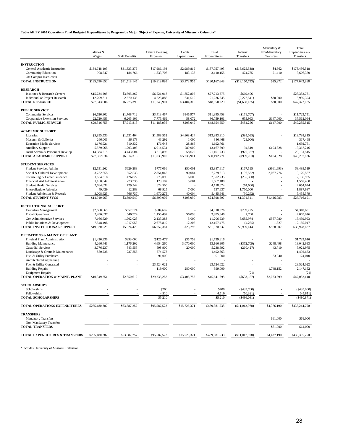#### **Table A8. FY 2005 Operations Fund Budgeted Expenditures by Program by Major Object of Expense, University of Missouri - Columbia\***

|                                                             | Salaries &<br>Wages       | <b>Staff Benefits</b>              | Other Operating<br>Expenses | Capital                | Total<br>Expenditures      | Internal<br>Transfers     | Mandatory &<br>NonMandatory<br>Transfers | Total<br>Expenditures &<br>Transfers |
|-------------------------------------------------------------|---------------------------|------------------------------------|-----------------------------|------------------------|----------------------------|---------------------------|------------------------------------------|--------------------------------------|
|                                                             |                           |                                    |                             | Expenditures           |                            |                           |                                          |                                      |
| <b>INSTRUCTION</b>                                          |                           |                                    |                             |                        |                            |                           |                                          |                                      |
| General Academic Instruction<br><b>Community Education</b>  | \$134,748,103<br>908,547  | \$31,333,379<br>184,766            | \$17,986,193<br>1,833,706   | \$2,989,819<br>183,136 | \$187,057,493<br>3,110,155 | (\$13,625,538)<br>474,785 | \$4,562<br>21,410                        | \$173,436,518<br>3,606,350           |
| Off Campus Instruction<br><b>TOTAL INSTRUCTION</b>          | \$135,656,650             | \$31,518,145                       | \$19,819,899                | \$3,172,955            | \$190,167,648              | (\$13,150,753)            | \$25,972                                 | \$177,042,868                        |
| <b>RESEARCH</b>                                             |                           |                                    |                             |                        |                            |                           |                                          |                                      |
| Institutes & Research Centers                               | \$15,734,295              | \$3,605,262                        | \$6,521,013                 | \$1,852,805            | \$27,713,375               | \$669,406                 |                                          | \$28,382,781                         |
| Individual or Project Research                              | 12,209,311                | 2,670,135                          | 4,725,888                   | 1,631,510              | 21,236,845                 | (2,277,541)               | \$30,000                                 | 18,989,304                           |
| <b>TOTAL RESEARCH</b>                                       | \$27,943,606              | \$6,275,398                        | \$11,246,901                | \$3,484,315            | \$48,950,220               | (\$1,608,135)             | \$30,000                                 | \$47,372,085                         |
| <b>PUBLIC SERVICE</b>                                       |                           |                                    |                             |                        |                            |                           |                                          |                                      |
| <b>Community Services</b>                                   | \$6,626,302               | \$1,708,712                        | \$3,413,467                 | \$146,977              | \$11,895,458               | (\$171,707)               |                                          | \$11,723,751                         |
| Cooperative Extension Services                              | 22,720,453                | 6,205,106                          | 7,775,469                   | 58,072                 | 36,759,101                 | 655,963                   | \$147,000                                | 37,562,064                           |
| <b>TOTAL PUBLIC SERVICE</b>                                 | \$29,346,755              | \$7,913,818                        | \$11,188,936                | \$205,049              | \$48,654,559               | \$484,256                 | \$147,000                                | \$49,285,815                         |
| <b>ACADEMIC SUPPORT</b>                                     |                           |                                    |                             |                        |                            |                           |                                          |                                      |
| Libraries                                                   | \$5,895,530               | \$1,531,404                        | \$1,588,552                 | \$4,868,424            | \$13,883,910               | $(\$95,095)$              |                                          | \$13,788,815                         |
| Museum & Galleries                                          | 266,003                   | 36,173                             | 43,292                      | 1,000                  | 346,468                    | (29,000)                  |                                          | 317,468                              |
| <b>Education Media Services</b>                             | 1,176,921<br>5,579,965    | 310,332<br>1,293,403               | 176,643<br>6,014,531        | 28,865<br>280,000      | 1,692,761<br>13,167,899    | 94,519                    | \$104,828                                | 1,692,761<br>13,367,246              |
| <b>Ancillary Support</b><br>Acad Admin & Personnel Develop  | 14,384,215                | 3,443,004                          | 3,215,892                   | 58,622                 | 21,101,733                 | (970, 187)                |                                          | 20, 131, 545                         |
| <b>TOTAL ACADEMIC SUPPORT</b>                               | \$27,302,634              | \$6,614,316                        | \$11,038,910                | \$5,236,911            | \$50,192,771               | $(\$999,763)$             | \$104,828                                | \$49,297,836                         |
| <b>STUDENT SERVICES</b>                                     |                           |                                    |                             |                        |                            |                           |                                          |                                      |
| <b>Student Services Admin</b>                               | \$2,531,262               | \$629,288                          | \$777,066                   | \$50,001               | \$3,987,617                | \$167,595                 | $(\$661,693)$                            | \$3,493,519                          |
| Social & Cultural Development                               | 3,732,655                 | 552,533                            | 2,854,042                   | 90,084                 | 7,229,313                  | (196, 522)                | 2,087,776                                | 9,120,567                            |
| Counseling & Career Guidance                                | 1,664,318                 | 426,822                            | 275,095                     | 6,000                  | 2,372,235                  | (235,300)                 |                                          | 2,136,935                            |
| Financial Aid Administration                                | 1,160,042                 | 273.335                            | 129,102                     | 5,001                  | 1,567,480                  |                           |                                          | 1,567,480                            |
| <b>Student Health Services</b>                              | 2,764,632                 | 729.542                            | 624,500                     |                        | 4,118,674                  | (64,000)                  |                                          | 4,054,674                            |
| <b>Intercollegiate Athletics</b>                            | 49,429                    | 12,283                             | 68,925                      | 7,000                  | 137,637                    | 1,750,000                 |                                          | 1,887,637                            |
| Student Admission & Records<br><b>TOTAL STUDENT SVCS</b>    | 3,008,625<br>\$14,910,963 | 766,737<br>$\overline{33,390,540}$ | 1,670,275<br>\$6,399,005    | 40,004<br>\$198,090    | 5,485,641<br>\$24,898,597  | (30, 262)<br>\$1,391,511  | \$1,426,083                              | 5,455,379<br>\$27,716,191            |
|                                                             |                           |                                    |                             |                        |                            |                           |                                          |                                      |
| <b>INSTITUTIONAL SUPPORT</b><br><b>Executive Management</b> | \$2,668,665               | \$657,524                          | \$684,687                   |                        | \$4,010,876                | \$299,725                 |                                          | \$4,310,601                          |
| <b>Fiscal Operations</b>                                    | 2,286,837                 | 546,924                            | 1,155,492                   | \$6,093                | 3,995,346                  | 7,700                     |                                          | 4,003,046                            |
| Gen Administrative Services                                 | 7,166,529                 | 1,902,028                          | 2,133,383                   | 5,000                  | 11,206,939                 | 3,685,974                 | \$567,080                                | 15,459,993                           |
| Public Relations & Development                              | 7,548,498                 | 1,917,953                          | 2,678,819                   | 12,205                 | 12,157,475                 | (4,255)                   | 1,827                                    | 12,155,047                           |
| TOTAL INSTITUTIONAL SUPPORT                                 | \$19,670,529              | \$5,024,429                        | \$6,652,381                 | \$23,298               | \$31,370,637               | \$3,989,144               | \$568,907                                | \$35,928,687                         |
| <b>OPERATIONS &amp; MAINT. OF PLANT</b>                     |                           |                                    |                             |                        |                            |                           |                                          |                                      |
| Physical Plant Administration                               | \$1,426,336               | \$393,000                          | (\$125,473)                 | \$35,753               | \$1,729,616                |                           |                                          | \$1,729,616                          |
| <b>Building Maintenance</b>                                 | 4,266,443                 | 1,176,202                          | 4,654,260                   | 3,070,000              | 13,166,905                 | $(\$372,709)$             | \$248,498                                | 13,042,693                           |
| <b>Custodial Services</b>                                   | 3,776,237                 | 843,555                            | 598,900                     | 20,000                 | 5,238,692                  | (260, 427)                | 43,710                                   | 5,021,975                            |
| Landscape & Grounds Maintenance                             | 880,235                   | 237,855                            | 374,573                     |                        | 1,492,663                  |                           |                                          | 1,492,663                            |
| Fuel & Utility Purchases<br>Architecture/Engineering        |                           |                                    | 91,000                      |                        | 91,000                     |                           | 33,040                                   | 124,040                              |
| Fuel & Utility Generated                                    |                           |                                    | 23,524,022                  |                        | 23,524,022                 |                           |                                          | 23.524.022                           |
| <b>Building Repairs</b>                                     |                           |                                    | 119,000                     | 280,000                | 399,000                    |                           | 1,748,152                                | 2,147,152                            |
| <b>Equipment Repairs</b>                                    |                           |                                    |                             |                        |                            | (21)                      |                                          | (21)                                 |
| <b>TOTAL OPERATION &amp; MAINT.-PLANT</b>                   | \$10.349.251              | \$2,650,612                        | \$29,236,282                | \$3,405,753            | \$45,641,898               | (S633.157)                | \$2,073,399                              | \$47,082,140                         |
| <b>SCHOLARSHIPS</b>                                         |                           |                                    |                             |                        |                            |                           |                                          |                                      |
| Scholarships                                                |                           |                                    | \$700                       |                        | \$700                      | ( \$435,760)              |                                          | (\$435,060)                          |
| Fellowships                                                 |                           |                                    |                             |                        |                            |                           |                                          | (45,811)                             |
| <b>TOTAL SCHOLARSHIPS</b>                                   |                           |                                    | \$5,210                     |                        | \$5,210                    | $(*486,081)$              |                                          | (\$480,871)                          |
| TOTAL OPERATIONS EXPENDITURES                               | \$265,180,387             | \$63,387,257                       | \$95,587,523                | \$15,726,371           | \$439,881,538              | (\$11,012,978)            | \$4,376,190                              | \$433,244,750                        |
| <b>TRANSFERS</b>                                            |                           |                                    |                             |                        |                            |                           |                                          |                                      |
| <b>Mandatory Transfers</b>                                  |                           |                                    |                             |                        |                            |                           | \$61,000                                 | \$61,000                             |
| Non-Mandatory Transfers<br><b>TOTAL TRANSFERS</b>           |                           |                                    |                             |                        |                            |                           | \$61,000                                 | \$61,000                             |
|                                                             |                           |                                    |                             |                        |                            |                           |                                          |                                      |
| TOTAL EXPENDITURES & TRANSFERS                              | \$265,180,387             | \$63,387,257                       | \$95,587,523                | \$15,726,371           | \$439,881,538              | (\$11,012,978)            | \$4,437,190                              | \$433,305,750                        |

\*Includes University of Missorui Extension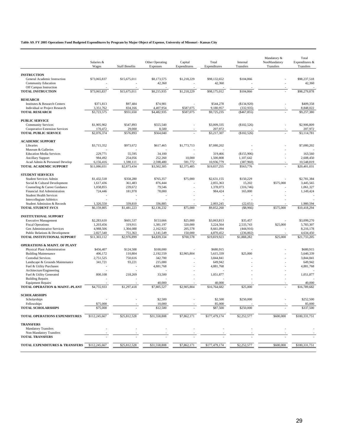### **Table A9. FY 2005 Operations Fund Budgeted Expenditures by Program by Major Object of Expense, University of Missouri - Kansas City**

 $\overline{a}$ 

|                                                                | Salaries &                |                          | Other Operating          | Capital                            | Total                      | Internal               | Mandatory &<br>NonMandatory | Total<br>Expenditures &    |
|----------------------------------------------------------------|---------------------------|--------------------------|--------------------------|------------------------------------|----------------------------|------------------------|-----------------------------|----------------------------|
|                                                                | Wages                     | <b>Staff Benefits</b>    | Expenses                 | Expenditures                       | Expenditures               | Transfers              | Transfers                   | Transfers                  |
| <b>INSTRUCTION</b>                                             |                           |                          |                          |                                    |                            |                        |                             |                            |
| General Academic Instruction                                   | \$73,065,837              | \$15,675,011             | \$8,173,575              | \$1,218,229                        | \$98,132,652               | \$104,866              |                             | \$98,237,518               |
| <b>Community Education</b>                                     |                           |                          | 42,360                   |                                    | 42,360                     |                        |                             | 42,360                     |
| Off Campus Instruction<br><b>TOTAL INSTRUCTION</b>             | \$73,065,837              | \$15,675,011             |                          | \$1,218,229                        |                            | \$104,866              |                             | \$98,279,878               |
|                                                                |                           |                          | \$8,215,935              |                                    | \$98,175,012               |                        |                             |                            |
| <b>RESEARCH</b>                                                |                           |                          |                          |                                    |                            |                        |                             |                            |
| Institutes & Research Centers                                  | \$371,813                 | \$97,484                 | \$74,981                 |                                    | \$544,278                  | (\$134,920)            |                             | \$409,358                  |
| <b>Individual or Project Research</b>                          | 3,351,762                 | 834,166                  | 4,407,954                | \$587,075                          | 9,180,957                  | (332,935)              |                             | 8,848,022                  |
| <b>TOTAL RESEARCH</b>                                          | \$3,723,575               | \$931,650                | \$4,482,935              | \$587,075                          | \$9,725,235                | $(*467, 855)$          |                             | \$9,257,380                |
| <b>PUBLIC SERVICE</b>                                          |                           |                          |                          |                                    |                            |                        |                             |                            |
| <b>Community Services</b>                                      | \$1,905,902               | \$547,893                | \$555,540                |                                    | \$3,009,335                | (\$102,526)            |                             | \$2,906,809                |
| <b>Cooperative Extension Services</b>                          | 170,472                   | 29,000                   | 8,500                    |                                    | 207,972                    |                        |                             | 207,972                    |
| <b>TOTAL PUBLIC SERVICE</b>                                    | \$2,076,374               | \$576,893                | \$564,040                |                                    | \$3,217,307                | (\$102,526)            |                             | \$3,114,781                |
| <b>ACADEMIC SUPPORT</b>                                        |                           |                          |                          |                                    |                            |                        |                             |                            |
| Libraries                                                      | \$3,715,352               | \$973,672                | \$617,465                | \$1,773,713                        | \$7,080,202                |                        |                             | \$7,080,202                |
| Museum & Galleries                                             |                           |                          |                          |                                    |                            |                        |                             |                            |
| <b>Education Media Services</b>                                | 229,771                   | 55,595                   | 34,100                   |                                    | 319,466                    | (\$155,906)            |                             | 163,560                    |
| <b>Ancillary Support</b>                                       | 984,492                   | 254,056                  | 252,260                  | 10,000                             | 1,500,808                  | 1,107,642              |                             | 2,608,450                  |
| Acad Admin & Personnel Develop<br>TOTAL ACADEMIC SUPPORT       | 6,156,416<br>\$11,086,031 | 1,590,111<br>\$2,873,434 | 2,598,480<br>\$3,502,305 | 591,772<br>$\overline{$}2,375,485$ | 10,936,779<br>\$19,837,255 | (387,960)<br>\$563,776 |                             | 10,548,819<br>\$20,401,031 |
|                                                                |                           |                          |                          |                                    |                            |                        |                             |                            |
| <b>STUDENT SERVICES</b>                                        |                           |                          |                          |                                    |                            |                        |                             |                            |
| <b>Student Services Admin</b>                                  | \$1,432,518               | \$358,280                | \$765,357                | \$75,000                           | \$2,631,155                | \$150,229              |                             | \$2,781,384                |
| Social & Cultural Development                                  | 1,617,436                 | 361,483                  | 876,444                  |                                    | 2,855,363                  | 15,202                 | \$575,000                   | 3,445,565                  |
| Counseling & Career Guidance                                   | 1,058,855                 | 239,672                  | 79,546                   |                                    | 1,378,073                  | (316,746)              |                             | 1,061,327                  |
| Financial Aid Administration<br><b>Student Health Services</b> | 724,446                   | 181,978                  | 78,000                   |                                    | 984,424                    | 165,000                |                             | 1,149,424                  |
| <b>Intercollegiate Athletics</b>                               |                           |                          |                          |                                    |                            |                        |                             |                            |
| Student Admission & Records                                    | 1,326,550                 | 339,810                  | 336,885                  |                                    | 2,003,245                  | (22, 651)              |                             | 1,980,594                  |
| <b>TOTAL STUDENT SVCS</b>                                      | \$6,159,805               | \$1,481,223              | \$2,136,232              | \$75,000                           | \$9,852,260                | (\$8.966)              | \$575,000                   | \$10,418,294               |
| <b>INSTITUTIONAL SUPPORT</b>                                   |                           |                          |                          |                                    |                            |                        |                             |                            |
| <b>Executive Management</b>                                    | \$2,283,610               | \$601,537                | \$153,666                | \$25,000                           | \$3,063,813                | \$35,457               |                             | \$3,099,270                |
| <b>Fiscal Operations</b>                                       | 1,203,456                 | 319,911                  | 1,381,197                | 320,000                            | 3,224,564                  | 2,533,743              | \$25,000                    | 5,783,307                  |
| Gen Administrative Services                                    | 4,988,506                 | 1,304,088                | 2,162,922                | 205,578                            | 8,661,094                  | (444, 916)             |                             | 8,216,178                  |
| Public Relations & Development                                 | 2,827,540                 | 751,363                  | 1,141,549                | 150,000                            | 4,870,452                  | (236,002)              |                             | 4,634,450                  |
| TOTAL INSTITUTIONAL SUPPORT                                    | \$11,303,112              | \$2,976,899              | \$4,839,334              | \$700,578                          | \$19,819,923               | \$1,888,282            | \$25,000                    | \$21,733,205               |
| <b>OPERATIONS &amp; MAINT. OF PLANT</b>                        |                           |                          |                          |                                    |                            |                        |                             |                            |
| Physical Plant Administration                                  | \$456,407                 | \$124,508                | \$100,000                |                                    | \$680,915                  |                        |                             | \$680,915                  |
| <b>Building Maintenance</b>                                    | 406,172                   | 110,804                  | 2,192,559                | \$2,905,804                        | 5,615,339                  | \$25,000               |                             | 5,640,339                  |
| <b>Custodial Services</b>                                      | 2,751,525                 | 750,616                  | 342,700                  |                                    | 3,844,841                  |                        |                             | 3,844,841                  |
| Landscape & Grounds Maintenance                                | 341,721                   | 93,221                   | 215,000                  |                                    | 649,942                    |                        |                             | 649,942                    |
| Fuel & Utility Purchases                                       |                           |                          | 4,881,768                |                                    | 4,881,768                  |                        |                             | 4,881,768                  |
| Architecture/Engineering                                       |                           |                          |                          |                                    |                            |                        |                             |                            |
| Fuel & Utility Generated<br><b>Building Repairs</b>            | 800,108                   | 218,269                  | 33,500                   |                                    | 1,051,877                  |                        |                             | 1,051,877                  |
| <b>Equipment Repairs</b>                                       |                           |                          | 40,000                   |                                    | 40,000                     |                        |                             | 40,000                     |
| TOTAL OPERATION & MAINT.-PLANT                                 | \$4,755,933               | \$1,297,418              | \$7,805,527              | \$2,905,804                        | \$16,764,682               | \$25,000               |                             | \$16,789,682               |
| <b>SCHOLARSHIPS</b>                                            |                           |                          |                          |                                    |                            |                        |                             |                            |
| Scholarships                                                   |                           |                          | \$2,500                  |                                    | \$2,500                    | \$250,000              |                             | \$252,500                  |
| Fellowships                                                    | \$75,000                  |                          | 10,000                   |                                    | 85,000                     |                        |                             | 85,000                     |
| <b>TOTAL SCHOLARSHIPS</b>                                      | \$75,000                  |                          | \$12,500                 |                                    | \$87,500                   | \$250,000              |                             | \$337,500                  |
| <b>TOTAL OPERATIONS EXPENDITURES</b>                           | \$112,245,667             | \$25,812,528             | \$31,558,808             | \$7,862,171                        | \$177,479,174              | \$2,252,577            | \$600,000                   | \$180,331,751              |
| <b>TRANSFERS</b>                                               |                           |                          |                          |                                    |                            |                        |                             |                            |
| <b>Mandatory Transfers</b>                                     |                           |                          |                          |                                    |                            |                        |                             |                            |
| Non-Mandatory Transfers                                        |                           |                          |                          |                                    |                            |                        |                             |                            |
| <b>TOTAL TRANSFERS</b>                                         |                           |                          |                          |                                    |                            |                        |                             |                            |
| TOTAL EXPENDITURES & TRANSFERS                                 | \$112,245,667             | \$25,812,528             | \$31,558,808             | \$7,862,171                        | \$177,479,174              | \$2,252,577            | \$600,000                   | \$180,331,751              |
|                                                                |                           |                          |                          |                                    |                            |                        |                             |                            |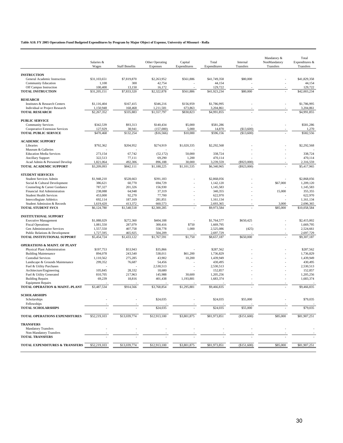### **Table A10. FY 2005 Operations Fund Budgeted Expenditures by Program by Major Object of Expense, University of Missouri - Rolla**

 $\overline{a}$ 

|                                                                 | Salaries &               |                       | Other Operating      | Capital                | Total                    | Internal      | Mandatory &<br>NonMandatory                                      | Total<br>Expenditures $&$ |
|-----------------------------------------------------------------|--------------------------|-----------------------|----------------------|------------------------|--------------------------|---------------|------------------------------------------------------------------|---------------------------|
|                                                                 | Wages                    | <b>Staff Benefits</b> | Expenses             | Expenditures           | Expenditures             | Transfers     | Transfers<br>\$67,000<br>15,000<br>3,000<br>\$85,000<br>\$85,000 | Transfers                 |
| <b>INSTRUCTION</b>                                              |                          |                       |                      |                        |                          |               |                                                                  |                           |
| General Academic Instruction                                    | \$31,103,651             | \$7,819,870           | \$2,263,952          | \$561,886              | \$41,749,358             | \$80,000      |                                                                  | \$41,829,358              |
| <b>Community Education</b>                                      | 1,100                    | 300                   | 42,754               |                        | 44,154                   |               |                                                                  | 44,154                    |
| Off Campus Instruction                                          | 100,400                  | 13,150                | 16,172               |                        | 129,722                  |               |                                                                  | 129,722                   |
| <b>TOTAL INSTRUCTION</b>                                        | \$31,205,151             | \$7,833,320           | \$2,322,878          | \$561,886              | \$41,923,234             | \$80,000      |                                                                  | \$42,003,234              |
| <b>RESEARCH</b>                                                 |                          |                       |                      |                        |                          |               |                                                                  |                           |
| Institutes & Research Centers                                   | \$1,116,404              | \$167,415             | \$346,216            | \$156,959              | \$1,786,995              |               |                                                                  | \$1,786,995               |
| Individual or Project Research                                  | 1,150,948                | 168,468               | 1,211,581            | 673,863                | 3,204,861                |               |                                                                  | 3,204,861                 |
| <b>TOTAL RESEARCH</b>                                           | \$2,267,352              | \$335,883             | \$1,557,797          | \$830,823              | \$4,991,855              |               |                                                                  | \$4,991,855               |
| <b>PUBLIC SERVICE</b>                                           |                          |                       |                      |                        |                          |               |                                                                  |                           |
| <b>Community Services</b>                                       | \$342,539                | \$93,313              | \$140,434            | \$5,000                | \$581,286                |               |                                                                  | \$581.286                 |
| Cooperative Extension Services                                  | 127,929                  | 38,941                | (157,000)            | 5,000                  | 14,870                   | (\$13,600)    |                                                                  | 1,270                     |
| <b>TOTAL PUBLIC SERVICE</b>                                     | \$470,468                | \$132,254             | (\$16,566)           | \$10,000               | \$596,156                | (\$13,600)    |                                                                  | \$582,556                 |
| <b>ACADEMIC SUPPORT</b>                                         |                          |                       |                      |                        |                          |               |                                                                  |                           |
| Libraries                                                       | \$792,362                | \$204,952             | \$274,919            | \$1,020,335            | \$2,292,568              |               |                                                                  | \$2,292,568               |
| Museum & Galleries                                              |                          |                       |                      |                        |                          |               |                                                                  |                           |
| <b>Education Media Services</b>                                 | 273,154                  | 67,742                | (52, 172)            | 50,000                 | 338,724                  |               |                                                                  | 338,724                   |
| <b>Ancillary Support</b>                                        | 322,513                  | 77,111                | 69,290               | 1,200                  | 470,114                  |               |                                                                  | 470,114                   |
| Acad Admin & Personnel Develop                                  | 1,821,064                | 492,306               | 896,188              | 30,000                 | 3,239,559                | $(\$923,000)$ |                                                                  | 2,316,559                 |
| TOTAL ACADEMIC SUPPORT                                          | \$3,209,093              | \$842,111             | \$1,188,225          | $\overline{1,}101,535$ | \$6,340,965              | ( \$923,000)  |                                                                  | \$5,417,965               |
| <b>STUDENT SERVICES</b>                                         |                          |                       |                      |                        |                          |               |                                                                  |                           |
| <b>Student Services Admin</b>                                   | \$1,948,210              | \$528,663             | \$391.183            |                        | \$2,868,056              |               |                                                                  | \$2,868,056               |
| Social & Cultural Development                                   | 386,621                  | 60,770                | 694.729              |                        | 1,142,120                |               |                                                                  | 1,209,120                 |
| Counseling & Career Guidance                                    | 787,327                  | 201,326               | 156,930              |                        | 1,145,583                |               |                                                                  | 1,145,583                 |
| Financial Aid Administration                                    | 238,088                  | 64,948                | 37,319               |                        | 340,355                  |               |                                                                  | 355,355                   |
| <b>Student Health Services</b>                                  | 453,000                  | 92,270                | 77,700               |                        | 622,970                  |               |                                                                  | 622,970                   |
| <b>Intercollegiate Athletics</b><br>Student Admission & Records | 692,114<br>1,619,420     | 187,169<br>413,372    | 281,851<br>660,573   | $\sim$                 | 1,161,134<br>2,693,365   |               |                                                                  | 1,161,134<br>2,696,365    |
| <b>TOTAL STUDENT SVCS</b>                                       | \$6,124,780              | \$1,548,518           | \$2,300,285          |                        | \$9,973,584              |               |                                                                  | \$10,058,584              |
|                                                                 |                          |                       |                      |                        |                          |               |                                                                  |                           |
| <b>INSTITUTIONAL SUPPORT</b>                                    |                          |                       |                      |                        |                          |               |                                                                  |                           |
| <b>Executive Management</b><br><b>Fiscal Operations</b>         | \$1,088,029<br>1,081,550 | \$272,360<br>287,079  | \$404,188<br>300,416 | J.<br>\$750            | \$1,764,577<br>1,669,795 | \$650,425     |                                                                  | \$2,415,002<br>1,669,795  |
| Gen Administrative Services                                     | 1,557,550                | 407,758               | 558,778              | 1,000                  | 2,525,086                | (425)         |                                                                  | 2,524,661                 |
| Public Relations & Development                                  | 1,727,595                | 465,925               | 504,209              |                        | 2,697,729                |               |                                                                  | 2,697,729                 |
| TOTAL INSTITUTIONAL SUPPORT                                     | \$5,454,724              | \$1,433,122           | \$1,767,591          | \$1,750                | \$8,657,187              | \$650,000     |                                                                  | \$9,307,187               |
| <b>OPERATIONS &amp; MAINT. OF PLANT</b>                         |                          |                       |                      |                        |                          |               |                                                                  |                           |
| Physical Plant Administration                                   | \$197,753                | \$53,943              | \$35,866             |                        | \$287,562                |               |                                                                  | \$287,562                 |
| <b>Building Maintenance</b>                                     | 894,078                  | 243,540               | 538,011              | \$61,200               | 1,736,829                |               |                                                                  | 1,736,829                 |
| <b>Custodial Services</b>                                       | 1,110,562                | 275,285               | 43,902               | 10,200                 | 1,439,949                |               |                                                                  | 1,439,949                 |
| Landscape & Grounds Maintenance                                 | 299,352                  | 76,687                | 54,456               |                        | 430,495                  |               |                                                                  | 430,495                   |
| Fuel & Utility Purchases                                        |                          |                       | 2,530,513            | ÷,                     | 2,530,513                |               |                                                                  | 2,530,513                 |
| Architecture/Engineering                                        | 105,845                  | 28,332                | 18,680               |                        | 152,857                  |               |                                                                  | 152,857                   |
| Fuel & Utility Generated                                        | 810,705                  | 217,963               | 145,988              | 30,600                 | 1,205,256                |               |                                                                  | 1,205,256                 |
| <b>Building Repairs</b><br><b>Equipment Repairs</b>             | 69,239                   | 18,816                | 401,438              | 1,193,881              | 1,683,374                |               |                                                                  | 1,683,374                 |
| TOTAL OPERATION & MAINT.-PLANT                                  | \$3,487,534              | \$914,566             | \$3,768,854          | \$1,295,881            | \$9,466,835              |               |                                                                  | \$9,466,835               |
| <b>SCHOLARSHIPS</b>                                             |                          |                       |                      |                        |                          |               |                                                                  |                           |
| Scholarships                                                    |                          |                       | \$24,035             |                        | \$24,035                 | \$55,000      |                                                                  | \$79,035                  |
| Fellowships                                                     |                          |                       |                      |                        |                          |               |                                                                  |                           |
| <b>TOTAL SCHOLARSHIPS</b>                                       |                          |                       | \$24,035             |                        | \$24,035                 | \$55,000      |                                                                  | \$79,035                  |
| TOTAL OPERATIONS EXPENDITURES                                   | \$52,219,103             | \$13,039,774          | \$12,913,100         | \$3,801,875            | \$81,973,851             | (\$151,600)   |                                                                  | \$81,907,251              |
| <b>TRANSFERS</b>                                                |                          |                       |                      |                        |                          |               |                                                                  |                           |
| <b>Mandatory Transfers</b>                                      |                          |                       |                      |                        |                          |               |                                                                  |                           |
| Non-Mandatory Transfers                                         |                          |                       |                      |                        |                          |               |                                                                  |                           |
| <b>TOTAL TRANSFERS</b>                                          |                          |                       |                      |                        |                          |               |                                                                  |                           |
| TOTAL EXPENDITURES & TRANSFERS                                  | \$52,219,103             | \$13,039,774          | \$12,913,100         | \$3,801,875            | \$81,973,851             | (\$151,600)   | \$85,000                                                         | \$81,907,251              |
|                                                                 |                          |                       |                      |                        |                          |               |                                                                  |                           |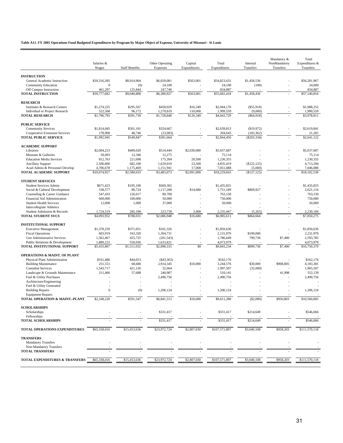### **Table A11. FY 2005 Operations Fund Budgeted Expenditures by Program by Major Object of Expense, University of Missouri - St Louis**

|                                                             | Salaries &<br>Wages | <b>Staff Benefits</b> | Other Operating<br>Expenses | Capital<br>Expenditures | Total<br>Expenditures | Internal<br>Transfers | Mandatory &<br>NonMandatory<br>Transfers | Total<br>Expenditures &<br>Transfers |
|-------------------------------------------------------------|---------------------|-----------------------|-----------------------------|-------------------------|-----------------------|-----------------------|------------------------------------------|--------------------------------------|
|                                                             |                     |                       |                             |                         |                       |                       |                                          |                                      |
| <b>INSTRUCTION</b><br>General Academic Instruction          | \$39,316,385        | \$8,914,964           | \$6,029,081                 | \$563,001               | \$54,823,431          | \$1,458,536           |                                          | \$56,281,967                         |
| <b>Community Education</b>                                  | $\boldsymbol{0}$    | (0)                   | 24,100                      |                         | 24,100                | (100)                 |                                          | 24,000                               |
| Off Campus Instruction                                      | 461,297             | 125,844               | 247,746                     |                         | 834,887               |                       |                                          | 834,887                              |
| <b>TOTAL INSTRUCTION</b>                                    | \$39,777,682        | \$9,040,808           | \$6,300,927                 | \$563,001               | \$55,682,418          | \$1,458,436           |                                          | \$57,140,854                         |
| <b>RESEARCH</b>                                             |                     |                       |                             |                         |                       |                       |                                          |                                      |
| Institutes & Research Centers                               | \$1,274,225         | \$295,567             | \$458,029                   | \$16,349                | \$2,044,170           | $(\$55,918)$          |                                          | \$1,988,252                          |
| Individual or Project Research                              | 522,568             | 96,172                | 1,270,819                   | 110,000                 | 1,999,559             | (9,000)               |                                          | 1,990,559                            |
| <b>TOTAL RESEARCH</b>                                       | \$1,796,793         | \$391,739             | \$1,728,848                 | \$126,349               | \$4,043,729           | ( \$64, 918)          |                                          | \$3,978,811                          |
| <b>PUBLIC SERVICE</b>                                       |                     |                       |                             |                         |                       |                       |                                          |                                      |
| <b>Community Services</b>                                   | \$1,814,045         | \$501,101             | \$324,667                   |                         | \$2,639,813           | (\$19,972)            |                                          | \$2,619,841                          |
| Cooperative Extension Services                              | 178,900             | 48,746                | (23,003)                    |                         | 204,643               | (183, 362)            |                                          | 21,281                               |
| <b>TOTAL PUBLIC SERVICE</b>                                 | \$1,992,945         | \$549,847             | \$301,664                   |                         | \$2,844,456           | $(\$203,334)$         |                                          | \$2,641,122                          |
| <b>ACADEMIC SUPPORT</b>                                     |                     |                       |                             |                         |                       |                       |                                          |                                      |
| Libraries                                                   | \$2,004,223         | \$489,020             | \$514,444                   | \$2,030,000             | \$5,037,687           |                       |                                          | \$5,037,687                          |
| Museum & Galleries                                          | 50,493              | 12,346                | 12,275                      |                         | 75,114                |                       |                                          | 75,114                               |
| <b>Education Media Services</b>                             | 812,763             | 221,698               | 175,394                     | 20,500                  | 1,230,355             |                       |                                          | 1,230,355                            |
| <b>Ancillary Support</b>                                    | 2,500,800           | 682,100               | 1,629,019                   | 23,500                  | 4,835,419             | (\$122, 125)          |                                          | 4,713,294                            |
| Acad Admin & Personnel Develop                              | 4,706,678           | 1,175,469             | 1,151,941                   | 17,000                  | 7,051,088             | (5,000)               |                                          | 7,046,088                            |
| TOTAL ACADEMIC SUPPORT                                      | \$10,074,957        | \$2,580,633           | \$3,483,073                 | \$2,091,000             | \$18,229,663          | (S127, 125)           |                                          | \$18,102,538                         |
| <b>STUDENT SERVICES</b>                                     |                     |                       |                             |                         |                       |                       |                                          |                                      |
| Student Services Admin                                      | \$671.423           | \$195,100             | \$569,302                   |                         | \$1,435,825           |                       |                                          | \$1,435,825                          |
| Social & Cultural Development                               | 538,577             | 80,724                | 1,117,208                   | \$14,680                | 1,751,189             | \$869,927             |                                          | 2,621,116                            |
| Counseling & Career Guidance                                | 547,433             | 126,017               | 89,700                      |                         | 763,150               |                       |                                          | 763,150                              |
| Financial Aid Administration                                | 600,000             | 100,000               | 50,000                      |                         | 750,000               |                       |                                          | 750,000                              |
| <b>Student Health Services</b>                              | 12,000              | 1,000                 | 37,000                      |                         | 50,000                |                       |                                          | 50,000                               |
| Intercollegiate Athletics<br>Student Admission & Records    | 1,724,519           | 285,190               | 223,738                     | 2,000                   | 2,235,447             | (5,263)               |                                          | 2,230,184                            |
| <b>TOTAL STUDENT SVCS</b>                                   | \$4,093,952         | \$788,031             | \$2,086,948                 | \$16,680                | \$6,985,611           | \$864,664             |                                          | \$7,850,275                          |
|                                                             |                     |                       |                             |                         |                       |                       |                                          |                                      |
| <b>INSTITUTIONAL SUPPORT</b><br><b>Executive Management</b> | \$1,378,259         | \$371,051             | \$101,326                   |                         | \$1,850,636           |                       |                                          | \$1,850,636                          |
| <b>Fiscal Operations</b>                                    | 603,919             | 163,320               | 1,364,731                   |                         | 2,131,970             | \$100,000             |                                          | 2,231,970                            |
| Gen Administrative Services                                 | 1,562,467           | 425,725               | (201, 543)                  |                         | 1,786,649             | 799,736               | \$7,400                                  | 2,593,785                            |
| Public Relations & Development                              | 1,889,222           | 550,936               | 1,633,821                   |                         | 4,073,979             |                       |                                          | 4,073,979                            |
| TOTAL INSTITUTIONAL SUPPORT                                 | \$5,433,867         | \$1,511,032           | \$2,898,335                 | \$0                     | \$9,843,234           | \$899,736             | \$7,400                                  | \$10,750,370                         |
| <b>OPERATIONS &amp; MAINT. OF PLANT</b>                     |                     |                       |                             |                         |                       |                       |                                          |                                      |
| Physical Plant Administration                               | \$161,486           | \$44,053              | $(\$43,363)$                |                         | \$162,176             |                       |                                          | \$162,176                            |
| <b>Building Maintenance</b>                                 | 251,551             | 68,680                | 2,914,345                   | \$10,000                | 3,244,576             | \$30,000              | \$908,805                                | 4,183,381                            |
| <b>Custodial Services</b>                                   | 1,543,717           | 421,126               | 32,664                      |                         | 1,997,507             | (32,000)              |                                          | 1,965,507                            |
| Landscape & Grounds Maintenance                             | 211,466             | 57,688                | 240,987                     |                         | 510.141               |                       | 41,998                                   | 552,139                              |
| Fuel & Utility Purchases                                    |                     |                       | 2,490,756                   |                         | 2,490,756             |                       |                                          | 2,490,756                            |
| Architecture/Engineering<br>Fuel & Utility Generated        |                     |                       |                             |                         |                       |                       |                                          |                                      |
| <b>Building Repairs</b>                                     | $\boldsymbol{0}$    | (0)                   | 1,206,124                   |                         | 1,206,124             |                       |                                          | 1,206,124                            |
| <b>Equipment Repairs</b>                                    |                     |                       |                             |                         |                       |                       |                                          |                                      |
| TOTAL OPERATION & MAINT.-PLANT                              | \$2,168,220         | \$591,547             | \$6,841,513                 | \$10,000                | \$9,611,280           | (\$2,000)             | \$950,803                                | \$10,560,083                         |
|                                                             |                     |                       |                             |                         |                       |                       |                                          |                                      |
| <b>SCHOLARSHIPS</b><br>Scholarships                         |                     |                       | \$331,417                   |                         | \$331,417             | \$214,649             |                                          | \$546,066                            |
| Fellowships                                                 |                     |                       |                             |                         |                       |                       |                                          |                                      |
| <b>TOTAL SCHOLARSHIPS</b>                                   |                     |                       | \$331,417                   |                         | \$331,417             | \$214,649             |                                          | \$546,066                            |
| TOTAL OPERATIONS EXPENDITURES                               | \$65,338,416        | \$15,453,636          | \$23,972,724                | \$2,807,030             | \$107,571,807         | \$3,040,108           | \$958,203                                | \$111,570,118                        |
| <b>TRANSFERS</b>                                            |                     |                       |                             |                         |                       |                       |                                          |                                      |
| <b>Mandatory Transfers</b>                                  |                     |                       |                             |                         |                       |                       |                                          |                                      |
| Non-Mandatory Transfers                                     |                     |                       |                             |                         |                       |                       |                                          |                                      |
| <b>TOTAL TRANSFERS</b>                                      |                     |                       |                             |                         |                       |                       |                                          |                                      |
| TOTAL EXPENDITURES & TRANSFERS                              | \$65,338,416        | \$15,453,636          | \$23,972,724                | \$2,807,030             | \$107,571,807         | \$3,040,108           | \$958,203                                | \$111,570,118                        |
|                                                             |                     |                       |                             |                         |                       |                       |                                          |                                      |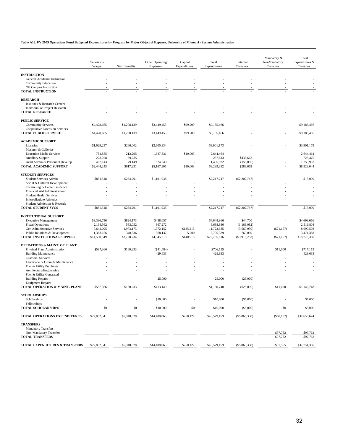### **Table A12. FY 2005 Operations Fund Budgeted Expenditures by Program by Major Object of Expense, University of Missouri - System Administration**

 $\overline{a}$ 

|                                                                | Salaries &<br>Wages | <b>Staff Benefits</b> | Other Operating<br>Expenses | Capital<br>Expenditures | Total<br>Expenditures | Internal<br>Transfers | Mandatory &<br>NonMandatory<br>Transfers | Total<br>Expenditures &<br>Transfers |
|----------------------------------------------------------------|---------------------|-----------------------|-----------------------------|-------------------------|-----------------------|-----------------------|------------------------------------------|--------------------------------------|
|                                                                |                     |                       |                             |                         |                       |                       |                                          |                                      |
| <b>INSTRUCTION</b><br>General Academic Instruction             |                     |                       |                             |                         |                       |                       |                                          |                                      |
| <b>Community Education</b>                                     |                     |                       |                             |                         |                       |                       |                                          |                                      |
| Off Campus Instruction                                         |                     |                       |                             |                         |                       |                       |                                          |                                      |
| <b>TOTAL INSTRUCTION</b>                                       |                     |                       |                             |                         |                       |                       |                                          |                                      |
| <b>RESEARCH</b>                                                |                     |                       |                             |                         |                       |                       |                                          |                                      |
| Institutes & Research Centers                                  |                     |                       |                             |                         |                       |                       |                                          |                                      |
| <b>Individual or Project Research</b>                          |                     |                       |                             |                         |                       |                       |                                          |                                      |
| <b>TOTAL RESEARCH</b>                                          |                     |                       |                             |                         |                       |                       |                                          |                                      |
| <b>PUBLIC SERVICE</b>                                          |                     |                       |                             |                         |                       |                       |                                          |                                      |
| <b>Community Services</b>                                      | \$4,428,665         | \$1,208,139           | \$3,449,453                 | \$99,209                | \$9,185,466           |                       |                                          | \$9,185,466                          |
| Cooperative Extension Services                                 |                     |                       |                             |                         |                       |                       |                                          |                                      |
| <b>TOTAL PUBLIC SERVICE</b>                                    | \$4,428,665         | \$1,208,139           | \$3,449,453                 | \$99,209                | \$9,185,466           |                       |                                          | \$9,185,466                          |
| <b>ACADEMIC SUPPORT</b>                                        |                     |                       |                             |                         |                       |                       |                                          |                                      |
| Libraries                                                      | \$1,029,237         | \$266,002             | \$2,605,934                 |                         | \$3,901,173           |                       |                                          | \$3,901,173                          |
| Museum & Galleries                                             |                     |                       |                             |                         |                       |                       |                                          |                                      |
| <b>Education Media Services</b>                                | 784,835             | 212,295               | 1,637,331                   | \$10,003                | 2,644,464             |                       |                                          | 2,644,464                            |
| <b>Ancillary Support</b>                                       | 228,028             | 59,785                |                             |                         | 287,813               | \$438,662             |                                          | 726,475                              |
| Acad Admin & Personnel Develop                                 | 402,143             | 79,149                | 924,640                     |                         | 1,405,932             | (155,000)             |                                          | 1,250,932                            |
| <b>TOTAL ACADEMIC SUPPORT</b>                                  | \$2,444,243         | \$617,231             | \$5,167,905                 | \$10,003                | \$8,239,382           | \$283,662             |                                          | \$8,523,044                          |
| <b>STUDENT SERVICES</b>                                        |                     |                       |                             |                         |                       |                       |                                          |                                      |
| <b>Student Services Admin</b>                                  | \$881,518           | \$234,291             | \$1,101,938                 |                         | \$2,217,747           | (\$2,202,747)         |                                          | \$15,000                             |
| Social & Cultural Development                                  |                     |                       |                             |                         |                       |                       |                                          |                                      |
| Counseling & Career Guidance                                   |                     |                       |                             |                         |                       |                       |                                          |                                      |
| Financial Aid Administration<br><b>Student Health Services</b> |                     |                       |                             |                         |                       |                       |                                          |                                      |
| <b>Intercollegiate Athletics</b>                               |                     |                       |                             |                         |                       |                       |                                          |                                      |
| Student Admission & Records                                    |                     |                       |                             |                         |                       |                       |                                          |                                      |
| <b>TOTAL STUDENT SVCS</b>                                      | \$881,518           | \$234,291             | \$1,101,938                 |                         | \$2,217,747           | $(\$2,202,747)$       |                                          | \$15,000                             |
| <b>INSTITUTIONAL SUPPORT</b>                                   |                     |                       |                             |                         |                       |                       |                                          |                                      |
| <b>Executive Management</b>                                    | \$3,386,736         | \$824,173             | \$438,057                   |                         | \$4,648,966           | \$44,700              |                                          | \$4,693,666                          |
| <b>Fiscal Operations</b>                                       | 2,138,562           | 583,052               | 967,272                     |                         | 3,688,886             | (1,169,082)           |                                          | 2,519,804                            |
| Gen Administrative Services                                    | 7,642,095           | 1,973,173             | 1,972,152                   | \$135,215               | 11,722,635            | (3,560,930)           | (S71, 197)                               | 8,090,508                            |
| Public Relations & Development                                 | 1,383,156           | 348,336               | 968,137                     | 5,700                   | 2,705,329             | 769,059               |                                          | 3,474,388                            |
| TOTAL INSTITUTIONAL SUPPORT                                    | \$14,550,549        | \$3,728,734           | \$4,345,618                 | \$140,915               | \$22,765,816          | $(\$3,916,253)$       | ( \$71,197)                              | \$18,778,366                         |
| <b>OPERATIONS &amp; MAINT. OF PLANT</b>                        |                     |                       |                             |                         |                       |                       |                                          |                                      |
| Physical Plant Administration                                  | \$587,366           | \$160,233             | (S41, 484)                  |                         | \$706,115             |                       | \$11,000                                 | \$717,115                            |
| <b>Building Maintenance</b>                                    |                     |                       | 429,633                     |                         | 429,633               |                       |                                          | 429,633                              |
| <b>Custodial Services</b>                                      |                     |                       |                             |                         |                       |                       |                                          |                                      |
| Landscape & Grounds Maintenance                                |                     |                       |                             |                         |                       |                       |                                          |                                      |
| Fuel & Utility Purchases<br>Architecture/Engineering           |                     |                       |                             |                         |                       |                       |                                          |                                      |
| Fuel & Utility Generated                                       |                     |                       |                             |                         |                       |                       |                                          |                                      |
| <b>Building Repairs</b>                                        |                     |                       | 25,000                      |                         | 25,000                | (25,000)              |                                          |                                      |
| <b>Equipment Repairs</b>                                       |                     |                       |                             |                         |                       |                       |                                          |                                      |
| TOTAL OPERATION & MAINT.-PLANT                                 | \$587,366           | \$160,233             | \$413,149                   |                         | \$1,160,748           | (\$25,000)            | \$11,000                                 | \$1,146,748                          |
| <b>SCHOLARSHIPS</b>                                            |                     |                       |                             |                         |                       |                       |                                          |                                      |
| Scholarships                                                   |                     |                       | \$10,000                    |                         | \$10,000              | (\$5,000)             |                                          | \$5,000                              |
| Fellowships                                                    |                     |                       |                             |                         |                       |                       |                                          |                                      |
| <b>TOTAL SCHOLARSHIPS</b>                                      | \$0                 | \$0                   | \$10,000                    | \$0                     | \$10,000              | (\$5,000)             | \$0                                      | \$5,000                              |
| TOTAL OPERATIONS EXPENDITURES                                  | \$22,892,341        | \$5,948,628           | \$14,488,063                | \$250,127               | \$43,579,159          | $(\$5,865,338)$       | $(\$60,197)$                             | \$37,653,624                         |
| <b>TRANSFERS</b>                                               |                     |                       |                             |                         |                       |                       |                                          |                                      |
| <b>Mandatory Transfers</b>                                     |                     |                       |                             |                         |                       |                       |                                          |                                      |
| Non-Mandatory Transfers                                        |                     |                       |                             |                         |                       |                       | \$97,762                                 | \$97,762                             |
| <b>TOTAL TRANSFERS</b>                                         |                     |                       |                             |                         |                       |                       | \$97,762                                 | \$97,762                             |
| TOTAL EXPENDITURES & TRANSFERS                                 | \$22,892,341        | \$5,948,628           | \$14,488,063                | \$250,127               | \$43,579,159          | $(\$5,865,338)$       | \$37,565                                 | \$37,751,386                         |
|                                                                |                     |                       |                             |                         |                       |                       |                                          |                                      |